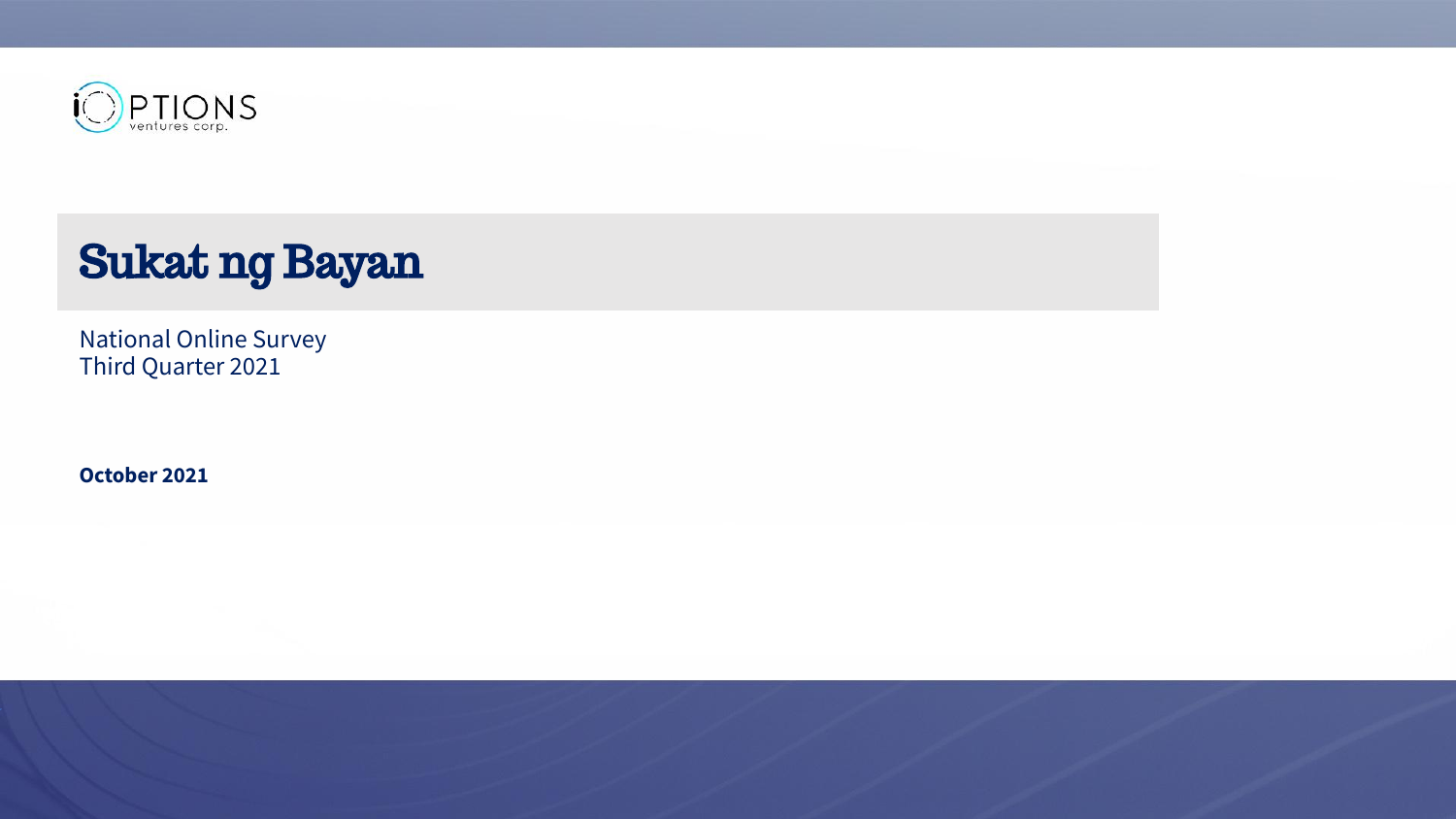

## Sukat ng Bayan

National Online Survey Third Quarter 2021

**October 2021**

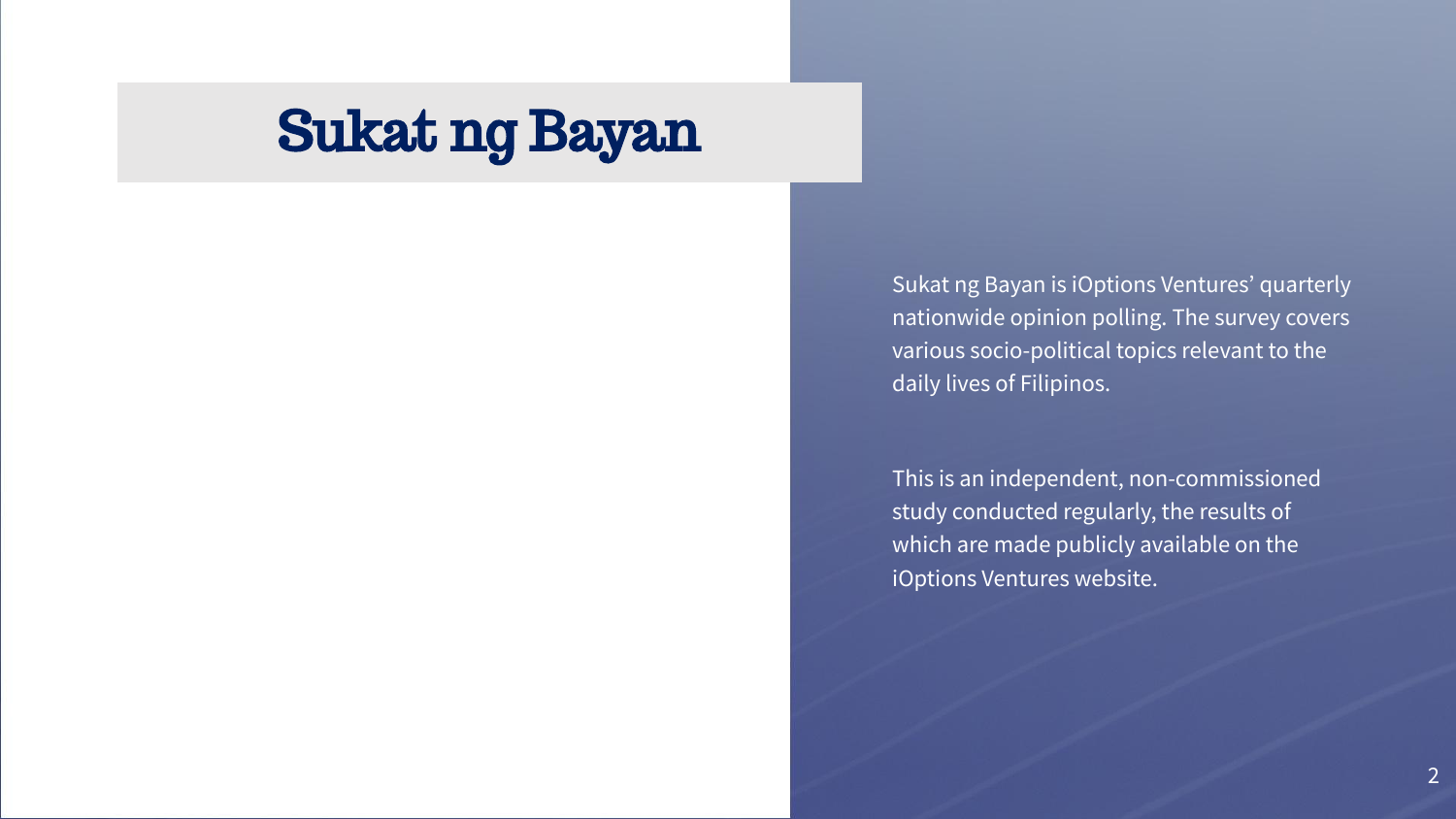# Sukat ng Bayan

Sukat ng Bayan is iOptions Ventures' quarterly nationwide opinion polling. The survey covers various socio-political topics relevant to the daily lives of Filipinos.

This is an independent, non-commissioned study conducted regularly, the results of which are made publicly available on the iOptions Ventures website.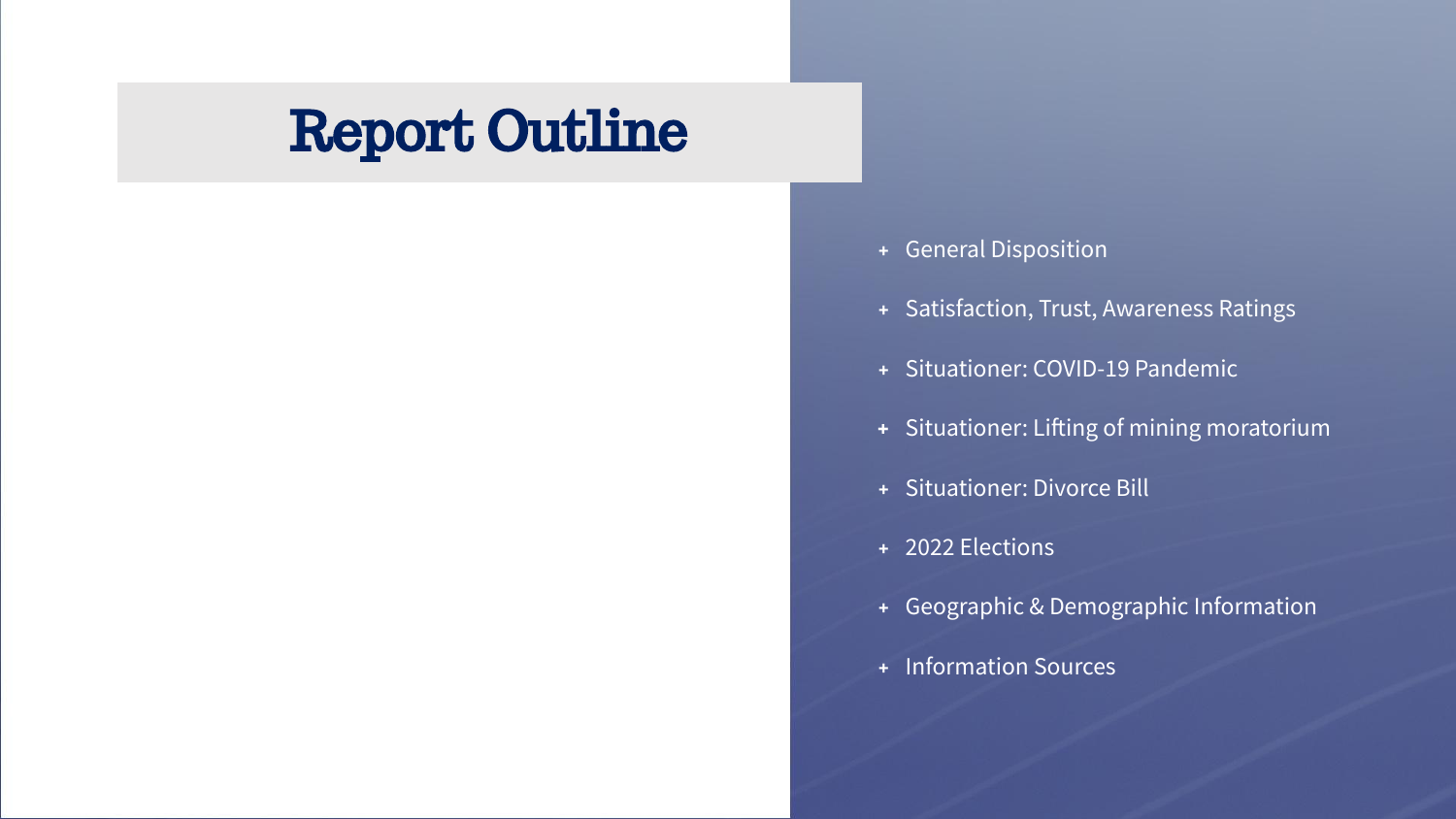# Report Outline

- **+** General Disposition
- **+** Satisfaction, Trust, Awareness Ratings
- **+** Situationer: COVID-19 Pandemic
- **+** Situationer: Lifting of mining moratorium
- **+** Situationer: Divorce Bill
- **+** 2022 Elections
- **+** Geographic & Demographic Information
- **+** Information Sources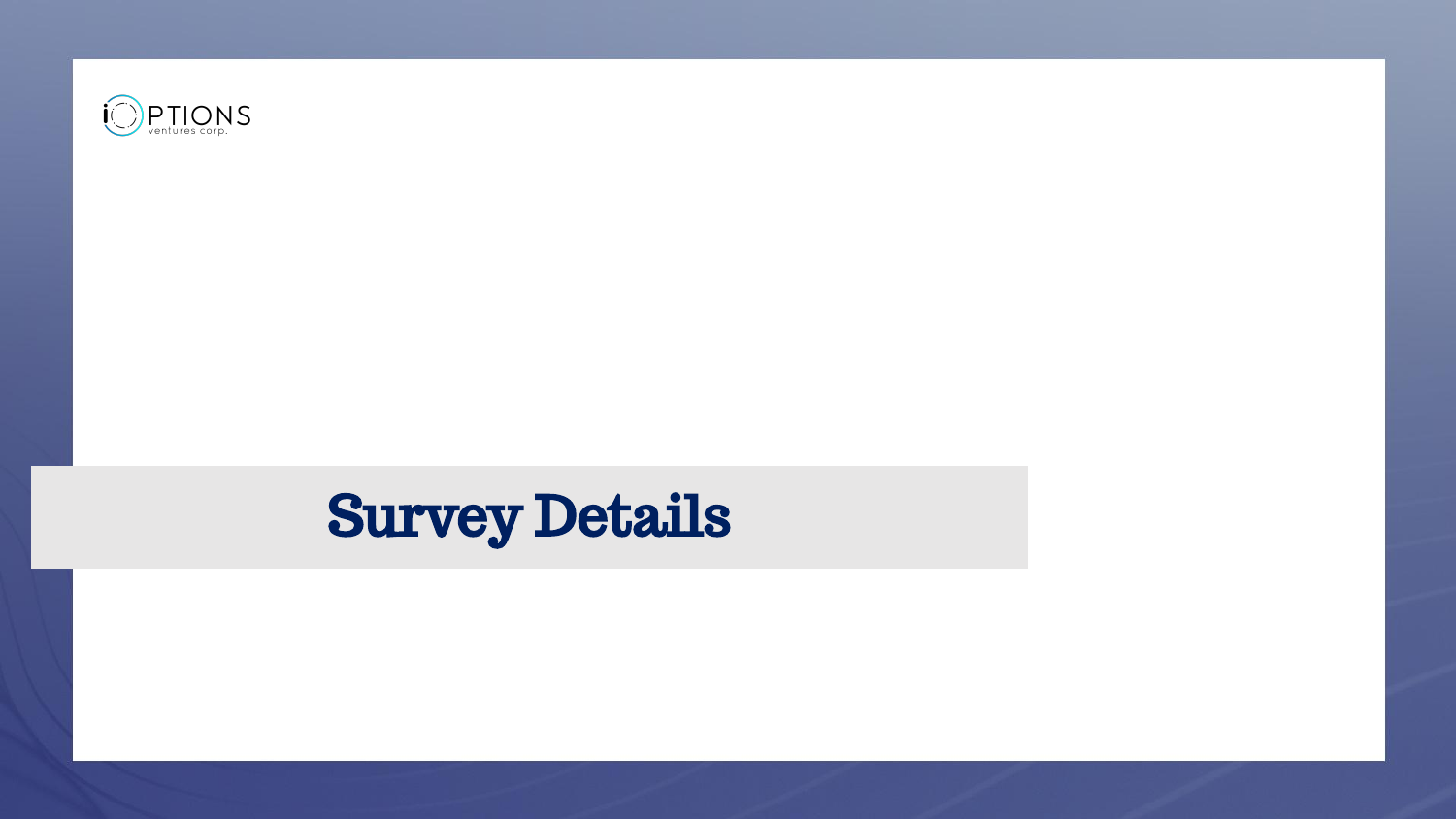

# Survey Details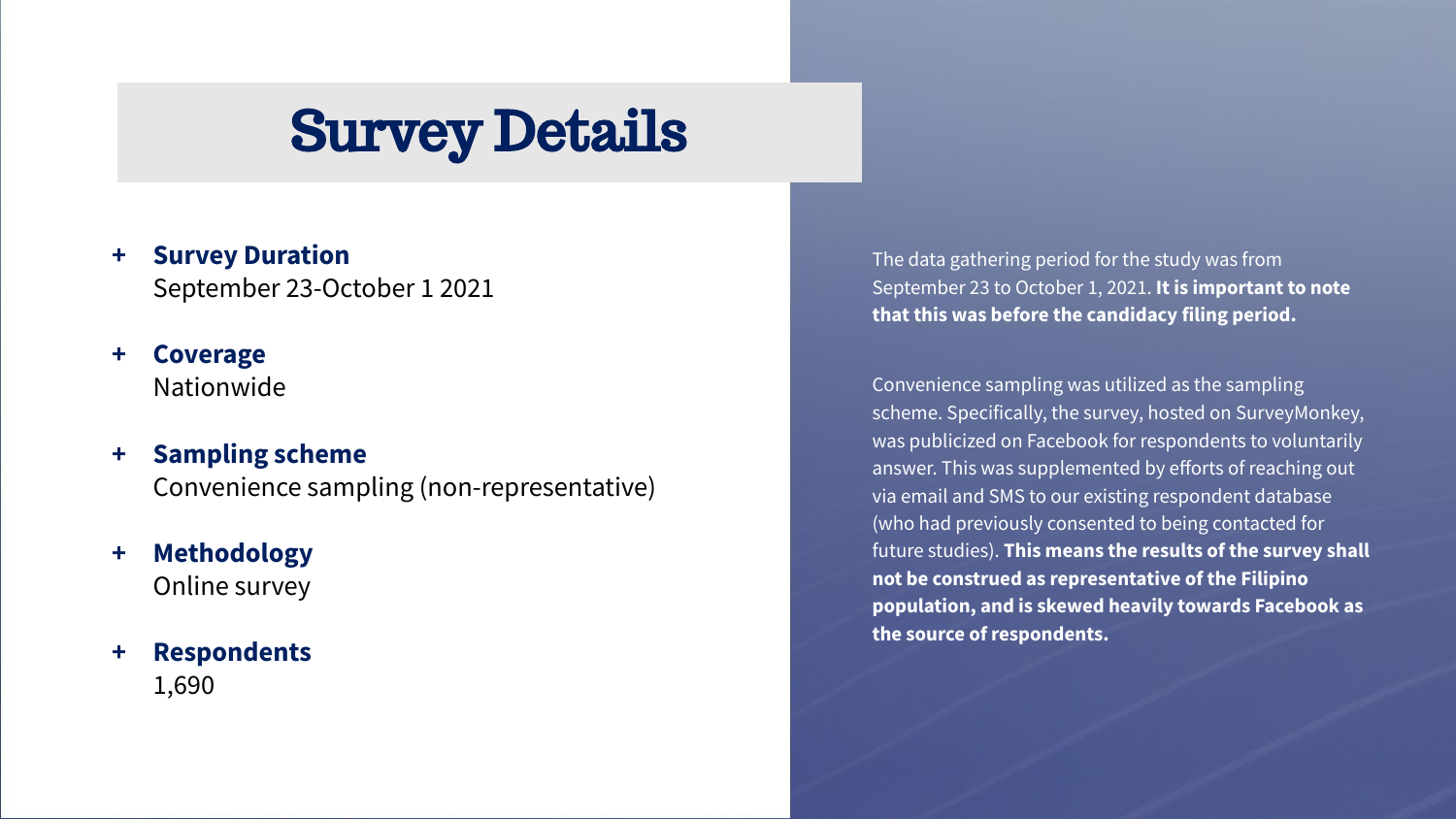- **+ Survey Duration** September 23-October 1 2021
- **+ Coverage** Nationwide
- **+ Sampling scheme** Convenience sampling (non-representative)
- **+ Methodology** Online survey
- **+ Respondents** 1,690

# Survey Details

The data gathering period for the study was from September 23 to October 1, 2021. **It is important to note that this was before the candidacy filing period.** 

Convenience sampling was utilized as the sampling scheme. Specifically, the survey, hosted on SurveyMonkey, was publicized on Facebook for respondents to voluntarily answer. This was supplemented by efforts of reaching out via email and SMS to our existing respondent database (who had previously consented to being contacted for future studies). **This means the results of the survey shall not be construed as representative of the Filipino population, and is skewed heavily towards Facebook as the source of respondents.**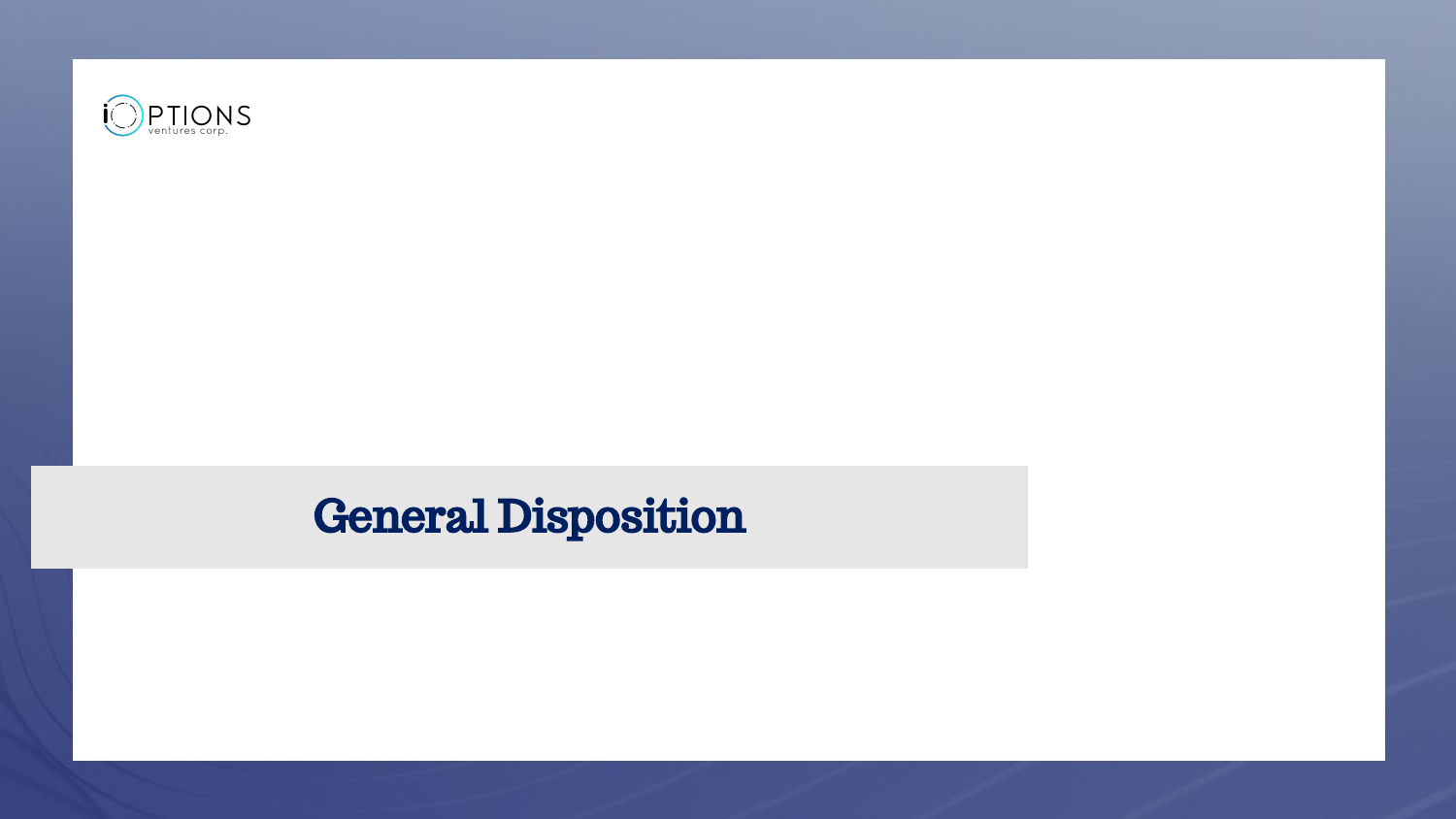

## General Disposition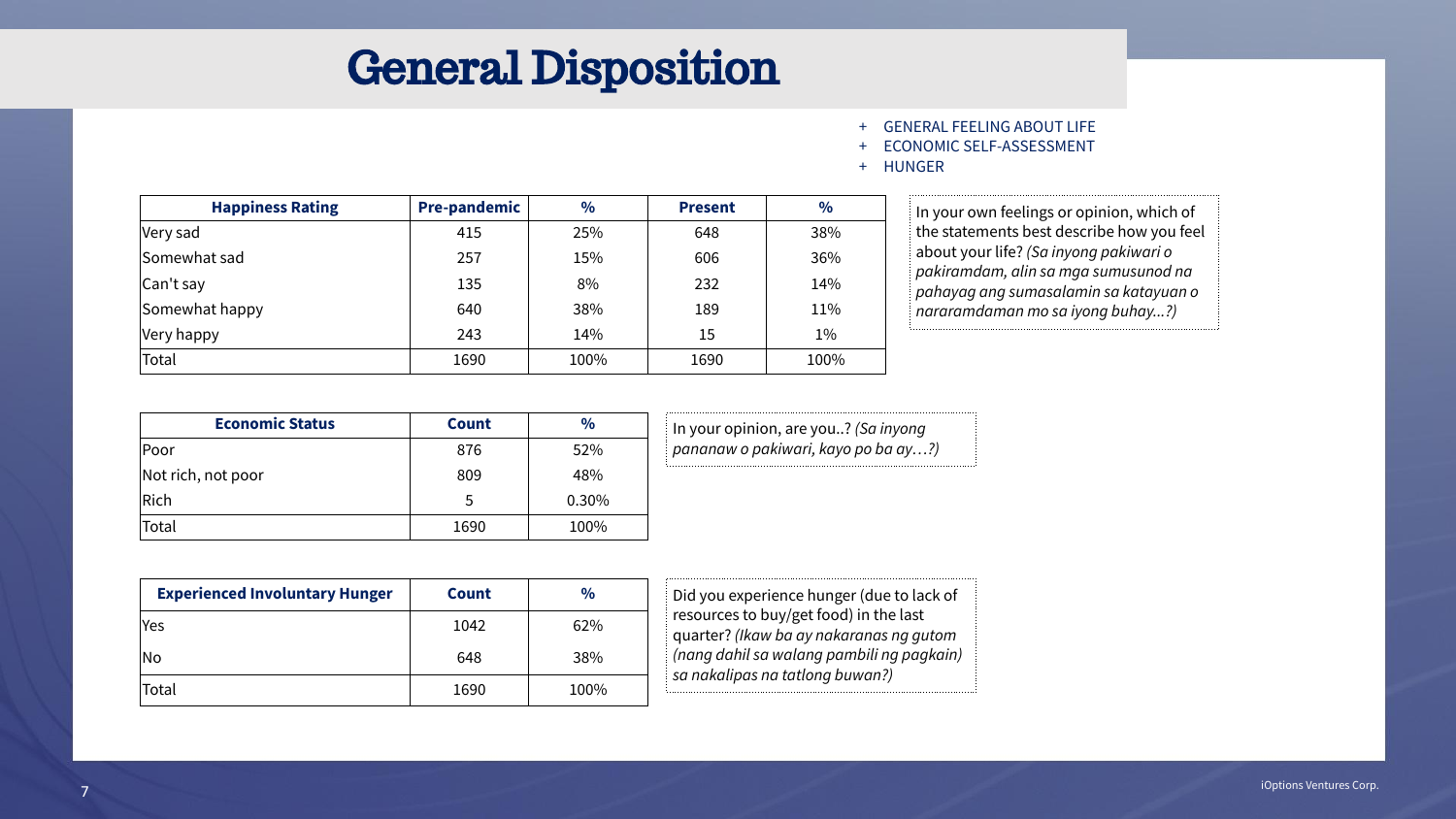## General Disposition

- + GENERAL FEELING ABOUT LIFE
- ECONOMIC SELF-ASSESSMENT
- + HUNGER

| <b>Happiness Rating</b> | <b>Pre-pandemic</b> | $\frac{0}{0}$ | <b>Present</b> | $\frac{0}{0}$ |
|-------------------------|---------------------|---------------|----------------|---------------|
| Very sad                | 415                 | 25%           | 648            | 38%           |
| Somewhat sad            | 257                 | 15%           | 606            | 36%           |
| Can't say               | 135                 | 8%            | 232            | 14%           |
| Somewhat happy          | 640                 | 38%           | 189            | 11%           |
| Very happy              | 243                 | 14%           | 15             | $1\%$         |
| Total                   | 1690                | 100%          | 1690           | 100%          |

| <b>Economic Status</b> | <b>Count</b> | $\%$  |  |
|------------------------|--------------|-------|--|
| Poor                   | 876          | 52%   |  |
| Not rich, not poor     | 809          | 48%   |  |
| $ $ Rich               | 5            | 0.30% |  |
| Total                  | 1690         | 100%  |  |

| <b>Experienced Involuntary Hunger</b> | <b>Count</b> | $\frac{0}{0}$ |          |
|---------------------------------------|--------------|---------------|----------|
| Yes                                   | 1042         | 62%           |          |
| No                                    | 648          | 38%           |          |
| Total                                 | 1690         | 100%          | $\ddots$ |

In your own feelings or opinion, which of the statements best describe how you feel about your life? *(Sa inyong pakiwari o pakiramdam, alin sa mga sumusunod na pahayag ang sumasalamin sa katayuan o nararamdaman mo sa iyong buhay...?)*

In your opinion, are you..? *(Sa inyong pananaw o pakiwari, kayo po ba ay…?)*

Did you experience hunger (due to lack of resources to buy/get food) in the last quarter? *(Ikaw ba ay nakaranas ng gutom (nang dahil sa walang pambili ng pagkain) sa nakalipas na tatlong buwan?)*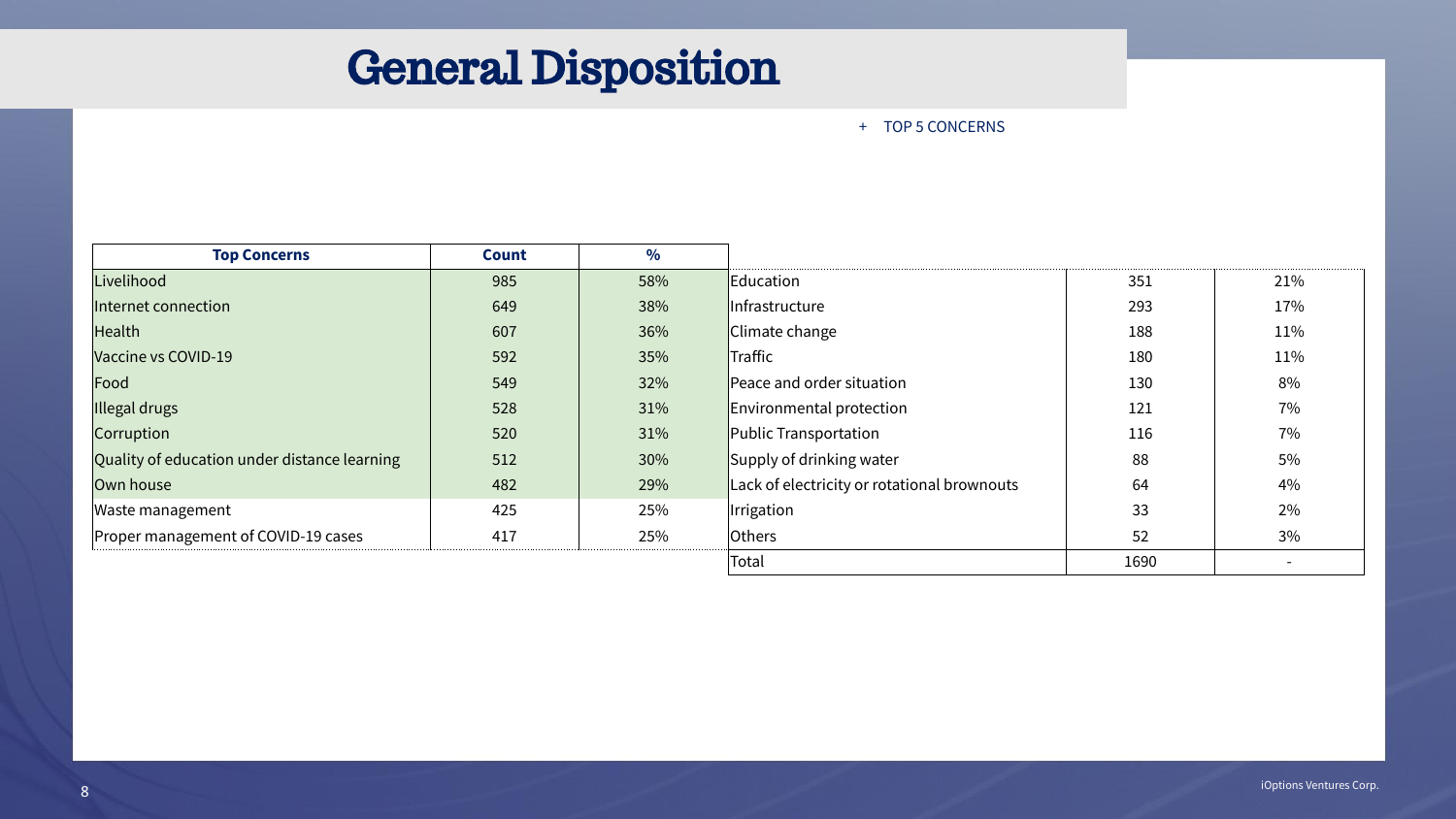## General Disposition

### + TOP 5 CONCERNS

| <b>Top Concerns</b>                          | <b>Count</b> | $\frac{1}{2}$ |                                             |      |     |
|----------------------------------------------|--------------|---------------|---------------------------------------------|------|-----|
| Livelihood                                   | 985          | 58%           | Education                                   | 351  | 21% |
| Internet connection                          | 649          | 38%           | Infrastructure                              | 293  | 17% |
| Health                                       | 607          | 36%           | Climate change                              | 188  | 11% |
| Vaccine vs COVID-19                          | 592          | 35%           | Traffic                                     | 180  | 11% |
| Food                                         | 549          | 32%           | Peace and order situation                   | 130  | 8%  |
| Illegal drugs                                | 528          | 31%           | <b>Environmental protection</b>             | 121  | 7%  |
| Corruption                                   | 520          | 31%           | <b>Public Transportation</b>                | 116  | 7%  |
| Quality of education under distance learning | 512          | 30%           | Supply of drinking water                    | 88   | 5%  |
| Own house                                    | 482          | 29%           | Lack of electricity or rotational brownouts | 64   | 4%  |
| <b>Waste management</b>                      | 425          | 25%           | <i><u><b>Irrigation</b></u></i>             | 33   | 2%  |
| Proper management of COVID-19 cases          | 417          | 25%           | <b>Others</b>                               | 52   | 3%  |
|                                              |              |               | Total                                       | 1690 |     |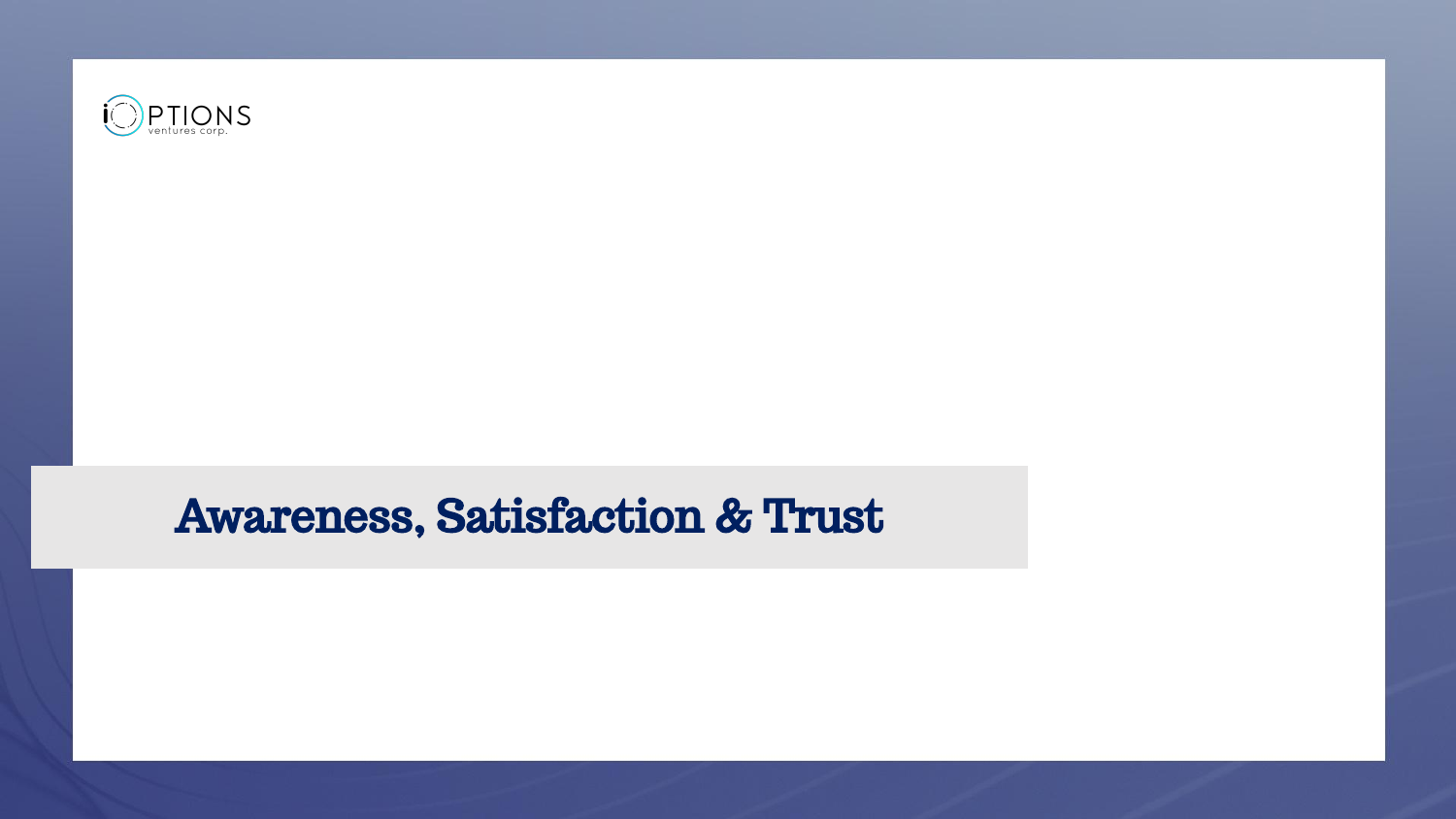

### Awareness, Satisfaction & Trust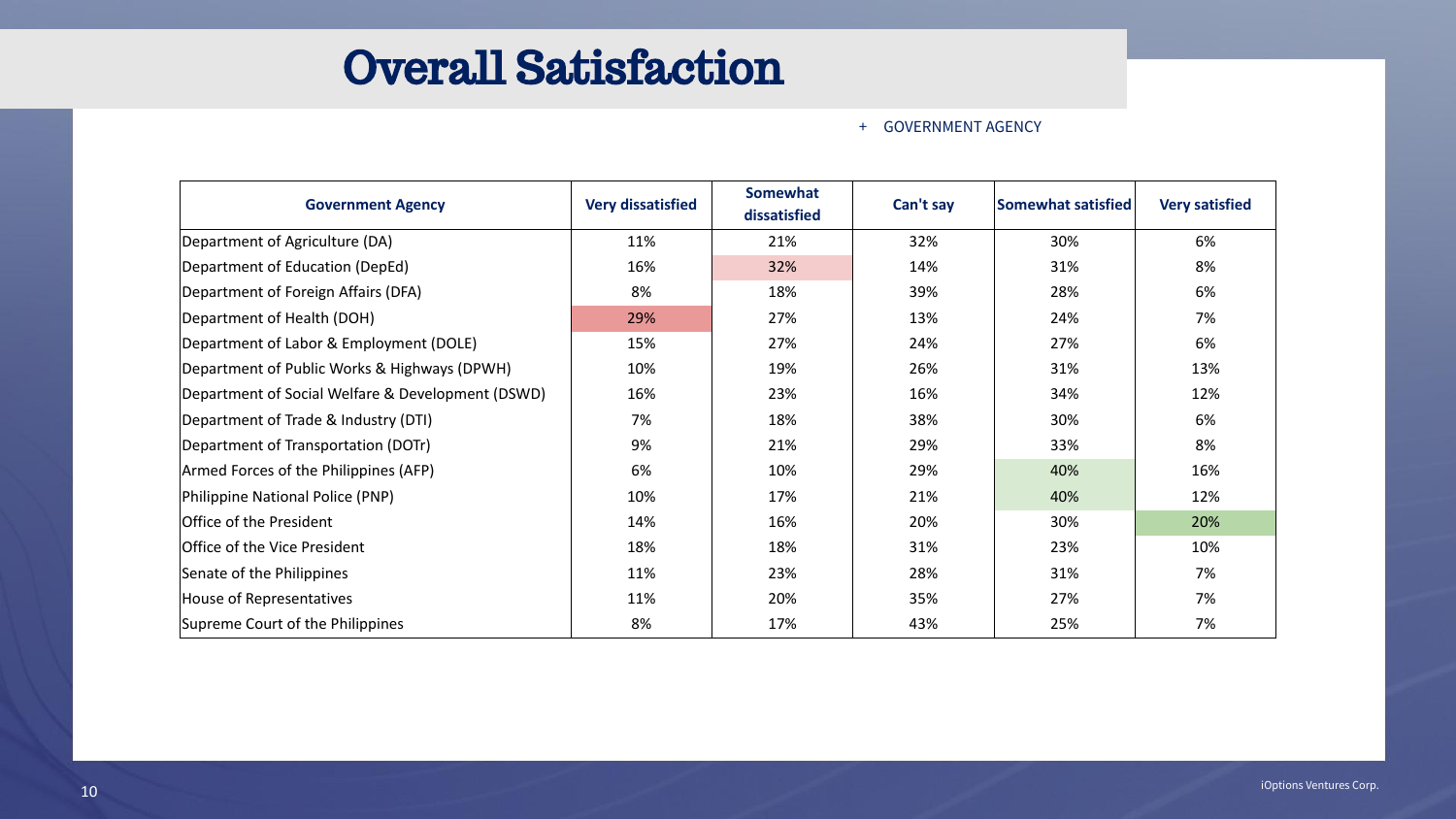### Overall Satisfaction

### + GOVERNMENT AGENCY

| <b>Government Agency</b>                          | <b>Very dissatisfied</b> | Somewhat<br>dissatisfied | Can't say | <b>Somewhat satisfied</b> | <b>Very satisfied</b> |
|---------------------------------------------------|--------------------------|--------------------------|-----------|---------------------------|-----------------------|
| Department of Agriculture (DA)                    | 11%                      | 21%                      | 32%       | 30%                       | 6%                    |
| Department of Education (DepEd)                   | 16%                      | 32%                      | 14%       | 31%                       | 8%                    |
| Department of Foreign Affairs (DFA)               | 8%                       | 18%                      | 39%       | 28%                       | 6%                    |
| Department of Health (DOH)                        | 29%                      | 27%                      | 13%       | 24%                       | 7%                    |
| Department of Labor & Employment (DOLE)           | 15%                      | 27%                      | 24%       | 27%                       | 6%                    |
| Department of Public Works & Highways (DPWH)      | 10%                      | 19%                      | 26%       | 31%                       | 13%                   |
| Department of Social Welfare & Development (DSWD) | 16%                      | 23%                      | 16%       | 34%                       | 12%                   |
| Department of Trade & Industry (DTI)              | 7%                       | 18%                      | 38%       | 30%                       | 6%                    |
| Department of Transportation (DOTr)               | 9%                       | 21%                      | 29%       | 33%                       | 8%                    |
| Armed Forces of the Philippines (AFP)             | 6%                       | 10%                      | 29%       | 40%                       | 16%                   |
| Philippine National Police (PNP)                  | 10%                      | 17%                      | 21%       | 40%                       | 12%                   |
| Office of the President                           | 14%                      | 16%                      | 20%       | 30%                       | 20%                   |
| Office of the Vice President                      | 18%                      | 18%                      | 31%       | 23%                       | 10%                   |
| Senate of the Philippines                         | 11%                      | 23%                      | 28%       | 31%                       | 7%                    |
| House of Representatives                          | 11%                      | 20%                      | 35%       | 27%                       | 7%                    |
| Supreme Court of the Philippines                  | 8%                       | 17%                      | 43%       | 25%                       | 7%                    |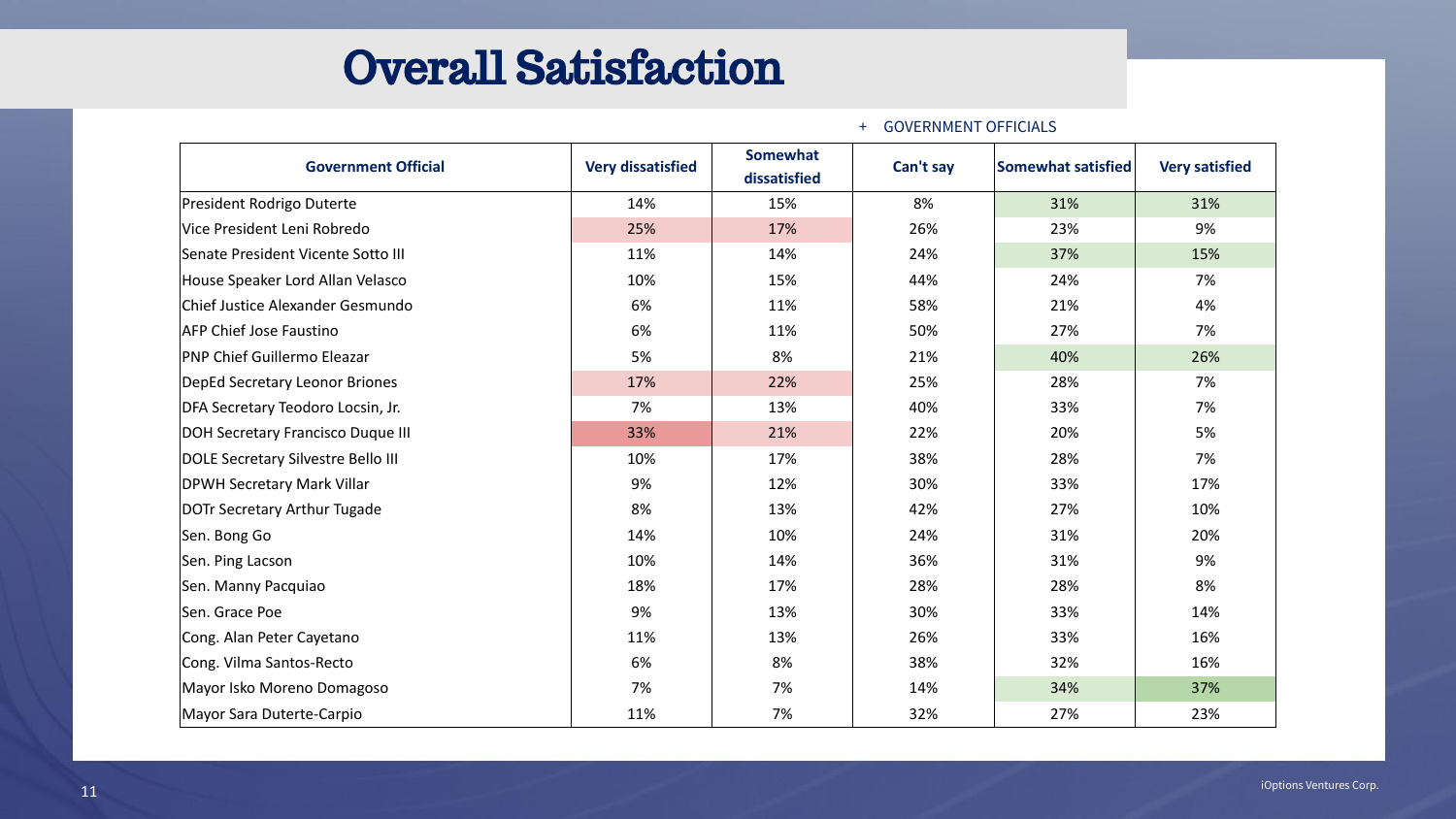## Overall Satisfaction

### + GOVERNMENT OFFICIALS

| <b>Government Official</b>         | <b>Very dissatisfied</b> | <b>Somewhat</b><br>Can't say<br>dissatisfied |     | <b>Somewhat satisfied</b> | <b>Very satisfied</b> |
|------------------------------------|--------------------------|----------------------------------------------|-----|---------------------------|-----------------------|
| <b>President Rodrigo Duterte</b>   | 14%                      | 15%                                          | 8%  | 31%                       | 31%                   |
| Vice President Leni Robredo        | 25%                      | 17%                                          | 26% | 23%                       | 9%                    |
| Senate President Vicente Sotto III | 11%                      | 14%                                          | 24% | 37%                       | 15%                   |
| House Speaker Lord Allan Velasco   | 10%                      | 15%                                          | 44% | 24%                       | 7%                    |
| Chief Justice Alexander Gesmundo   | 6%                       | 11%                                          | 58% | 21%                       | 4%                    |
| <b>AFP Chief Jose Faustino</b>     | 6%                       | 11%                                          | 50% | 27%                       | 7%                    |
| <b>PNP Chief Guillermo Eleazar</b> | 5%                       | 8%                                           | 21% | 40%                       | 26%                   |
| DepEd Secretary Leonor Briones     | 17%                      | 22%                                          | 25% | 28%                       | 7%                    |
| DFA Secretary Teodoro Locsin, Jr.  | 7%                       | 13%                                          | 40% | 33%                       | 7%                    |
| DOH Secretary Francisco Duque III  | 33%                      | 21%                                          | 22% | 20%                       | 5%                    |
| DOLE Secretary Silvestre Bello III | 10%                      | 17%                                          | 38% | 28%                       | 7%                    |
| <b>DPWH Secretary Mark Villar</b>  | 9%                       | 12%                                          | 30% | 33%                       | 17%                   |
| DOTr Secretary Arthur Tugade       | 8%                       | 13%                                          | 42% | 27%                       | 10%                   |
| Sen. Bong Go                       | 14%                      | 10%                                          | 24% | 31%                       | 20%                   |
| Sen. Ping Lacson                   | 10%                      | 14%                                          | 36% | 31%                       | 9%                    |
| Sen. Manny Pacquiao                | 18%                      | 17%                                          | 28% | 28%                       | 8%                    |
| Sen. Grace Poe                     | 9%                       | 13%                                          | 30% | 33%                       | 14%                   |
| Cong. Alan Peter Cayetano          | 11%                      | 13%                                          | 26% | 33%                       | 16%                   |
| Cong. Vilma Santos-Recto           | 6%                       | 8%                                           | 38% | 32%                       | 16%                   |
| Mayor Isko Moreno Domagoso         | 7%                       | 7%                                           | 14% | 34%                       | 37%                   |
| Mayor Sara Duterte-Carpio          | 11%                      | 7%                                           | 32% | 27%                       | 23%                   |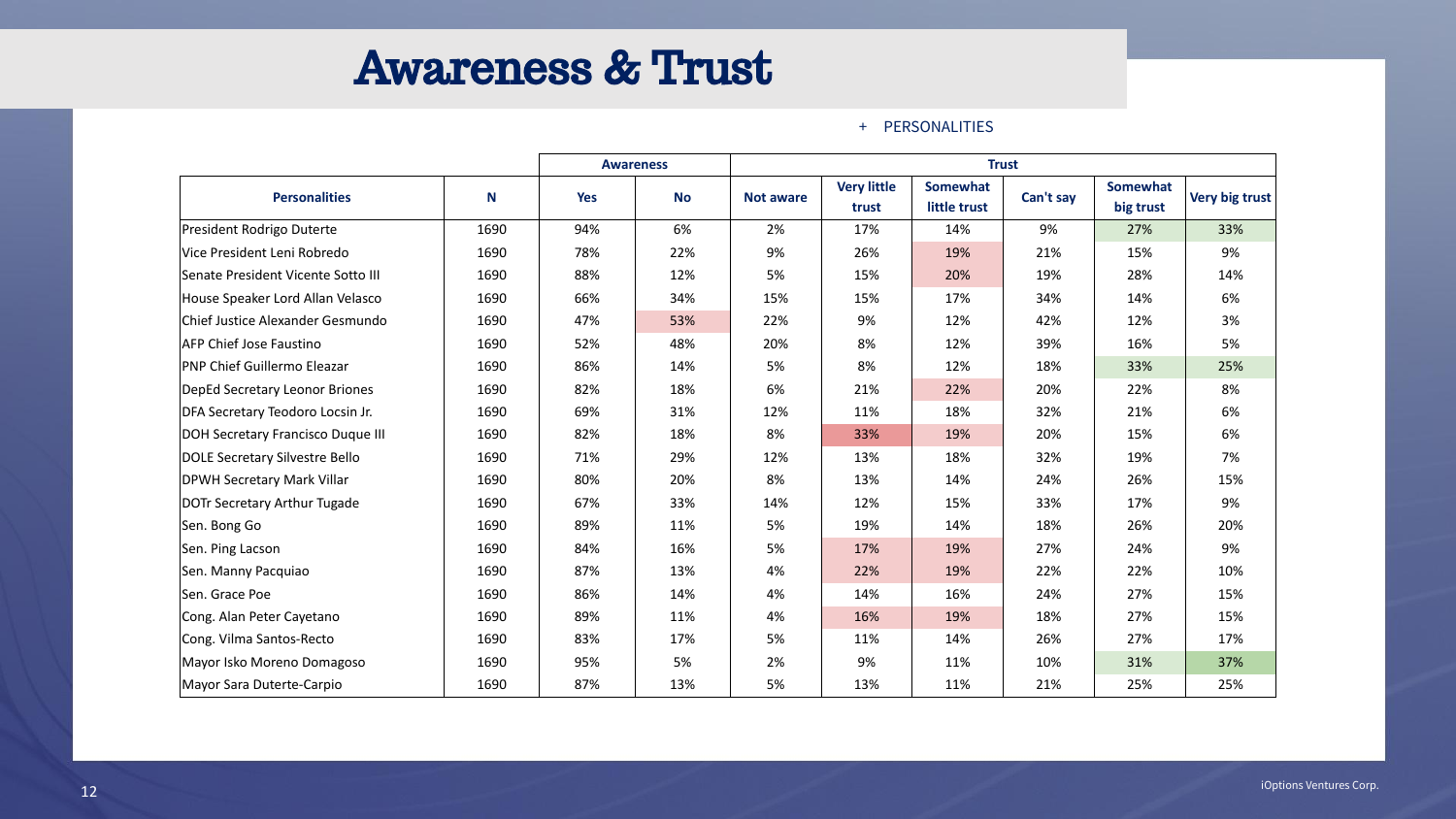### Awareness & Trust

### + PERSONALITIES

|                                          |      |            | <b>Awareness</b> | <b>Trust</b>     |                             |                          |           |                       |                |
|------------------------------------------|------|------------|------------------|------------------|-----------------------------|--------------------------|-----------|-----------------------|----------------|
| <b>Personalities</b>                     | N    | <b>Yes</b> | <b>No</b>        | <b>Not aware</b> | <b>Very little</b><br>trust | Somewhat<br>little trust | Can't say | Somewhat<br>big trust | Very big trust |
| <b>President Rodrigo Duterte</b>         | 1690 | 94%        | 6%               | 2%               | 17%                         | 14%                      | 9%        | 27%                   | 33%            |
| Vice President Leni Robredo              | 1690 | 78%        | 22%              | 9%               | 26%                         | 19%                      | 21%       | 15%                   | 9%             |
| Senate President Vicente Sotto III       | 1690 | 88%        | 12%              | 5%               | 15%                         | 20%                      | 19%       | 28%                   | 14%            |
| House Speaker Lord Allan Velasco         | 1690 | 66%        | 34%              | 15%              | 15%                         | 17%                      | 34%       | 14%                   | 6%             |
| Chief Justice Alexander Gesmundo         | 1690 | 47%        | 53%              | 22%              | 9%                          | 12%                      | 42%       | 12%                   | 3%             |
| <b>AFP Chief Jose Faustino</b>           | 1690 | 52%        | 48%              | 20%              | 8%                          | 12%                      | 39%       | 16%                   | 5%             |
| <b>PNP Chief Guillermo Eleazar</b>       | 1690 | 86%        | 14%              | 5%               | 8%                          | 12%                      | 18%       | 33%                   | 25%            |
| DepEd Secretary Leonor Briones           | 1690 | 82%        | 18%              | 6%               | 21%                         | 22%                      | 20%       | 22%                   | 8%             |
| DFA Secretary Teodoro Locsin Jr.         | 1690 | 69%        | 31%              | 12%              | 11%                         | 18%                      | 32%       | 21%                   | 6%             |
| <b>DOH Secretary Francisco Duque III</b> | 1690 | 82%        | 18%              | 8%               | 33%                         | 19%                      | 20%       | 15%                   | 6%             |
| DOLE Secretary Silvestre Bello           | 1690 | 71%        | 29%              | 12%              | 13%                         | 18%                      | 32%       | 19%                   | 7%             |
| <b>DPWH Secretary Mark Villar</b>        | 1690 | 80%        | 20%              | 8%               | 13%                         | 14%                      | 24%       | 26%                   | 15%            |
| DOTr Secretary Arthur Tugade             | 1690 | 67%        | 33%              | 14%              | 12%                         | 15%                      | 33%       | 17%                   | 9%             |
| Sen. Bong Go                             | 1690 | 89%        | 11%              | 5%               | 19%                         | 14%                      | 18%       | 26%                   | 20%            |
| Sen. Ping Lacson                         | 1690 | 84%        | 16%              | 5%               | 17%                         | 19%                      | 27%       | 24%                   | 9%             |
| Sen. Manny Pacquiao                      | 1690 | 87%        | 13%              | 4%               | 22%                         | 19%                      | 22%       | 22%                   | 10%            |
| Sen. Grace Poe                           | 1690 | 86%        | 14%              | 4%               | 14%                         | 16%                      | 24%       | 27%                   | 15%            |
| Cong. Alan Peter Cayetano                | 1690 | 89%        | 11%              | 4%               | 16%                         | 19%                      | 18%       | 27%                   | 15%            |
| Cong. Vilma Santos-Recto                 | 1690 | 83%        | 17%              | 5%               | 11%                         | 14%                      | 26%       | 27%                   | 17%            |
| Mayor Isko Moreno Domagoso               | 1690 | 95%        | 5%               | 2%               | 9%                          | 11%                      | 10%       | 31%                   | 37%            |
| Mayor Sara Duterte-Carpio                | 1690 | 87%        | 13%              | 5%               | 13%                         | 11%                      | 21%       | 25%                   | 25%            |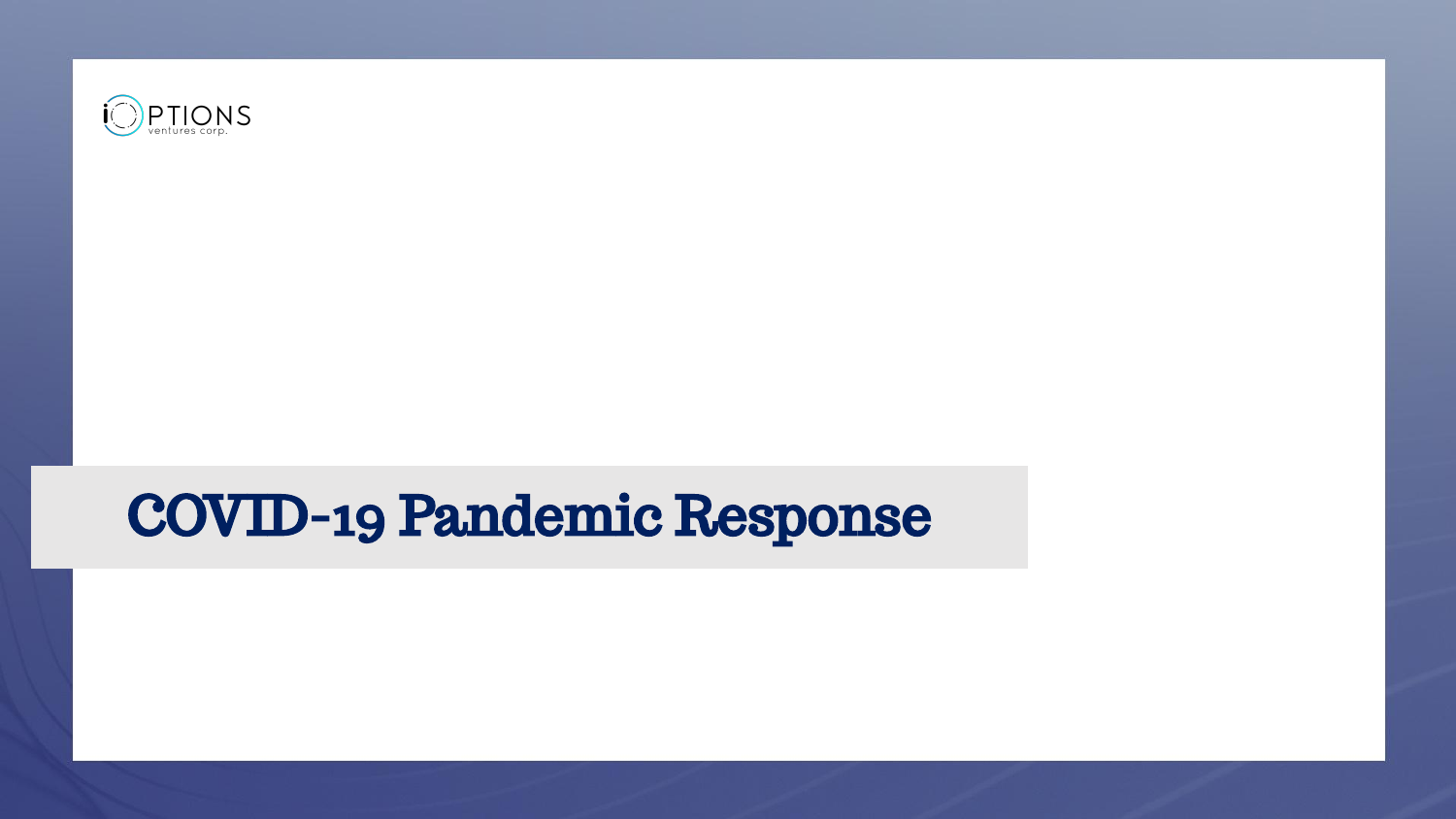

## COVID-19 Pandemic Response

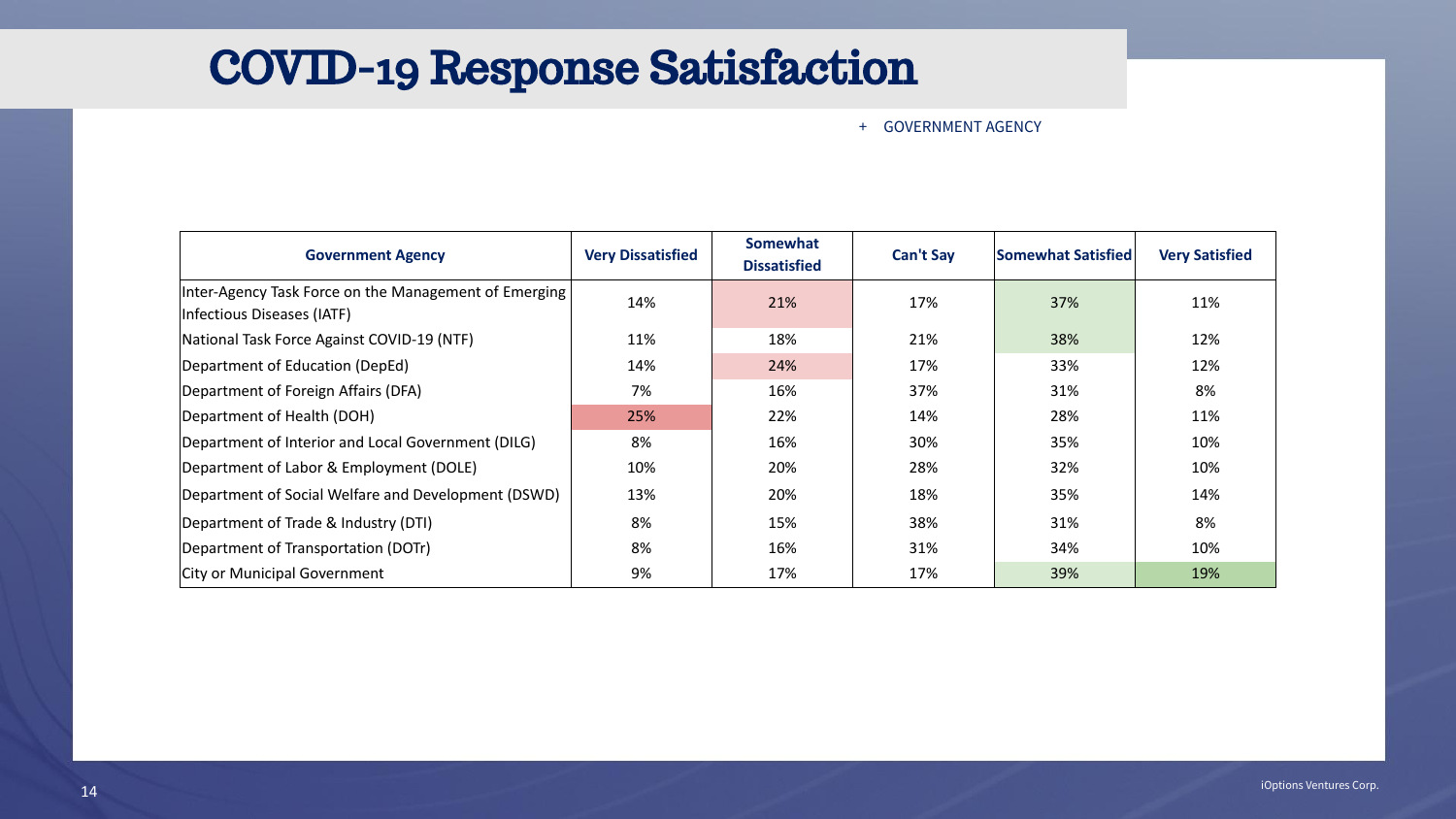### COVID-19 Response Satisfaction

### + GOVERNMENT AGENCY

| <b>Government Agency</b>                                                            | <b>Very Dissatisfied</b> | <b>Somewhat</b><br><b>Dissatisfied</b> | <b>Can't Say</b> | <b>Somewhat Satisfied</b> | <b>Very Satisfied</b> |
|-------------------------------------------------------------------------------------|--------------------------|----------------------------------------|------------------|---------------------------|-----------------------|
| Inter-Agency Task Force on the Management of Emerging<br>Infectious Diseases (IATF) | 14%                      | 21%                                    | 17%              | 37%                       | 11%                   |
| National Task Force Against COVID-19 (NTF)                                          | 11%                      | 18%                                    | 21%              | 38%                       | 12%                   |
| Department of Education (DepEd)                                                     | 14%                      | 24%                                    | 17%              | 33%                       | 12%                   |
| Department of Foreign Affairs (DFA)                                                 | 7%                       | 16%                                    | 37%              | 31%                       | 8%                    |
| Department of Health (DOH)                                                          | 25%                      | 22%                                    | 14%              | 28%                       | 11%                   |
| Department of Interior and Local Government (DILG)                                  | 8%                       | 16%                                    | 30%              | 35%                       | 10%                   |
| Department of Labor & Employment (DOLE)                                             | 10%                      | 20%                                    | 28%              | 32%                       | 10%                   |
| Department of Social Welfare and Development (DSWD)                                 | 13%                      | 20%                                    | 18%              | 35%                       | 14%                   |
| Department of Trade & Industry (DTI)                                                | 8%                       | 15%                                    | 38%              | 31%                       | 8%                    |
| Department of Transportation (DOTr)                                                 | 8%                       | 16%                                    | 31%              | 34%                       | 10%                   |
| <b>City or Municipal Government</b>                                                 | 9%                       | 17%                                    | 17%              | 39%                       | 19%                   |

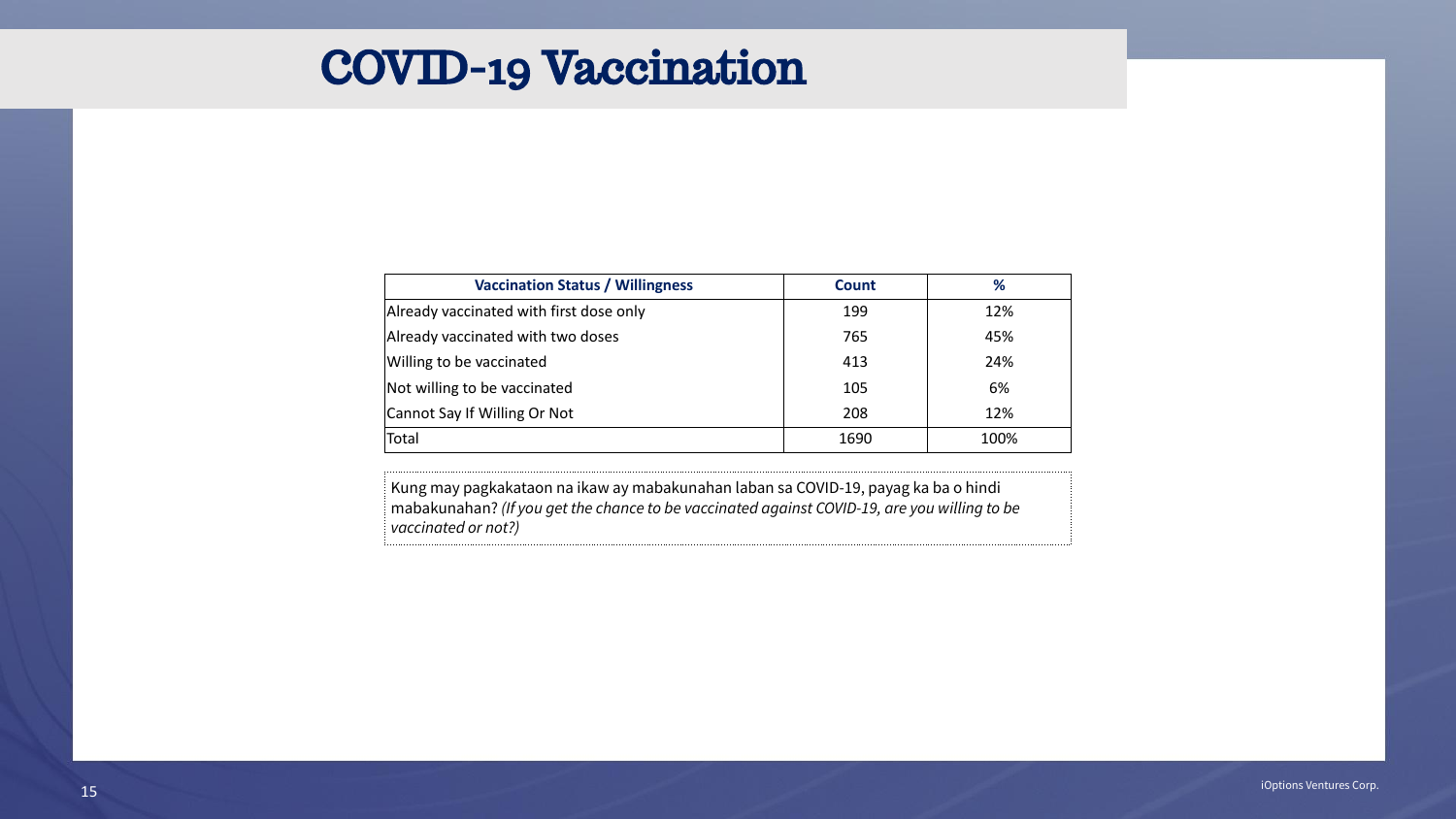## COVID-19 Vaccination

| <b>Vaccination Status / Willingness</b> | <b>Count</b> | %    |
|-----------------------------------------|--------------|------|
| Already vaccinated with first dose only | 199          | 12%  |
| Already vaccinated with two doses       | 765          | 45%  |
| Willing to be vaccinated                | 413          | 24%  |
| Not willing to be vaccinated            | 105          | 6%   |
| Cannot Say If Willing Or Not            | 208          | 12%  |
| Total                                   | 1690         | 100% |

| Count | %    |
|-------|------|
| 199   | 12%  |
| 765   | 45%  |
| 413   | 24%  |
| 105   | 6%   |
| 208   | 12%  |
| 1690  | 100% |

Kung may pagkakataon na ikaw ay mabakunahan laban sa COVID-19, payag ka ba o hindi mabakunahan? *(If you get the chance to be vaccinated against COVID-19, are you willing to be vaccinated or not?)*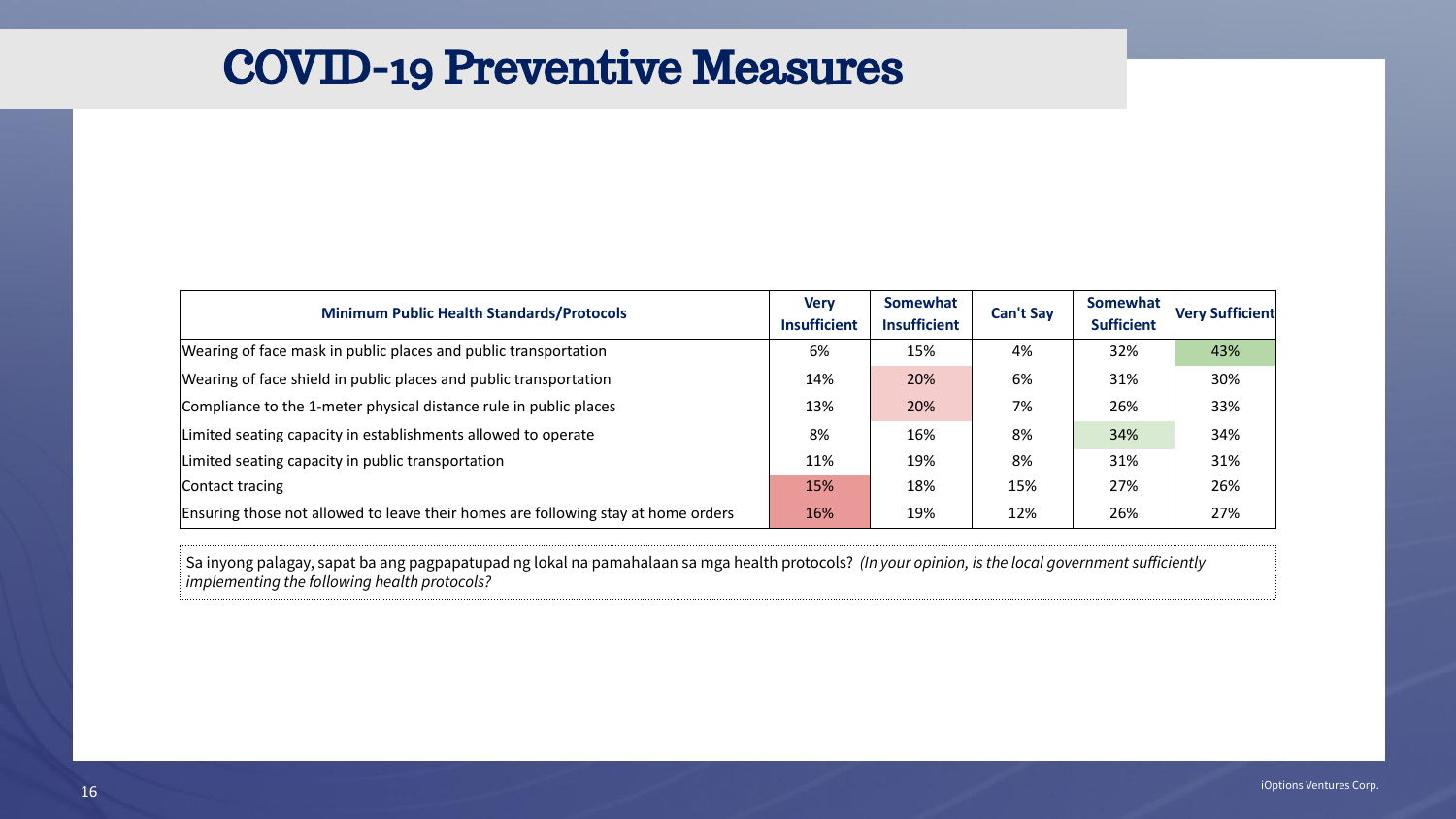### COVID-19 Preventive Measures

| <b>Minimum Public Health Standards/Protocols</b>                                  | <b>Very</b><br><b>Insufficient</b> | Somewhat<br><b>Insufficient</b> | <b>Can't Say</b> | Somewhat<br><b>Sufficient</b> | <b>Very Sufficient</b> |
|-----------------------------------------------------------------------------------|------------------------------------|---------------------------------|------------------|-------------------------------|------------------------|
| Wearing of face mask in public places and public transportation                   | 6%                                 | 15%                             | 4%               | 32%                           | 43%                    |
| Wearing of face shield in public places and public transportation                 | 14%                                | 20%                             | 6%               | 31%                           | 30%                    |
| Compliance to the 1-meter physical distance rule in public places                 | 13%                                | 20%                             | 7%               | 26%                           | 33%                    |
| Limited seating capacity in establishments allowed to operate                     | 8%                                 | 16%                             | 8%               | 34%                           | 34%                    |
| Limited seating capacity in public transportation                                 | 11%                                | 19%                             | 8%               | 31%                           | 31%                    |
| Contact tracing                                                                   | 15%                                | 18%                             | 15%              | 27%                           | 26%                    |
| Ensuring those not allowed to leave their homes are following stay at home orders | 16%                                | 19%                             | 12%              | 26%                           | 27%                    |

Sa inyong palagay, sapat ba ang pagpapatupad ng lokal na pamahalaan sa mga health protocols? *(In your opinion, is the local government sufficiently implementing the following health protocols?*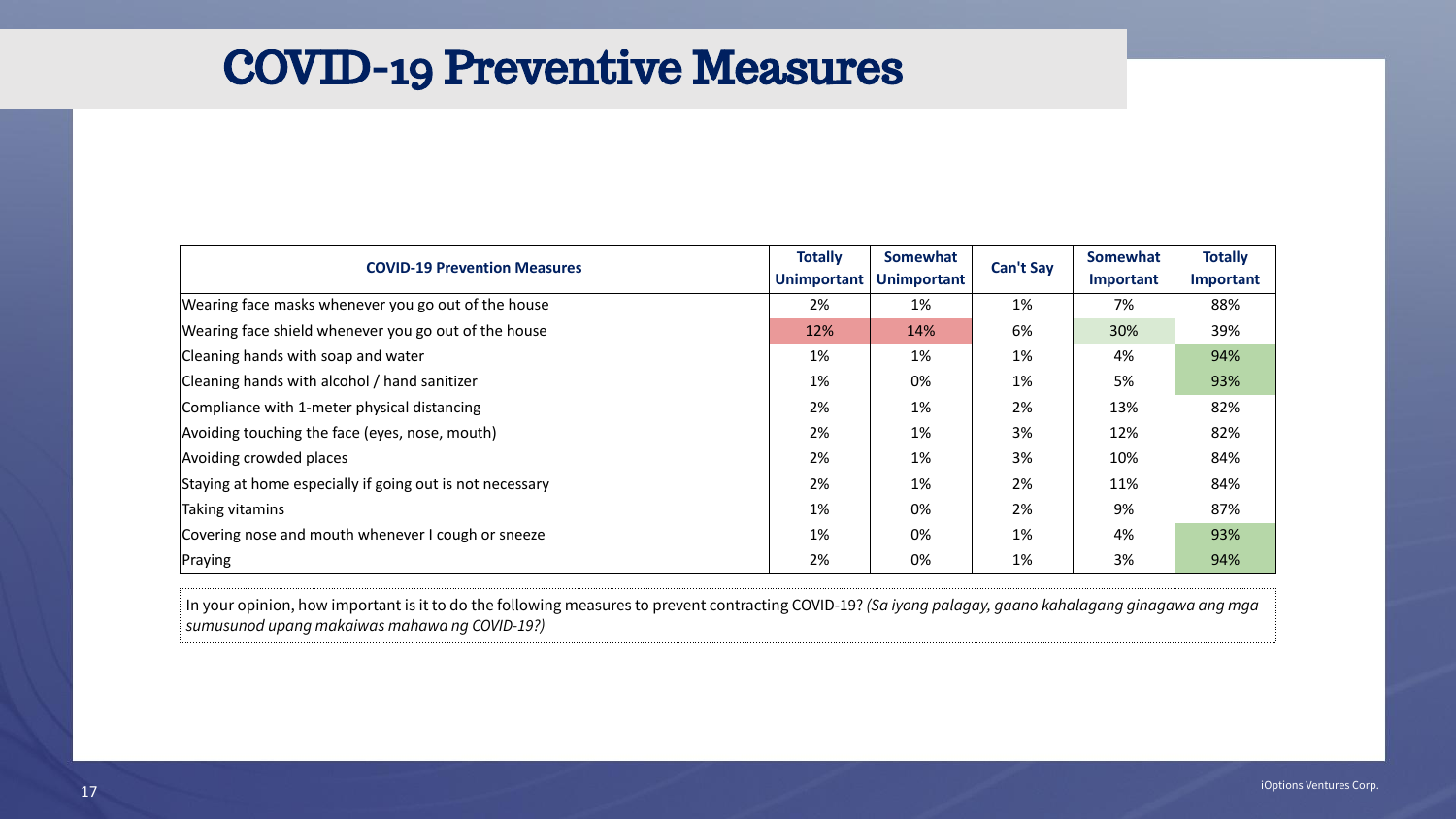### COVID-19 Preventive Measures

| <b>COVID-19 Prevention Measures</b>                      | <b>Totally</b><br><b>Unimportant</b> | Somewhat<br><b>Unimportant</b> | <b>Can't Say</b> | Somewhat<br>Important | <b>Totally</b><br>Important |
|----------------------------------------------------------|--------------------------------------|--------------------------------|------------------|-----------------------|-----------------------------|
| Wearing face masks whenever you go out of the house      | 2%                                   | 1%                             | 1%               | 7%                    | 88%                         |
| Wearing face shield whenever you go out of the house     | 12%                                  | <b>14%</b>                     | 6%               | 30%                   | 39%                         |
| Cleaning hands with soap and water                       | 1%                                   | 1%                             | 1%               | 4%                    | 94%                         |
| Cleaning hands with alcohol / hand sanitizer             | 1%                                   | 0%                             | 1%               | 5%                    | 93%                         |
| Compliance with 1-meter physical distancing              | 2%                                   | 1%                             | 2%               | 13%                   | 82%                         |
| Avoiding touching the face (eyes, nose, mouth)           | 2%                                   | 1%                             | 3%               | 12%                   | 82%                         |
| Avoiding crowded places                                  | 2%                                   | 1%                             | 3%               | 10%                   | 84%                         |
| Staying at home especially if going out is not necessary | 2%                                   | 1%                             | 2%               | 11%                   | 84%                         |
| Taking vitamins                                          | 1%                                   | 0%                             | 2%               | 9%                    | 87%                         |
| Covering nose and mouth whenever I cough or sneeze       | 1%                                   | 0%                             | $1\%$            | 4%                    | 93%                         |
| Praying                                                  | 2%                                   | 0%                             | 1%               | 3%                    | 94%                         |

In your opinion, how important is it to do the following measures to prevent contracting COVID-19? *(Sa iyong palagay, gaano kahalagang ginagawa ang mga sumusunod upang makaiwas mahawa ng COVID-19?)*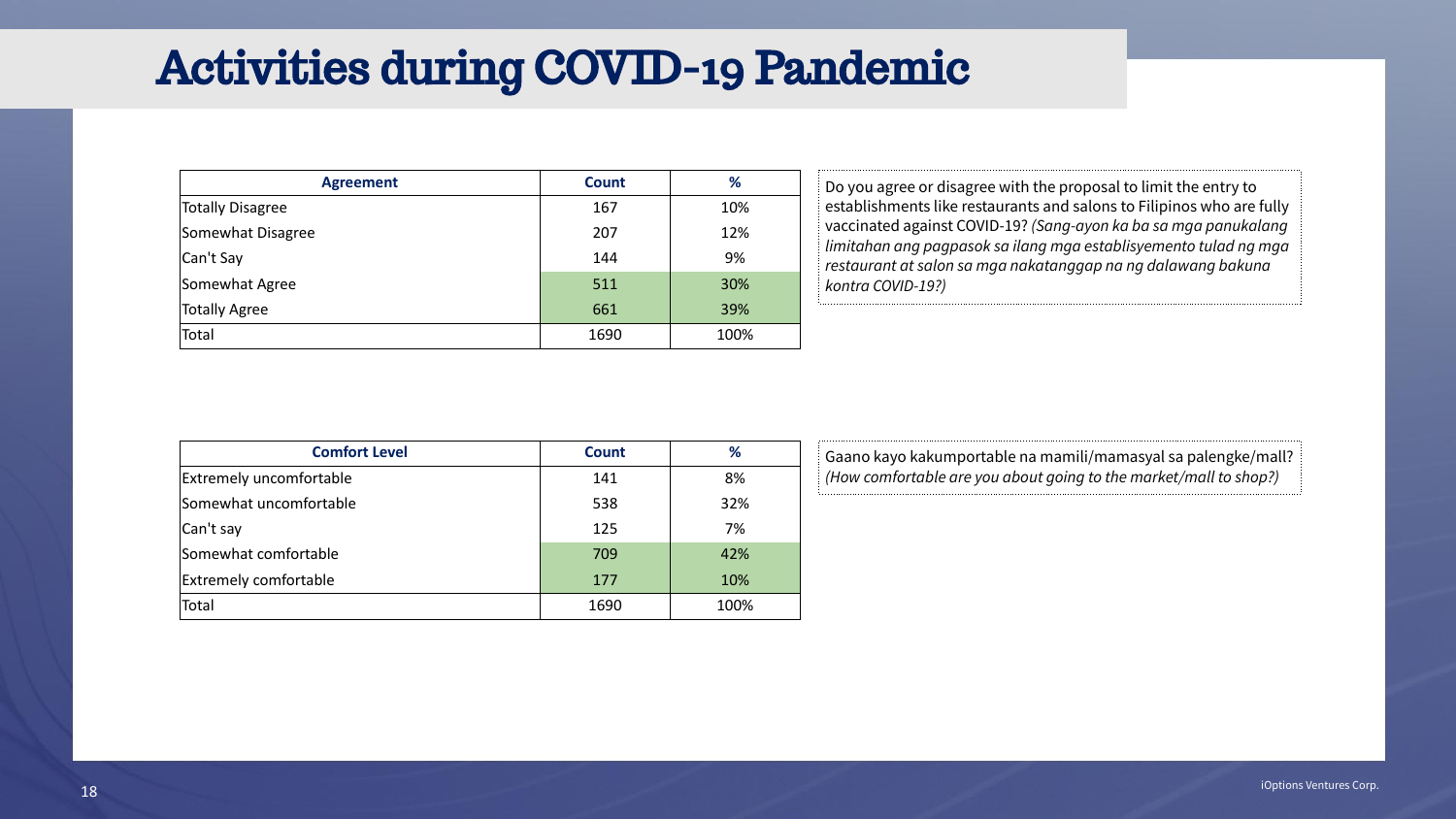Gaano kayo kakumportable na mamili/mamasyal sa palengke/mall? *(How comfortable are you about going to the market/mall to shop?)*

## Activities during COVID-19 Pandemic

| <b>Agreement</b>        | <b>Count</b> | %    |
|-------------------------|--------------|------|
| <b>Totally Disagree</b> | 167          | 10%  |
| Somewhat Disagree       | 207          | 12%  |
| Can't Say               | 144          | 9%   |
| Somewhat Agree          | 511          | 30%  |
| <b>Totally Agree</b>    | 661          | 39%  |
| Total                   | 1690         | 100% |

| <b>Comfort Level</b>           | <b>Count</b> | %    |
|--------------------------------|--------------|------|
| <b>Extremely uncomfortable</b> | 141          | 8%   |
| Somewhat uncomfortable         | 538          | 32%  |
| Can't say                      | 125          | 7%   |
| Somewhat comfortable           | 709          | 42%  |
| <b>Extremely comfortable</b>   | 177          | 10%  |
| Total                          | 1690         | 100% |

Do you agree or disagree with the proposal to limit the entry to establishments like restaurants and salons to Filipinos who are fully vaccinated against COVID-19? *(Sang-ayon ka ba sa mga panukalang limitahan ang pagpasok sa ilang mga establisyemento tulad ng mga restaurant at salon sa mga nakatanggap na ng dalawang bakuna kontra COVID-19?)*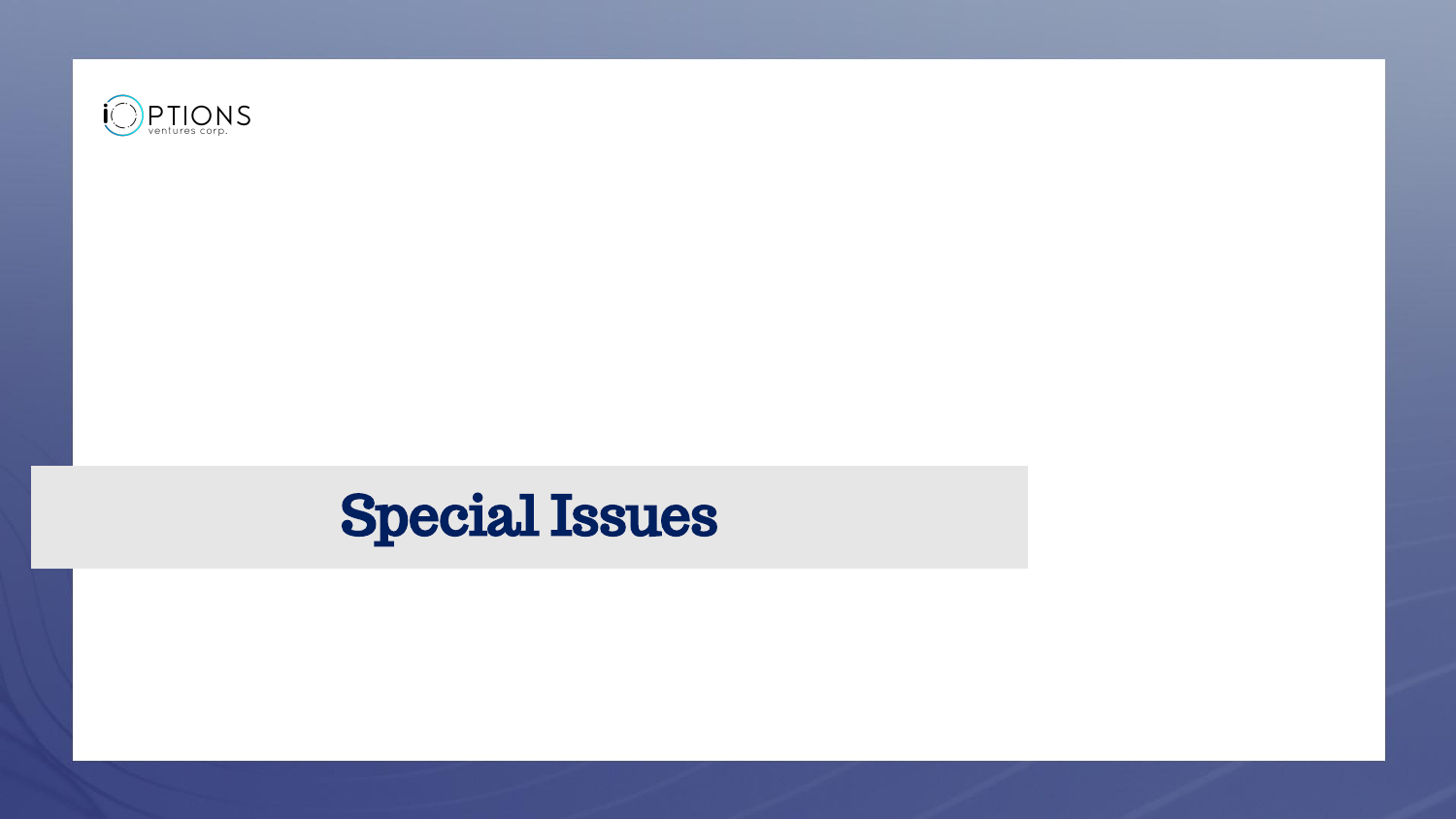

# Special Issues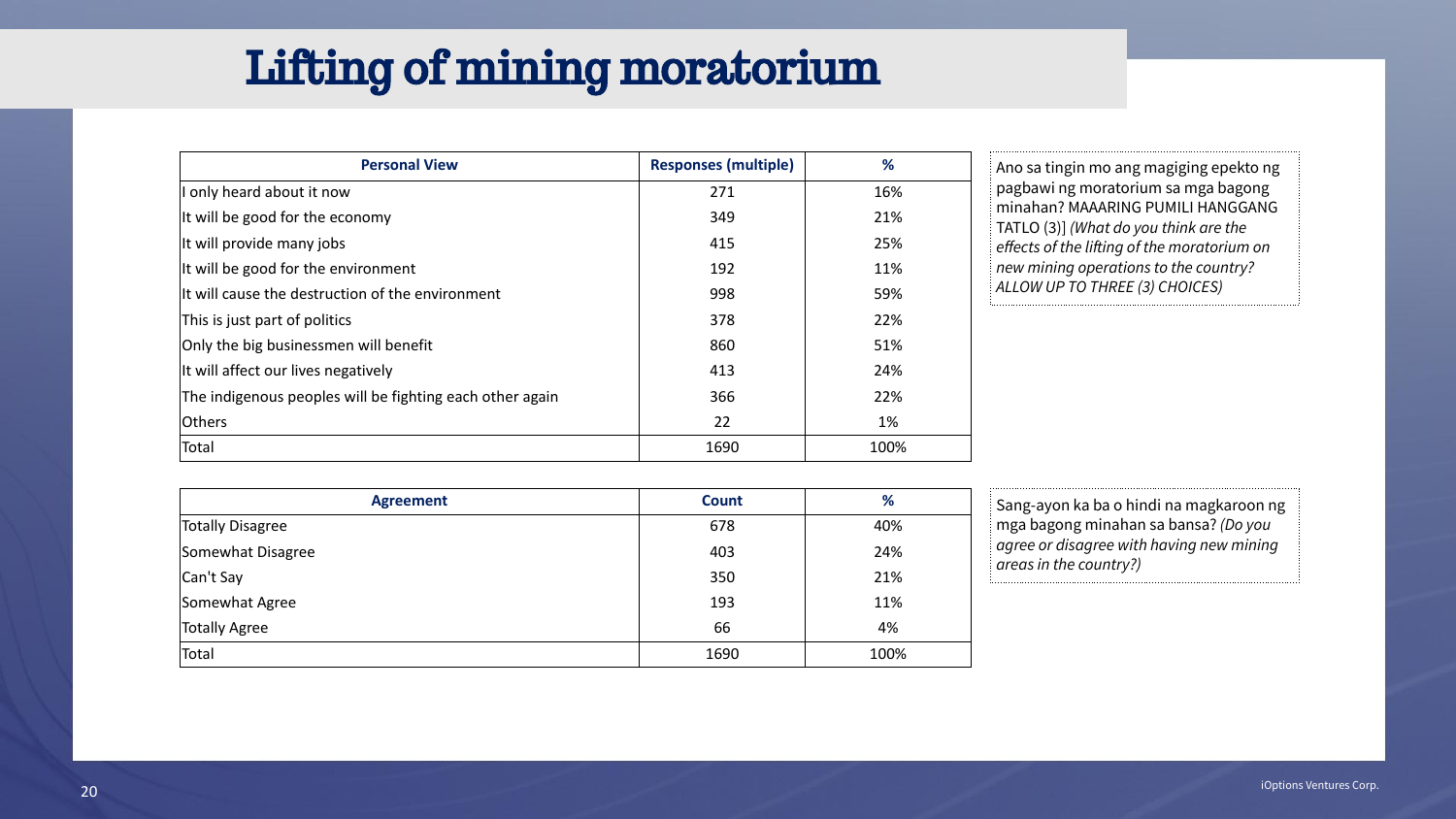## Lifting of mining moratorium

| <b>Personal View</b>                                     | <b>Responses (multiple)</b> | %     | Ano sa tingin mo ang magiging epekto ng                                    |
|----------------------------------------------------------|-----------------------------|-------|----------------------------------------------------------------------------|
| I only heard about it now                                | 271                         | 16%   | pagbawi ng moratorium sa mga bagong                                        |
| It will be good for the economy                          | 349                         | 21%   | minahan? MAAARING PUMILI HANGGANG<br>TATLO (3)] (What do you think are the |
| It will provide many jobs                                | 415                         | 25%   | effects of the lifting of the moratorium on                                |
| It will be good for the environment                      | 192                         | 11%   | new mining operations to the country?                                      |
| It will cause the destruction of the environment         | 998                         | 59%   | ALLOW UP TO THREE (3) CHOICES)                                             |
| This is just part of politics                            | 378                         | 22%   |                                                                            |
| Only the big businessmen will benefit                    | 860                         | 51%   |                                                                            |
| It will affect our lives negatively                      | 413                         | 24%   |                                                                            |
| The indigenous peoples will be fighting each other again | 366                         | 22%   |                                                                            |
| <b>Others</b>                                            | 22                          | $1\%$ |                                                                            |
| Total                                                    | 1690                        | 100%  |                                                                            |
|                                                          |                             |       |                                                                            |

| <b>Agreement</b>        | <b>Count</b> | %    |
|-------------------------|--------------|------|
| <b>Totally Disagree</b> | 678          | 40%  |
| Somewhat Disagree       | 403          | 24%  |
| Can't Say               | 350          | 21%  |
| Somewhat Agree          | 193          | 11%  |
| Totally Agree           | 66           | 4%   |
| 'Total                  | 1690         | 100% |

| %    |  |
|------|--|
| 40%  |  |
| 24%  |  |
| 21%  |  |
| 11%  |  |
| 4%   |  |
| 100% |  |

Sang-ayon ka ba o hindi na magkaroon ng mga bagong minahan sa bansa? *(Do you agree or disagree with having new mining areas in the country?)*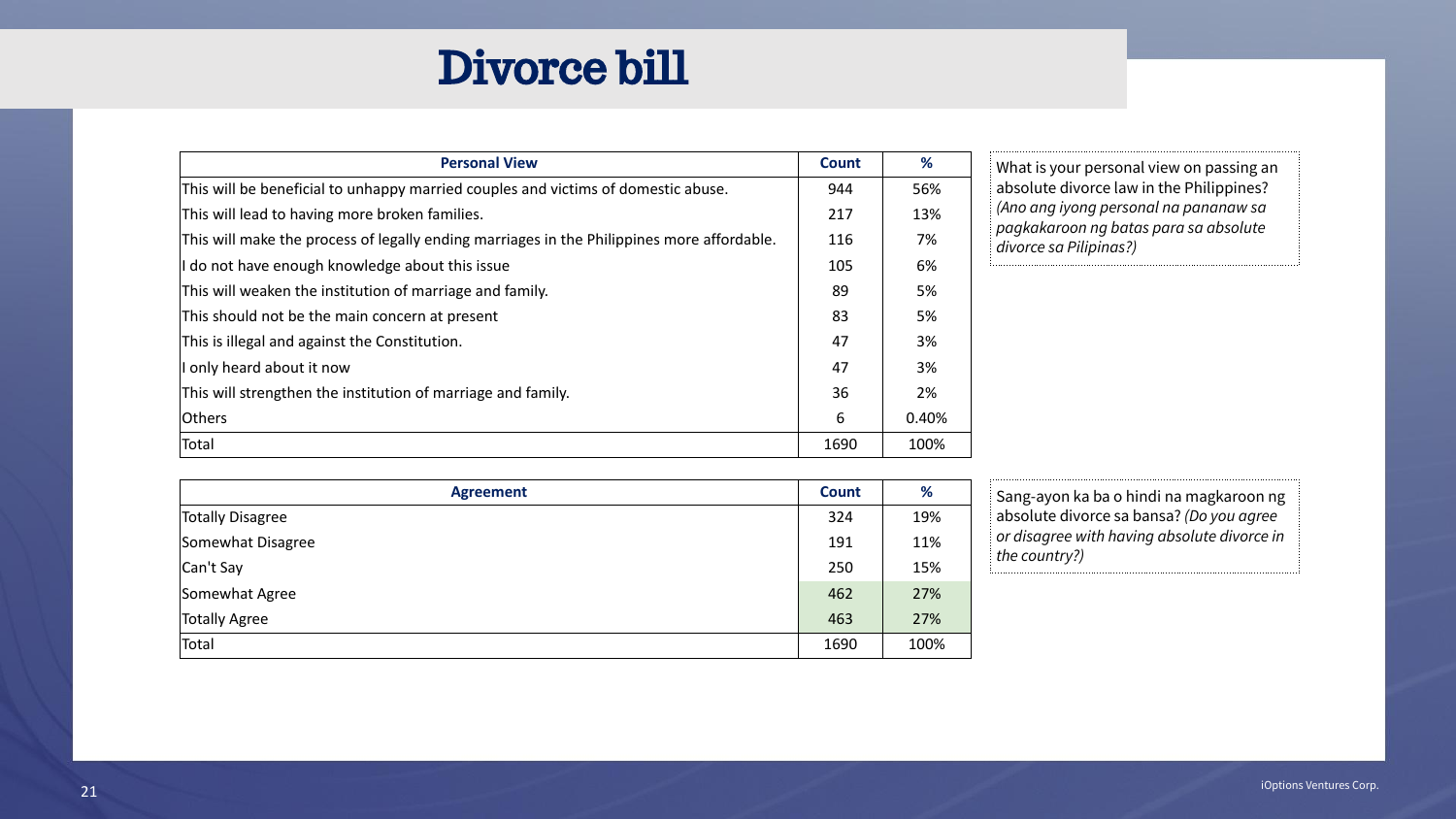## Divorce bill

| <b>Personal View</b>                                                                       | <b>Count</b> | %     | What is your personal view on passing an                        |
|--------------------------------------------------------------------------------------------|--------------|-------|-----------------------------------------------------------------|
| This will be beneficial to unhappy married couples and victims of domestic abuse.          |              | 56%   | absolute divorce law in the Philippines?                        |
| This will lead to having more broken families.                                             | 217          | 13%   | (Ano ang iyong personal na pananaw sa                           |
| This will make the process of legally ending marriages in the Philippines more affordable. | 116          | 7%    | pagkakaroon ng batas para sa absolute<br>divorce sa Pilipinas?) |
| I do not have enough knowledge about this issue                                            | 105          | 6%    |                                                                 |
| This will weaken the institution of marriage and family.                                   | 89           | 5%    |                                                                 |
| This should not be the main concern at present                                             | 83           | 5%    |                                                                 |
| This is illegal and against the Constitution.                                              | 47           | 3%    |                                                                 |
| I only heard about it now                                                                  | 47           | 3%    |                                                                 |
| This will strengthen the institution of marriage and family.                               | 36           | 2%    |                                                                 |
| Others                                                                                     | 6            | 0.40% |                                                                 |
| Total                                                                                      | 1690         | 100%  |                                                                 |
| <b>Agreement</b>                                                                           | <b>Count</b> | %     | Sang-ayon ka ba o hindi na magkaroon ng                         |
| <b>Totally Disagree</b>                                                                    | 324          | 19%   | absolute divorce sa bansa? (Do you agree                        |
| Somewhat Disagree                                                                          |              | 11%   | or disagree with having absolute divorce in                     |
| $Can't$ Sav                                                                                | 250          | 15%   | the country?)                                                   |

| <b>Agreement</b>        | <b>Count</b> | %    |
|-------------------------|--------------|------|
| <b>Totally Disagree</b> | 324          | 19%  |
| Somewhat Disagree       | 191          | 11%  |
| Can't Say               | 250          | 15%  |
| Somewhat Agree          | 462          | 27%  |
| <b>Totally Agree</b>    | 463          | 27%  |
| Total                   | 1690         | 100% |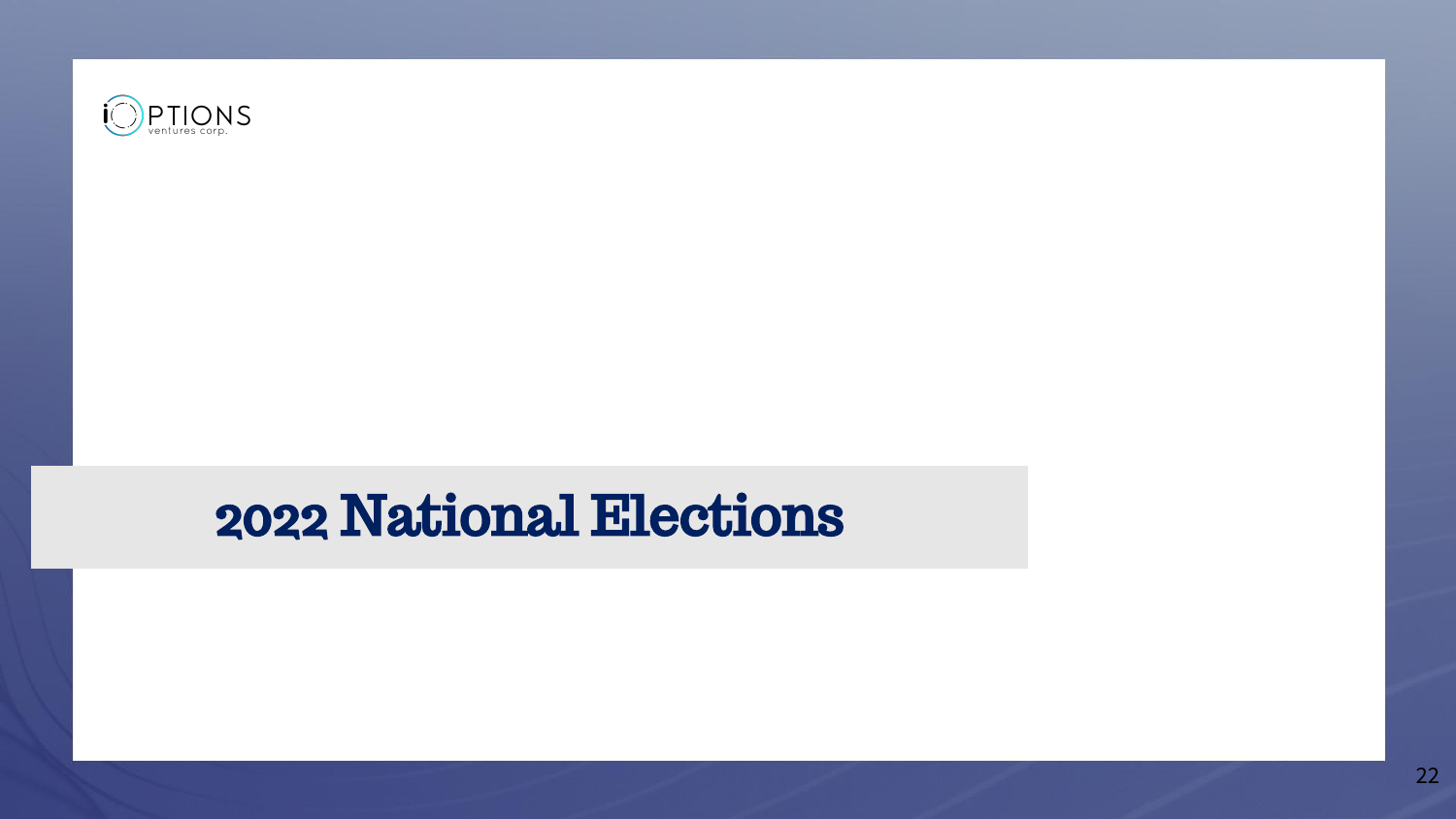

## 2022 National Elections

22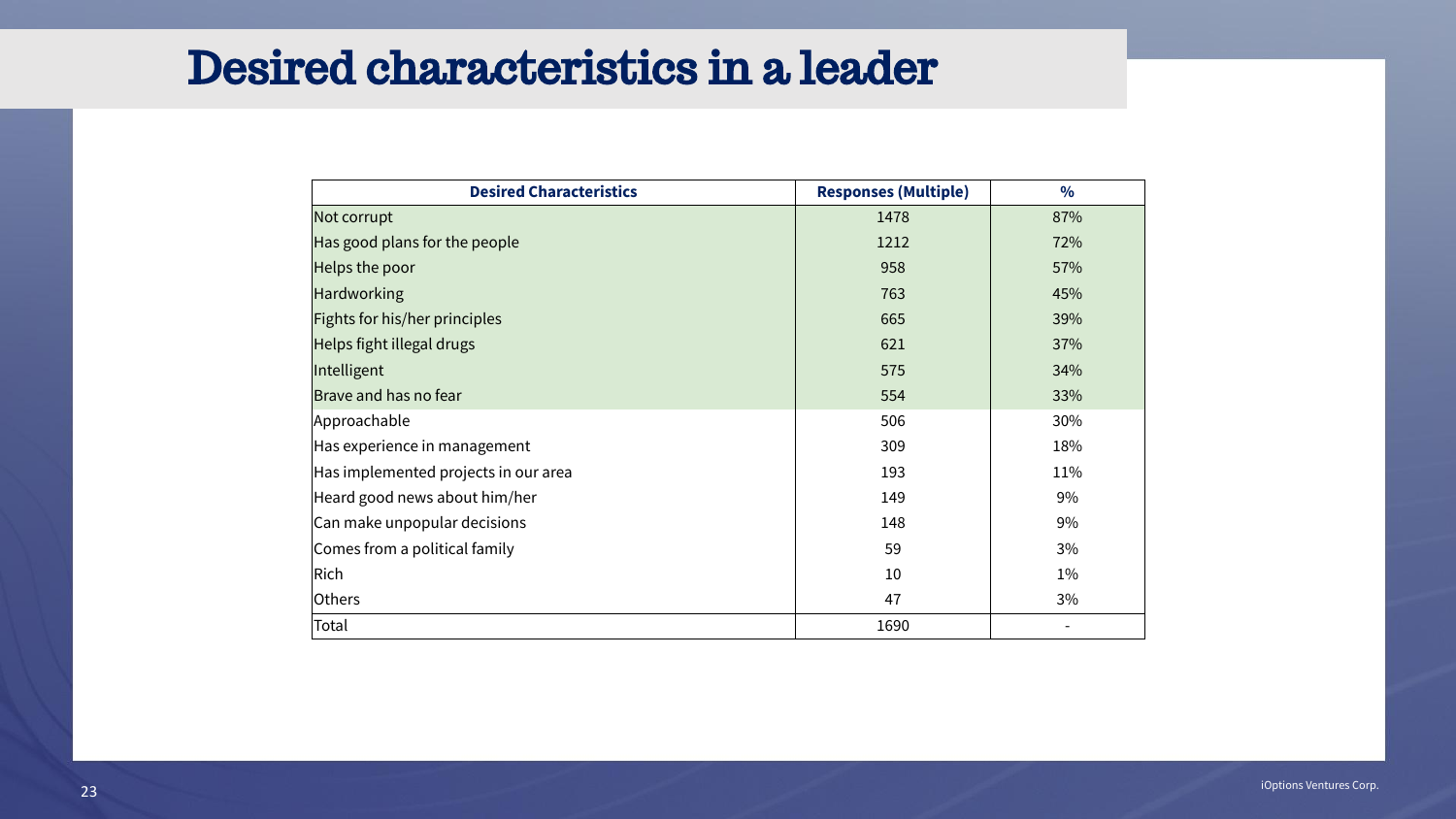## Desired characteristics in a leader

| <b>Desired Characteristics</b>       | <b>Responses (Multiple)</b> | $\frac{0}{0}$ |
|--------------------------------------|-----------------------------|---------------|
| Not corrupt                          | 1478                        | 87%           |
| Has good plans for the people        | 1212                        | 72%           |
| Helps the poor                       | 958                         | 57%           |
| <b>Hardworking</b>                   | 763                         | 45%           |
| <b>Fights for his/her principles</b> | 665                         | 39%           |
| Helps fight illegal drugs            | 621                         | 37%           |
| Intelligent                          | 575                         | 34%           |
| Brave and has no fear                | 554                         | 33%           |
| Approachable                         | 506                         | 30%           |
| Has experience in management         | 309                         | 18%           |
| Has implemented projects in our area | 193                         | 11%           |
| Heard good news about him/her        | 149                         | 9%            |
| Can make unpopular decisions         | 148                         | 9%            |
| Comes from a political family        | 59                          | 3%            |
| Rich                                 | 10                          | $1\%$         |
| Others                               | 47                          | 3%            |
| Total                                | 1690                        |               |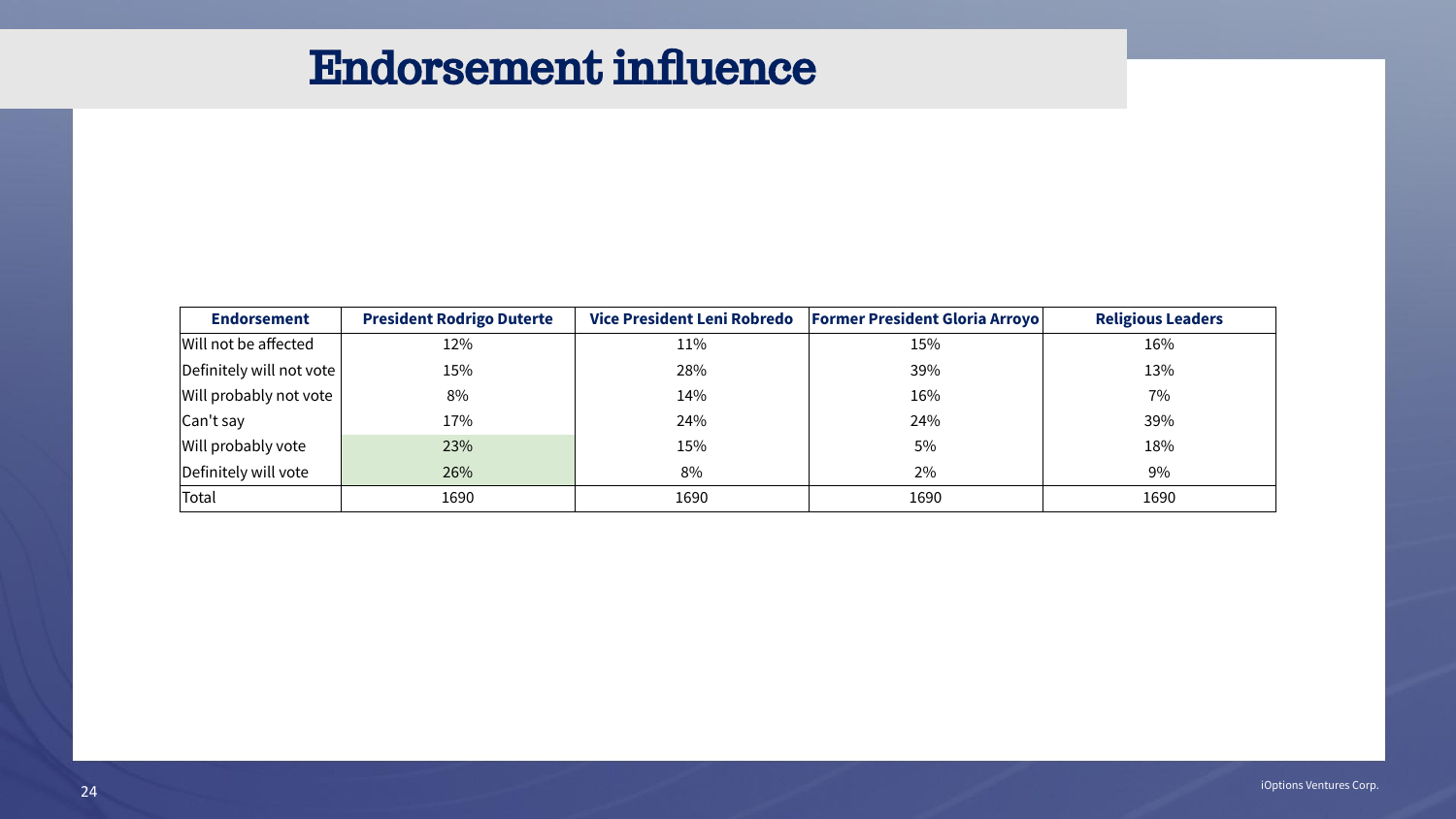### Endorsement influence

| <b>Endorsement</b>           | <b>President Rodrigo Duterte</b> | Vice President Leni Robredo | <b>Former President Gloria Arroyo</b> | <b>Religious Leaders</b> |
|------------------------------|----------------------------------|-----------------------------|---------------------------------------|--------------------------|
| Will not be affected         | 12%                              | $11\%$                      | 15%                                   | 16%                      |
| Definitely will not vote $ $ | 15%                              | 28%                         | 39%                                   | 13%                      |
| Will probably not vote       | 8%                               | 14%                         | 16%                                   | 7%                       |
| Can't say                    | 17%                              | 24%                         | 24%                                   | 39%                      |
| Will probably vote           | 23%                              | 15%                         | 5%                                    | 18%                      |
| Definitely will vote         | 26%                              | 8%                          | 2%                                    | 9%                       |
| Total                        | 1690                             | 1690                        | 1690                                  | 1690                     |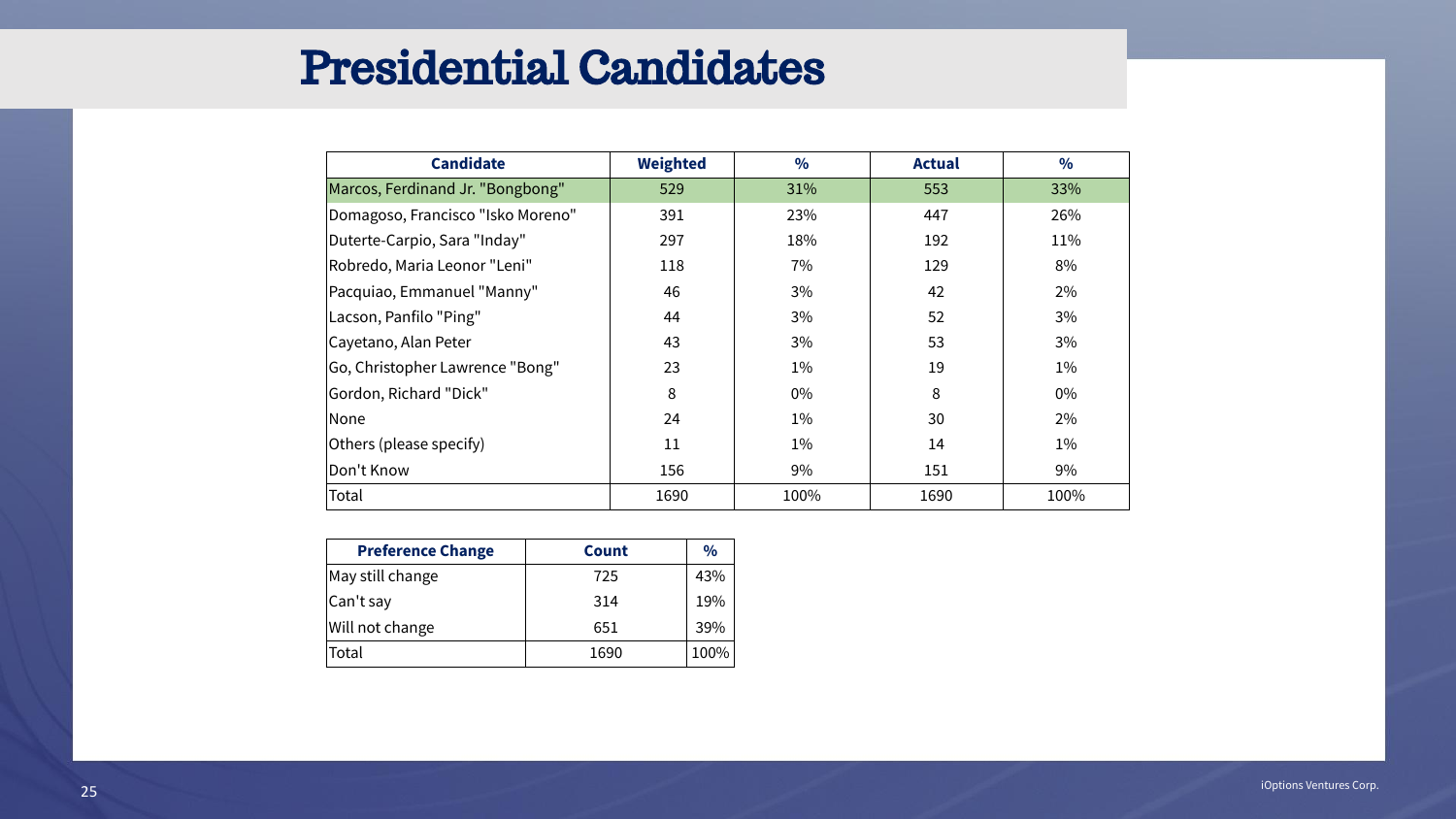### Presidential Candidates

| <b>Candidate</b>                  | <b>Weighted</b> | $\frac{0}{0}$ | <b>Actual</b> | $\frac{0}{0}$ |
|-----------------------------------|-----------------|---------------|---------------|---------------|
| Marcos, Ferdinand Jr. "Bongbong"  | 529             | 31%           | 553           | 33%           |
| Domagoso, Francisco "Isko Moreno" | 391             | 23%           | 447           | 26%           |
| Duterte-Carpio, Sara "Inday"      | 297             | 18%           | 192           | 11%           |
| Robredo, Maria Leonor "Leni"      | 118             | $7\%$         | 129           | 8%            |
| Pacquiao, Emmanuel "Manny"        | 46              | 3%            | 42            | 2%            |
| Lacson, Panfilo "Ping"            | 44              | 3%            | 52            | 3%            |
| Cayetano, Alan Peter              | 43              | 3%            | 53            | 3%            |
| Go, Christopher Lawrence "Bong"   | 23              | $1\%$         | 19            | $1\%$         |
| Gordon, Richard "Dick"            | 8               | $0\%$         | 8             | $0\%$         |
| <b>None</b>                       | 24              | $1\%$         | 30            | 2%            |
| Others (please specify)           | 11              | $1\%$         | 14            | $1\%$         |
| Don't Know                        | 156             | $9\%$         | 151           | 9%            |
| Total                             | 1690            | 100%          | 1690          | 100%          |

| <b>Preference Change</b>             | <b>Count</b> | $\frac{0}{0}$ |
|--------------------------------------|--------------|---------------|
| May still change                     | 725          | 43%           |
| $\operatorname{\mathsf{Can}}'$ t say | 314          | 19%           |
| Will not change                      | 651          | 39%           |
| Total                                | 1690         | 100%          |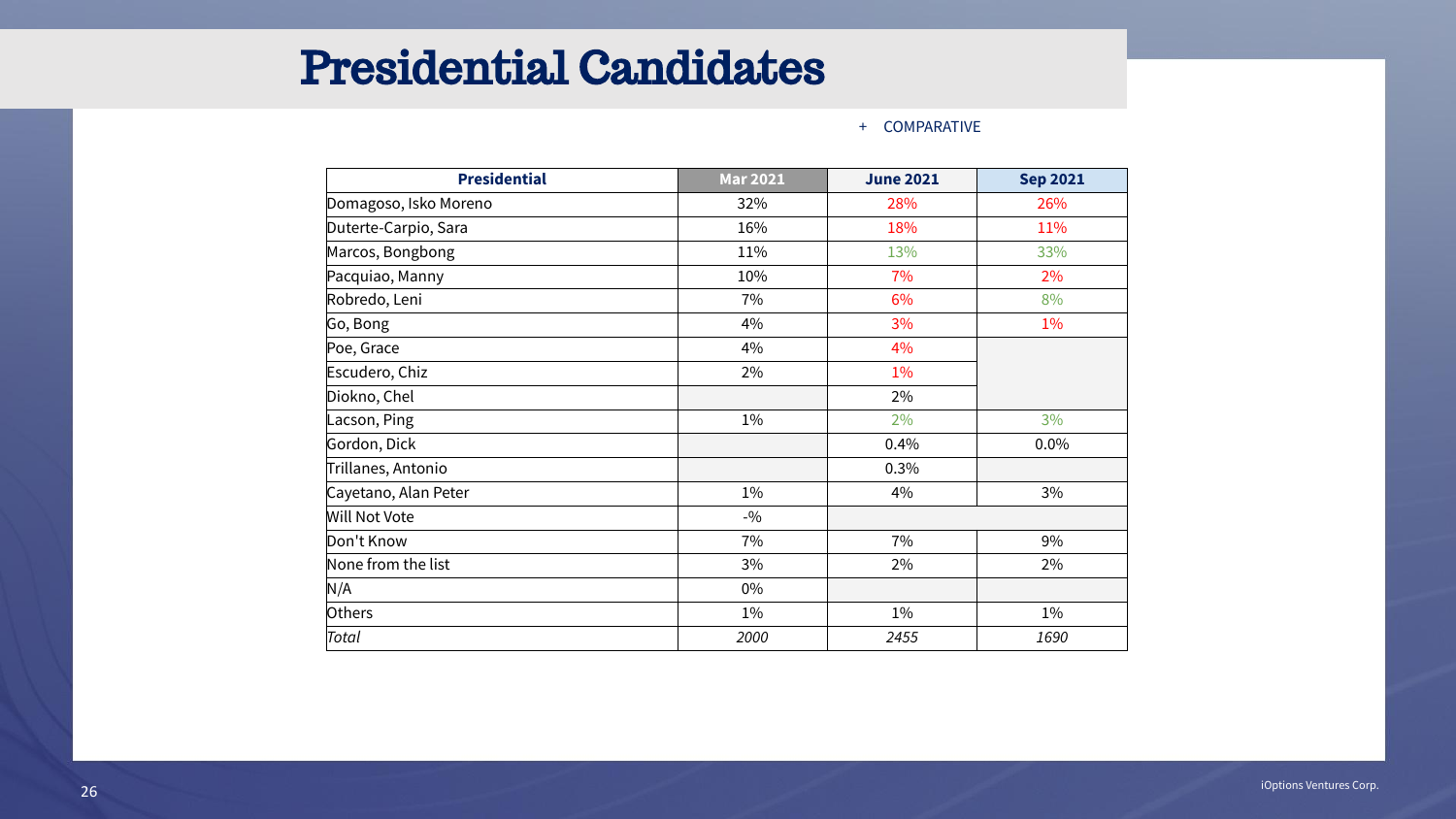### + COMPARATIVE

| <b>Presidential</b>   | <b>Mar 2021</b> | <b>June 2021</b> | <b>Sep 2021</b> |
|-----------------------|-----------------|------------------|-----------------|
| Domagoso, Isko Moreno | 32%             | 28%              | 26%             |
| Duterte-Carpio, Sara  | 16%             | 18%              | 11%             |
| Marcos, Bongbong      | 11%             | 13%              | 33%             |
| Pacquiao, Manny       | 10%             | 7%               | $2\%$           |
| Robredo, Leni         | 7%              | 6%               | 8%              |
| Go, Bong              | 4%              | 3%               | $1\%$           |
| Poe, Grace            | 4%              | 4%               |                 |
| Escudero, Chiz        | 2%              | $1\%$            |                 |
| Diokno, Chel          |                 | 2%               |                 |
| Lacson, Ping          | $1\%$           | 2%               | 3%              |
| Gordon, Dick          |                 | $0.4\%$          | $0.0\%$         |
| Trillanes, Antonio    |                 | $0.3\%$          |                 |
| Cayetano, Alan Peter  | $1\%$           | 4%               | 3%              |
| <b>Will Not Vote</b>  | $-9/0$          |                  |                 |
| Don't Know            | 7%              | 7%               | 9%              |
| None from the list    | 3%              | 2%               | 2%              |
| N/A                   | $0\%$           |                  |                 |
| Others                | $1\%$           | $1\%$            | $1\%$           |
| Total                 | 2000            | 2455             | 1690            |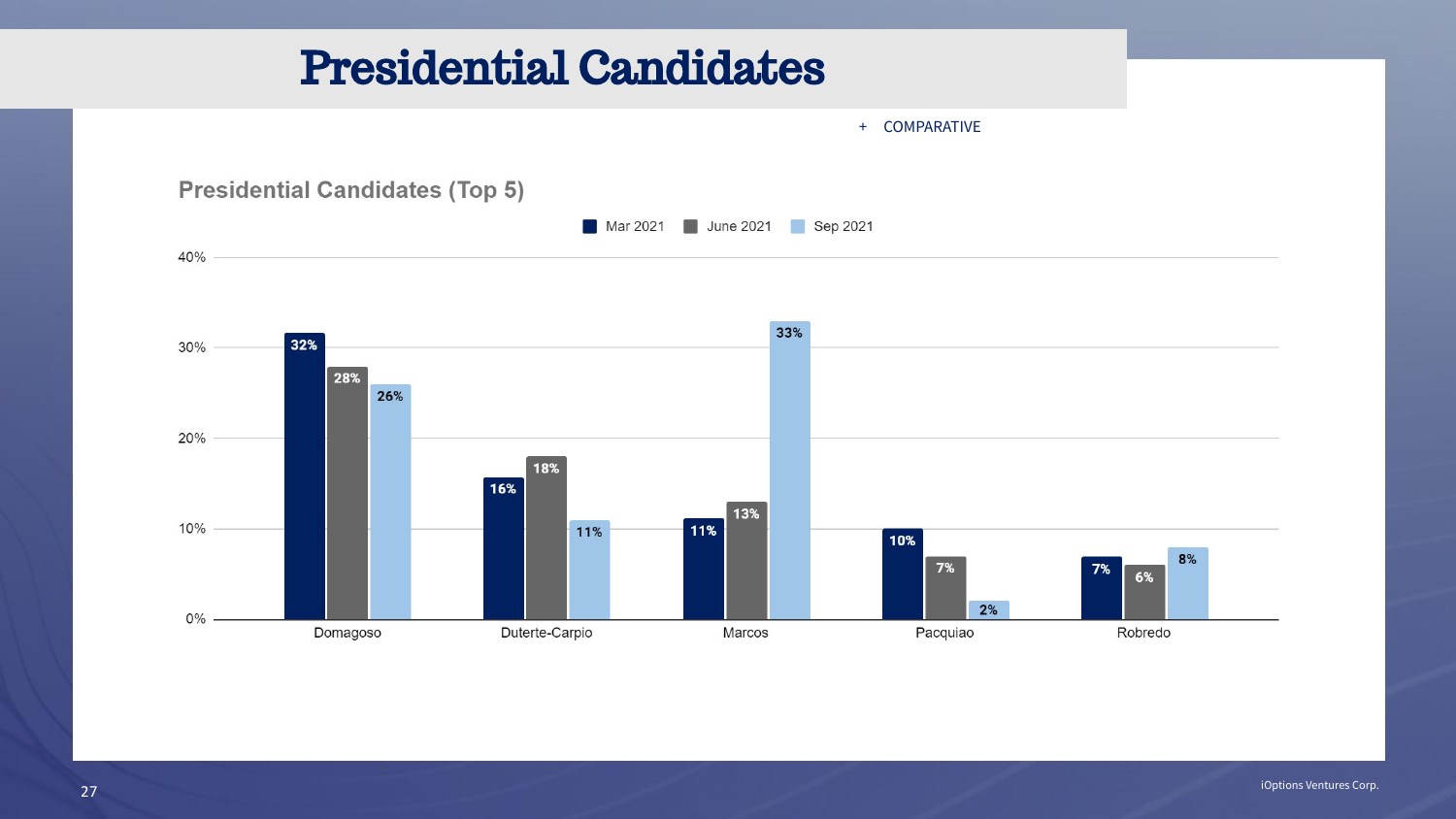### Presidential Candidates

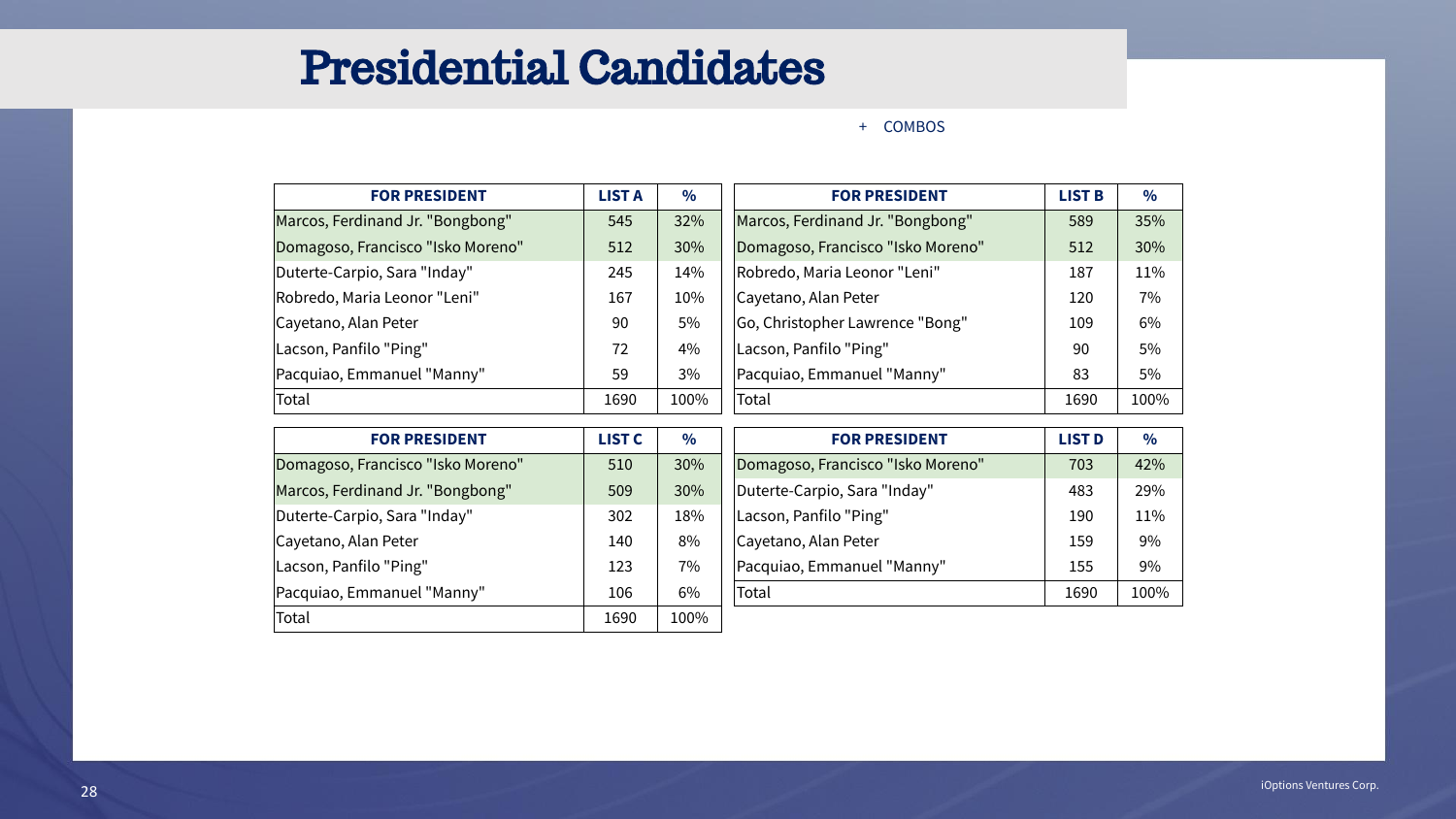### + COMBOS

| <b>FOR PRESIDENT</b>              | <b>LIST A</b> | $\frac{1}{2}$ | <b>FOR PRESIDENT</b>              | <b>LIST B</b> | $\frac{0}{0}$ |
|-----------------------------------|---------------|---------------|-----------------------------------|---------------|---------------|
| Marcos, Ferdinand Jr. "Bongbong"  | 545           | 32%           | Marcos, Ferdinand Jr. "Bongbong"  | 589           | 35%           |
| Domagoso, Francisco "Isko Moreno" | 512           | 30%           | Domagoso, Francisco "Isko Moreno" | 512           | 30%           |
| Duterte-Carpio, Sara "Inday"      | 245           | 14%           | Robredo, Maria Leonor "Leni"      | 187           | 11%           |
| Robredo, Maria Leonor "Leni"      | 167           | 10%           | Cayetano, Alan Peter              | 120           | 7%            |
| Cayetano, Alan Peter              | 90            | 5%            | Go, Christopher Lawrence "Bong"   | 109           | 6%            |
| Lacson, Panfilo "Ping"            | 72            | 4%            | Lacson, Panfilo "Ping"            | 90            | $5\%$         |
| Pacquiao, Emmanuel "Manny"        | 59            | 3%            | Pacquiao, Emmanuel "Manny"        | 83            | $5\%$         |
| Total                             | 1690          | 100%          | Total                             | 1690          | 100%          |

| <b>FOR PRESIDENT</b>              | <b>LIST C</b> | $\frac{0}{0}$ | <b>FOR PRESIDENT</b>              | <b>LIST D</b> | $\frac{0}{0}$ |
|-----------------------------------|---------------|---------------|-----------------------------------|---------------|---------------|
| Domagoso, Francisco "Isko Moreno" | 510           | 30%           | Domagoso, Francisco "Isko Moreno" | 703           | 42%           |
| Marcos, Ferdinand Jr. "Bongbong"  | 509           | 30%           | Duterte-Carpio, Sara "Inday"      | 483           | 29%           |
| Duterte-Carpio, Sara "Inday"      | 302           | 18%           | Lacson, Panfilo "Ping"            | 190           | 11%           |
| Cayetano, Alan Peter              | 140           | 8%            | Cayetano, Alan Peter              | 159           | 9%            |
| Lacson, Panfilo "Ping"            | 123           | $7\%$         | Pacquiao, Emmanuel "Manny"        | 155           | 9%            |
| Pacquiao, Emmanuel "Manny"        | 106           | $6\%$         | Total                             | 1690          | 100%          |
| Total                             | 1690          | 100%          |                                   |               |               |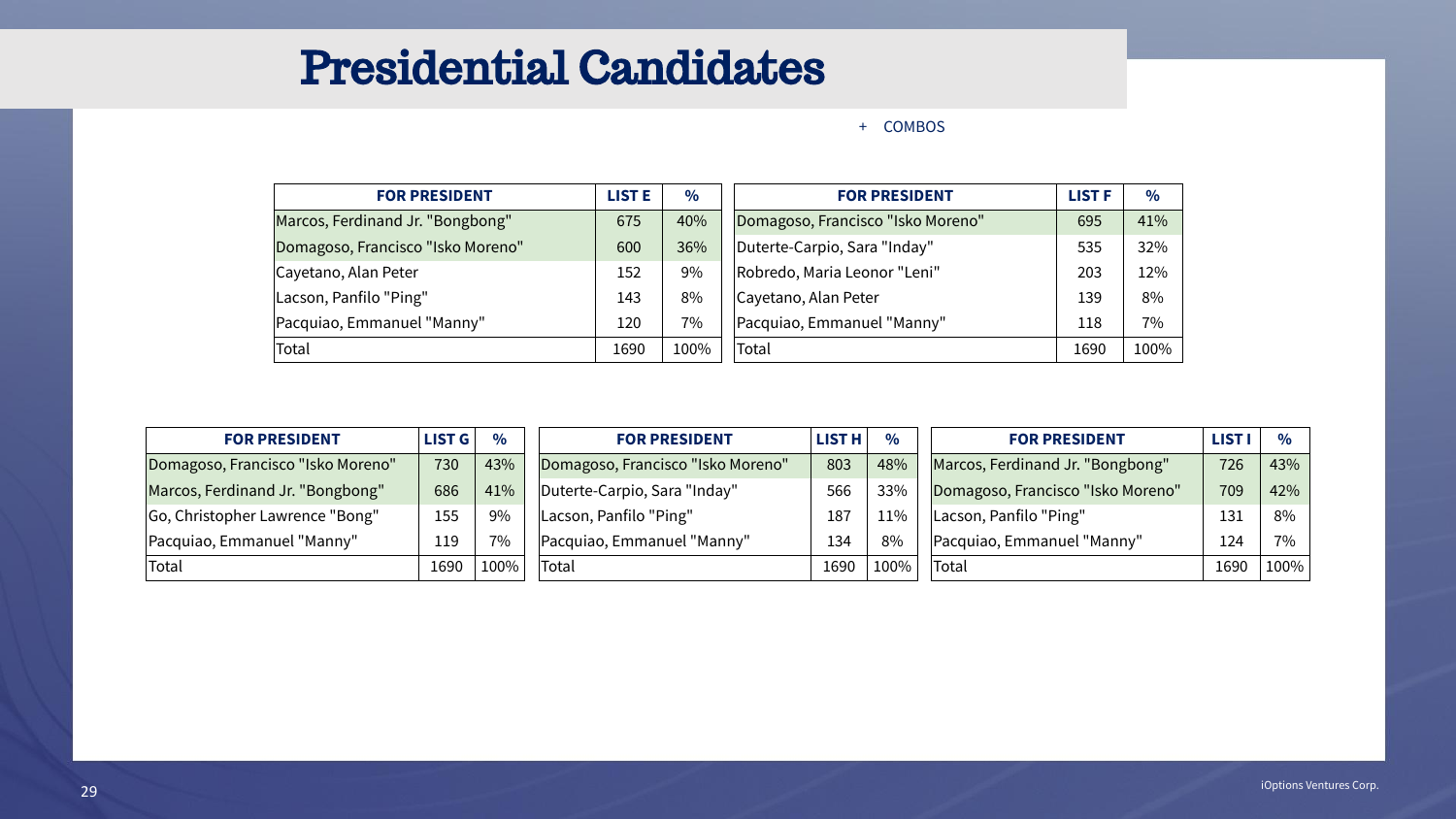### + COMBOS

| <b>FOR PRESIDENT</b>              | <b>LIST E</b> | $\frac{0}{0}$ | <b>FOR PRESIDENT</b>              | <b>LIST F</b> | $\frac{6}{6}$ |
|-----------------------------------|---------------|---------------|-----------------------------------|---------------|---------------|
| Marcos, Ferdinand Jr. "Bongbong"  | 675           | 40%           | Domagoso, Francisco "Isko Moreno" | 695           | 41%           |
| Domagoso, Francisco "Isko Moreno" | 600           | 36%           | Duterte-Carpio, Sara "Inday"      | 535           | 32%           |
| Cayetano, Alan Peter              | 152           | 9%            | Robredo, Maria Leonor "Leni"      | 203           | 12%           |
| Lacson, Panfilo "Ping"            | 143           | 8%            | Cayetano, Alan Peter              | 139           | 8%            |
| Pacquiao, Emmanuel "Manny"        | 120           | 7%            | Pacquiao, Emmanuel "Manny"        | 118           | 7%            |
| Total                             | 1690          | 100%          | Total                             | 1690          | 100%          |

| <b>FOR PRESIDENT</b>              | <b>LIST G</b> | $\frac{0}{0}$ | <b>LIST H</b><br><b>FOR PRESIDENT</b> |      | $\%$ | <b>FOR PRESIDENT</b>              | <b>LIST I</b> | $\%$   |
|-----------------------------------|---------------|---------------|---------------------------------------|------|------|-----------------------------------|---------------|--------|
| Domagoso, Francisco "Isko Moreno" | 730           | 43%           | Domagoso, Francisco "Isko Moreno"     | 803  | 48%  | Marcos, Ferdinand Jr. "Bongbong"  | 726           | 43%    |
| Marcos, Ferdinand Jr. "Bongbong"  | 686           | 41%           | Duterte-Carpio, Sara "Inday"          | 566  | 33%  | Domagoso, Francisco "Isko Moreno" | 709           | $42\%$ |
| Go, Christopher Lawrence "Bong"   | 155           | $9\%$         | Lacson, Panfilo "Ping"                | 187  | 11%  | Lacson, Panfilo "Ping"            | 131           | 8%     |
| Pacquiao, Emmanuel "Manny"        | 119           | $7\%$         | Pacquiao, Emmanuel "Manny"            | 134  | 8%   | Pacquiao, Emmanuel "Manny"        | 124           | $7\%$  |
| <b>Total</b>                      | 1690          | 100%          | Total                                 | 1690 | 100% | Total                             | 1690          | 100%   |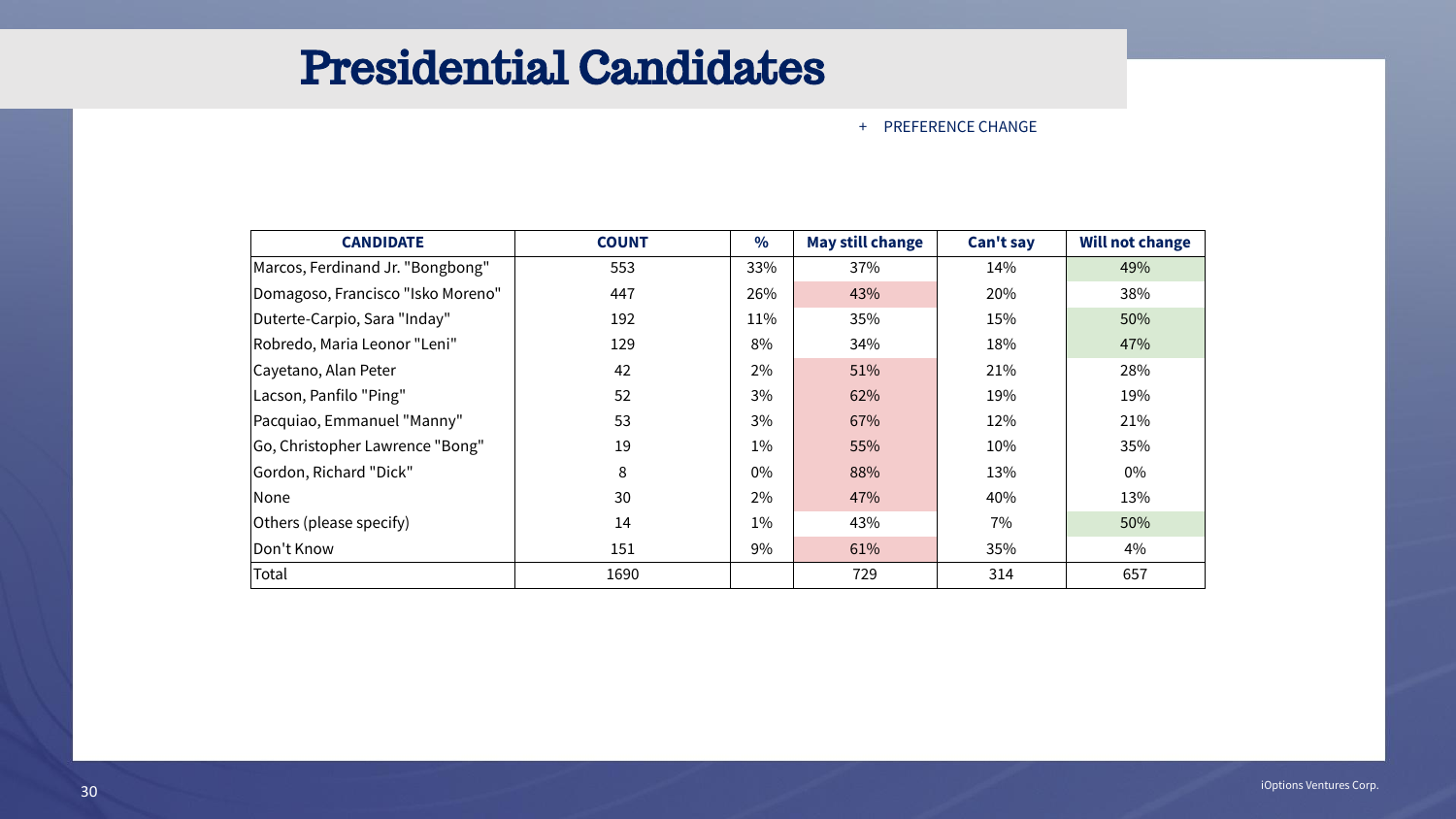### + PREFERENCE CHANGE

| <b>CANDIDATE</b>                  | <b>COUNT</b> | $\frac{6}{6}$ | <b>May still change</b> | <b>Can't say</b> | <b>Will not change</b> |
|-----------------------------------|--------------|---------------|-------------------------|------------------|------------------------|
| Marcos, Ferdinand Jr. "Bongbong"  | 553          | 33%           | 37%                     | 14%              | 49%                    |
| Domagoso, Francisco "Isko Moreno" | 447          | 26%           | 43%                     | 20%              | 38%                    |
| Duterte-Carpio, Sara "Inday"      | 192          | 11%           | 35%                     | 15%              | 50%                    |
| Robredo, Maria Leonor "Leni"      | 129          | 8%            | 34%                     | 18%              | 47%                    |
| Cayetano, Alan Peter              | 42           | $2\%$         | 51%                     | 21%              | 28%                    |
| Lacson, Panfilo "Ping"            | 52           | 3%            | 62%                     | 19%              | 19%                    |
| Pacquiao, Emmanuel "Manny"        | 53           | 3%            | 67%                     | 12%              | 21%                    |
| Go, Christopher Lawrence "Bong"   | 19           | $1\%$         | 55%                     | 10%              | 35%                    |
| Gordon, Richard "Dick"            | 8            | $0\%$         | 88%                     | 13%              | $0\%$                  |
| None                              | 30           | 2%            | 47%                     | 40%              | 13%                    |
| <b>Others (please specify)</b>    | 14           | $1\%$         | 43%                     | $7\%$            | 50%                    |
| Don't Know                        | 151          | 9%            | 61%                     | 35%              | 4%                     |
| Total                             | 1690         |               | 729                     | 314              | 657                    |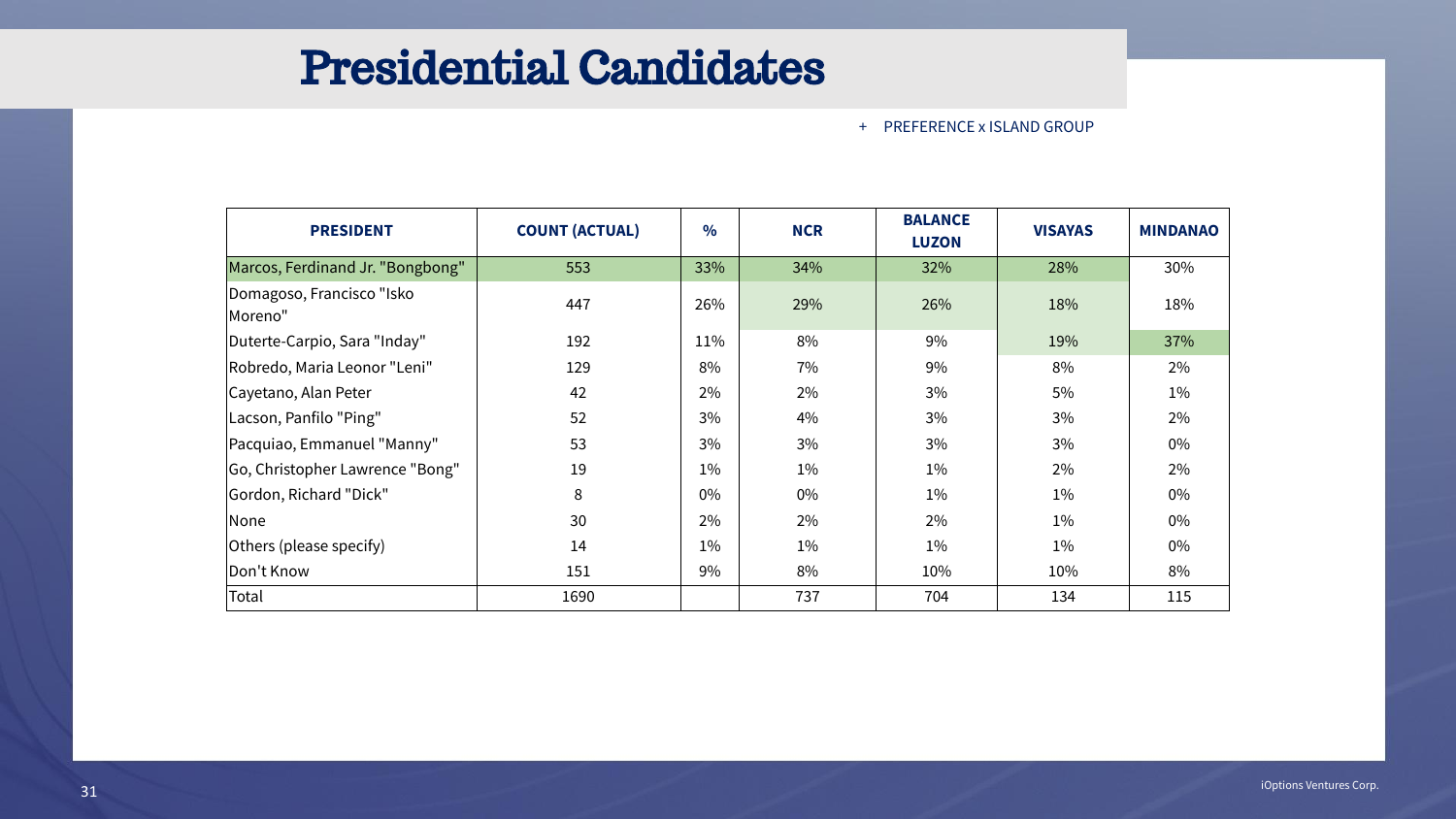### + PREFERENCE x ISLAND GROUP

| <b>PRESIDENT</b>                     | <b>COUNT (ACTUAL)</b> | $\frac{0}{0}$ | <b>NCR</b> | <b>BALANCE</b><br><b>LUZON</b> | <b>VISAYAS</b> | <b>MINDANAO</b> |
|--------------------------------------|-----------------------|---------------|------------|--------------------------------|----------------|-----------------|
| Marcos, Ferdinand Jr. "Bongbong"     | 553                   | 33%           | 34%        | 32%                            | 28%            | 30%             |
| Domagoso, Francisco "Isko<br>Moreno" | 447                   | 26%           | 29%        | 26%                            | 18%            | 18%             |
| Duterte-Carpio, Sara "Inday"         | 192                   | 11%           | 8%         | 9%                             | 19%            | 37%             |
| Robredo, Maria Leonor "Leni"         | 129                   | 8%            | $7\%$      | $9\%$                          | 8%             | 2%              |
| Cayetano, Alan Peter                 | 42                    | $2\%$         | $2\%$      | 3%                             | 5%             | $1\%$           |
| Lacson, Panfilo "Ping"               | 52                    | 3%            | 4%         | 3%                             | 3%             | $2\%$           |
| Pacquiao, Emmanuel "Manny"           | 53                    | 3%            | 3%         | 3%                             | 3%             | $0\%$           |
| Go, Christopher Lawrence "Bong"      | 19                    | $1\%$         | $1\%$      | $1\%$                          | 2%             | 2%              |
| Gordon, Richard "Dick"               | 8                     | $0\%$         | $0\%$      | $1\%$                          | $1\%$          | $0\%$           |
| None                                 | 30                    | 2%            | 2%         | $2\%$                          | $1\%$          | $0\%$           |
| Others (please specify)              | 14                    | $1\%$         | $1\%$      | $1\%$                          | $1\%$          | $0\%$           |
| Don't Know                           | 151                   | 9%            | 8%         | 10%                            | 10%            | 8%              |
| Total                                | 1690                  |               | 737        | 704                            | 134            | 115             |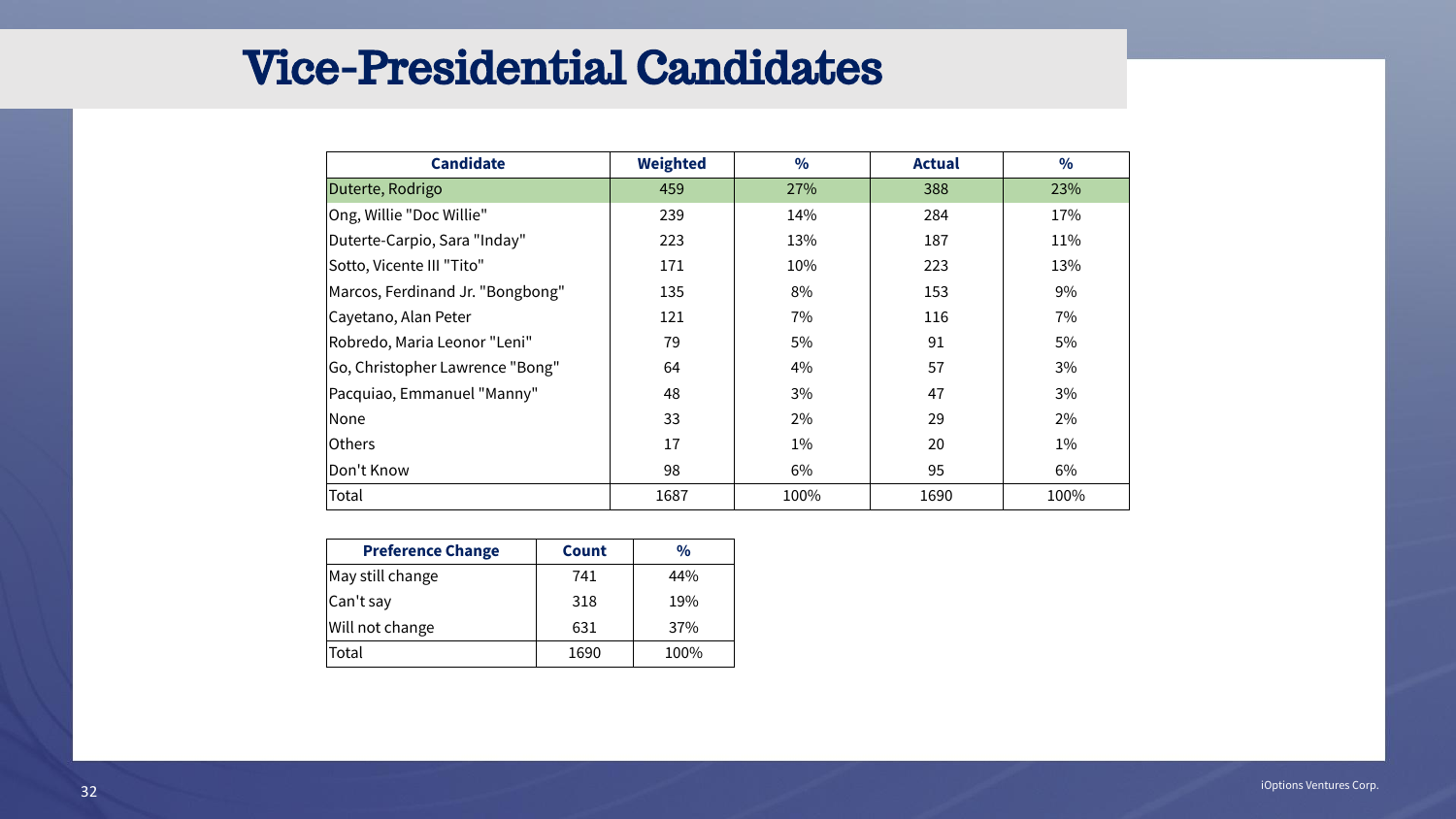### Vice-Presidential Candidates

| <b>Candidate</b>                 | <b>Weighted</b> | $\frac{0}{0}$ | <b>Actual</b> | $\frac{0}{0}$ |
|----------------------------------|-----------------|---------------|---------------|---------------|
| Duterte, Rodrigo                 | 459             | 27%           | 388           | 23%           |
| Ong, Willie "Doc Willie"         | 239             | 14%           | 284           | 17%           |
| Duterte-Carpio, Sara "Inday"     | 223             | 13%           | 187           | 11%           |
| Sotto, Vicente III "Tito"        | 171             | 10%           | 223           | 13%           |
| Marcos, Ferdinand Jr. "Bongbong" | 135             | 8%            | 153           | 9%            |
| Cayetano, Alan Peter             | 121             | $7\%$         | 116           | $7\%$         |
| Robredo, Maria Leonor "Leni"     | 79              | 5%            | 91            | $5\%$         |
| Go, Christopher Lawrence "Bong"  | 64              | $4\%$         | 57            | $3\%$         |
| Pacquiao, Emmanuel "Manny"       | 48              | 3%            | 47            | 3%            |
| <b>None</b>                      | 33              | 2%            | 29            | 2%            |
| <b>Others</b>                    | 17              | $1\%$         | 20            | $1\%$         |
| Don't Know                       | 98              | $6\%$         | 95            | $6\%$         |
| Total                            | 1687            | 100%          | 1690          | 100%          |

| <b>Preference Change</b> | <b>Count</b> | $\frac{0}{0}$ |
|--------------------------|--------------|---------------|
| May still change         | 741          | 44%           |
| Can't say                | 318          | 19%           |
| Will not change          | 631          | 37%           |
| Total                    | 1690         | 100%          |

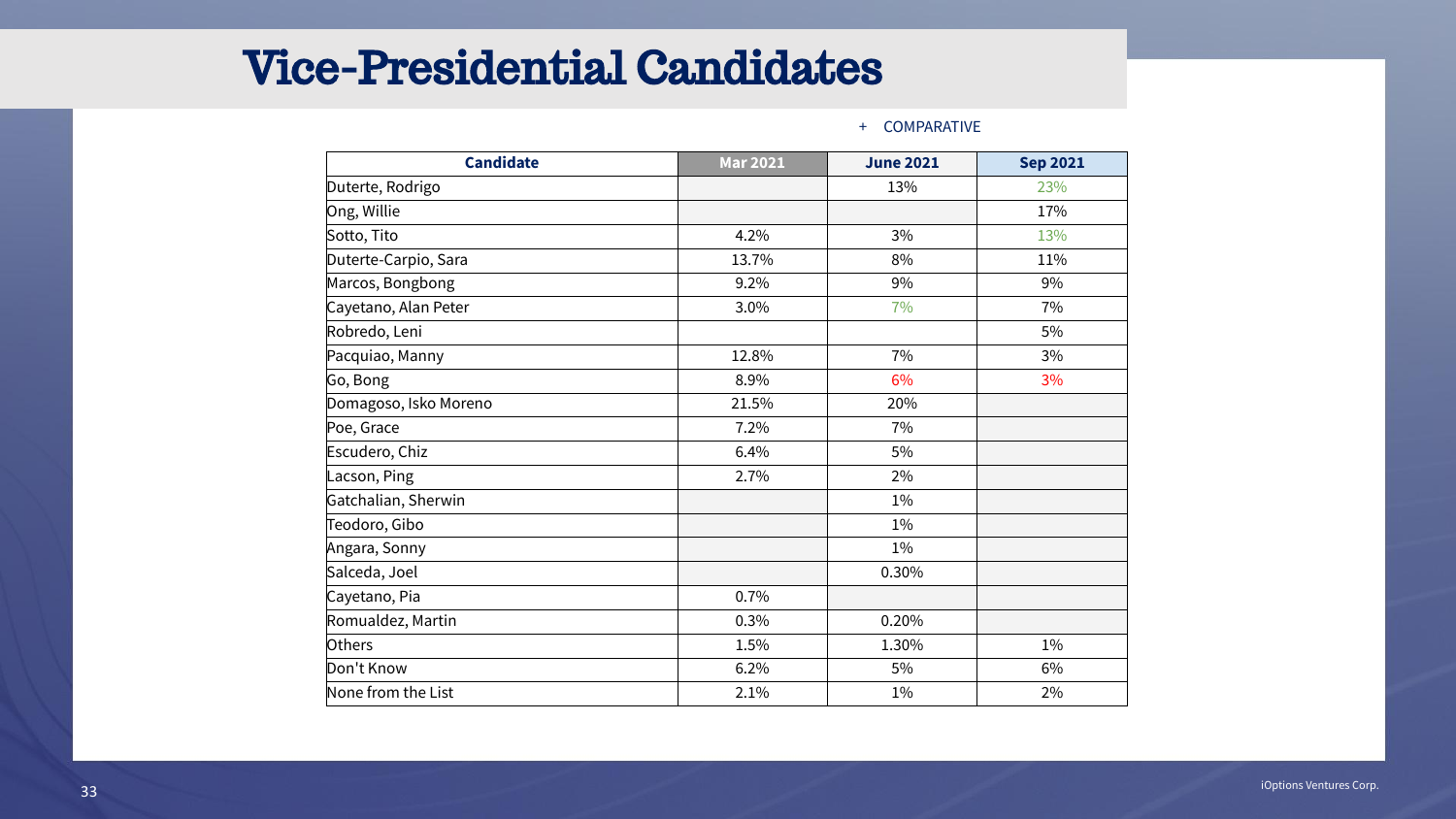### + COMPARATIVE

| <b>Candidate</b>      | <b>Mar 2021</b> | <b>June 2021</b> | <b>Sep 2021</b> |
|-----------------------|-----------------|------------------|-----------------|
| Duterte, Rodrigo      |                 | 13%              | 23%             |
| Ong, Willie           |                 |                  | 17%             |
| Sotto, Tito           | 4.2%            | 3%               | 13%             |
| Duterte-Carpio, Sara  | 13.7%           | 8%               | 11%             |
| Marcos, Bongbong      | $9.2\%$         | 9%               | 9%              |
| Cayetano, Alan Peter  | $3.0\%$         | 7%               | $7\%$           |
| Robredo, Leni         |                 |                  | 5%              |
| Pacquiao, Manny       | 12.8%           | 7%               | 3%              |
| Go, Bong              | 8.9%            | 6%               | 3%              |
| Domagoso, Isko Moreno | 21.5%           | 20%              |                 |
| Poe, Grace            | $7.2\%$         | 7%               |                 |
| Escudero, Chiz        | 6.4%            | $5\%$            |                 |
| Lacson, Ping          | 2.7%            | 2%               |                 |
| Gatchalian, Sherwin   |                 | $1\%$            |                 |
| Teodoro, Gibo         |                 | $1\%$            |                 |
| Angara, Sonny         |                 | $1\%$            |                 |
| Salceda, Joel         |                 | 0.30%            |                 |
| Cayetano, Pia         | $0.7\%$         |                  |                 |
| Romualdez, Martin     | $0.3\%$         | 0.20%            |                 |
| Others                | 1.5%            | 1.30%            | $1\%$           |
| Don't Know            | 6.2%            | $5\%$            | 6%              |
| None from the List    | $2.1\%$         | $1\%$            | 2%              |

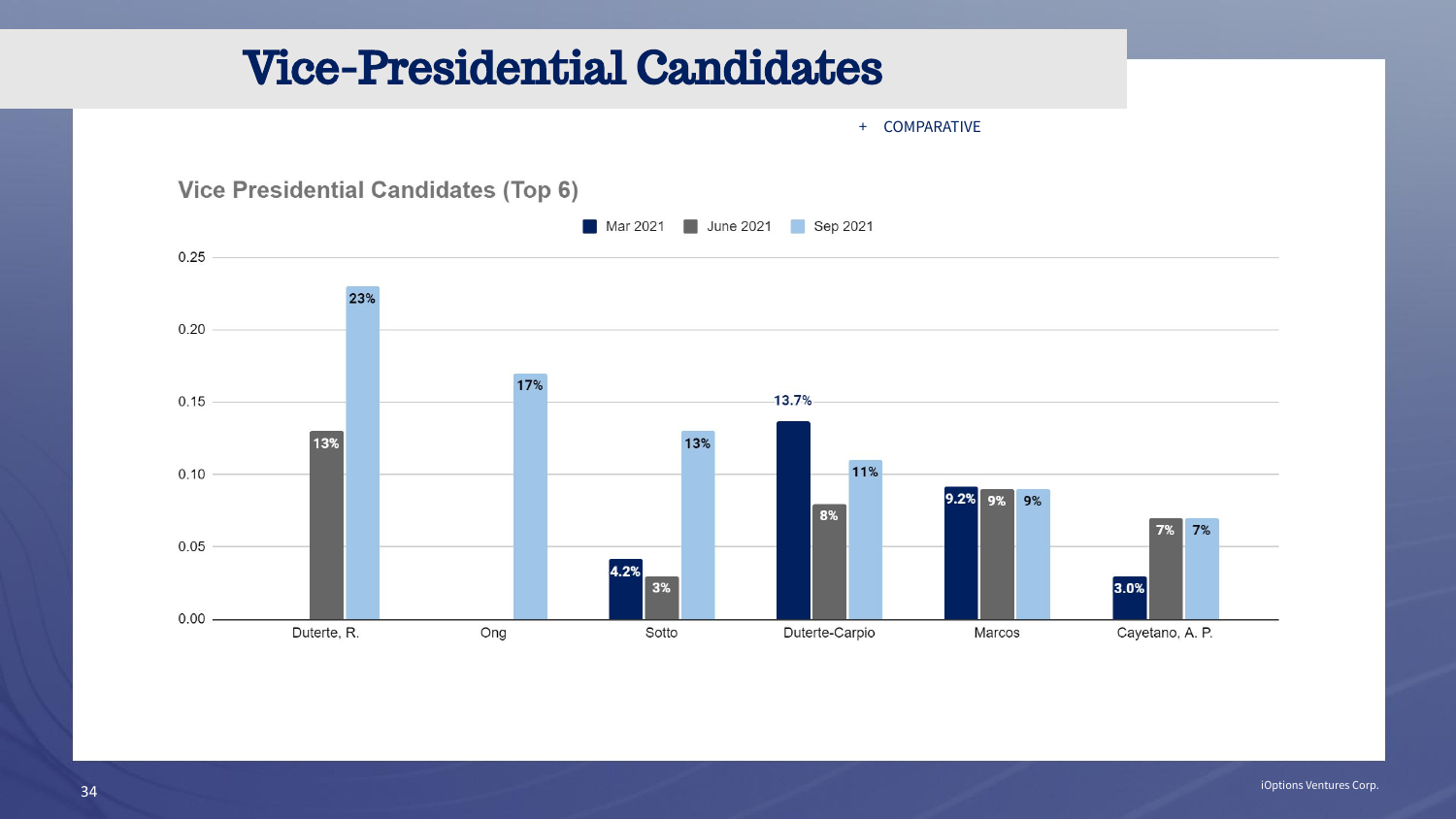### Vice-Presidential Candidates



### + COMPARATIVE

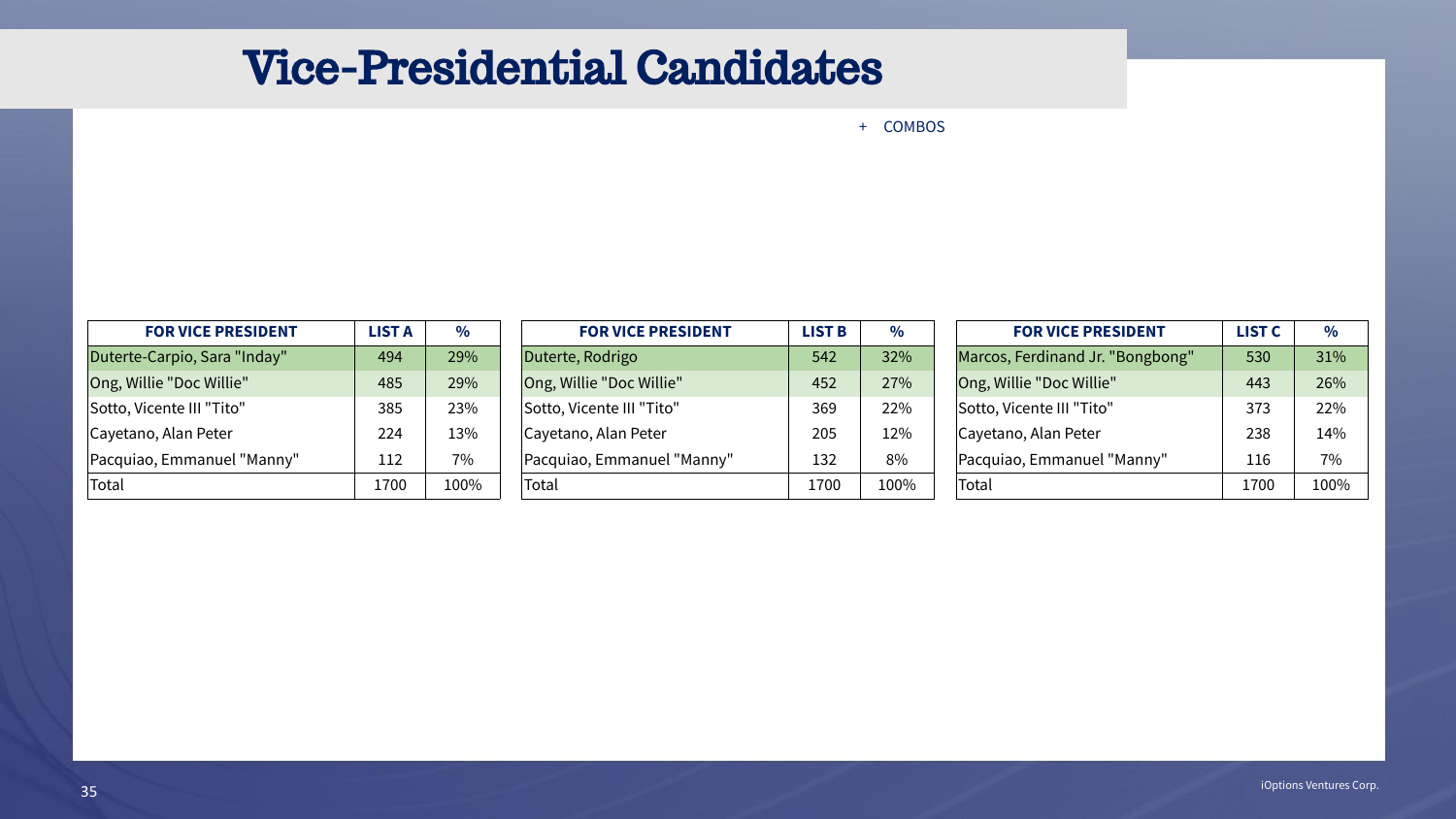### + COMBOS

| <b>FOR VICE PRESIDENT</b>    | <b>LIST A</b> | $\frac{0}{0}$ |
|------------------------------|---------------|---------------|
| Duterte-Carpio, Sara "Inday" | 494           | 29%           |
| Ong, Willie "Doc Willie"     | 485           | 29%           |
| Sotto, Vicente III "Tito"    | 385           | 23%           |
| Cayetano, Alan Peter         | 224           | 13%           |
| Pacquiao, Emmanuel "Manny"   | 112           | $7\%$         |
| Total                        | 1700          | 100%          |

| <b>FOR VICE PRESIDENT</b>  | <b>LIST B</b> | $\frac{0}{0}$ | <b>FOR VICE PRESIDENT</b>        | <b>LIST C</b> | $\frac{0}{0}$ |
|----------------------------|---------------|---------------|----------------------------------|---------------|---------------|
| Duterte, Rodrigo           | 542           | 32%           | Marcos, Ferdinand Jr. "Bongbong" | 530           | 31%           |
| Ong, Willie "Doc Willie"   | 452           | 27%           | Ong, Willie "Doc Willie"         | 443           | 26%           |
| Sotto, Vicente III "Tito"  | 369           | 22%           | Sotto, Vicente III "Tito"        | 373           | 22%           |
| Cayetano, Alan Peter       | 205           | 12%           | Cayetano, Alan Peter             | 238           | 14%           |
| Pacquiao, Emmanuel "Manny" | 132           | 8%            | Pacquiao, Emmanuel "Manny"       | 116           | $7\%$         |
| Total                      | 1700          | 100%          | Total                            | 1700          | 100%          |

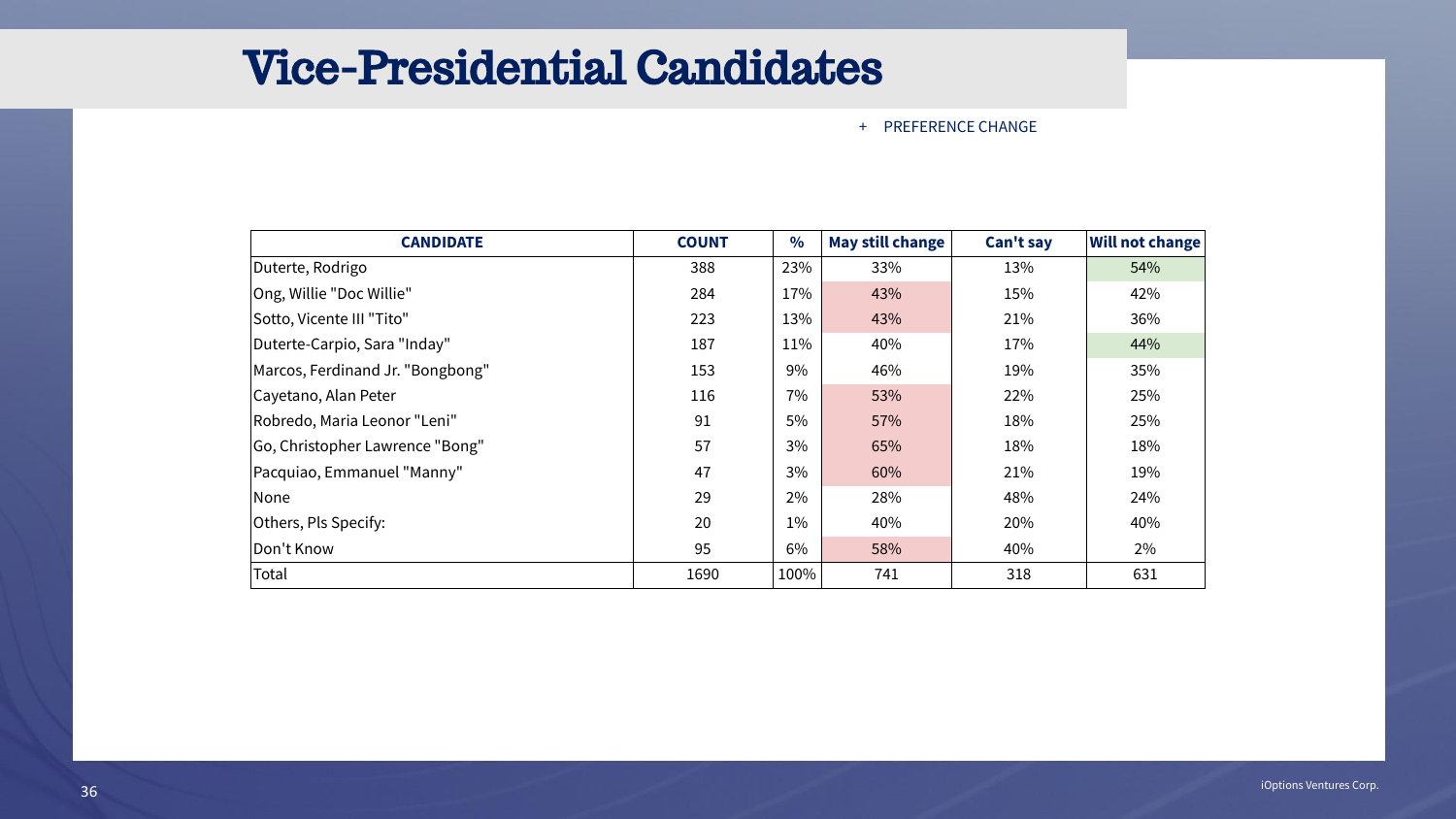### + PREFERENCE CHANGE

| <b>CANDIDATE</b>                 | <b>COUNT</b> | $\%$  | May still change | <b>Can't say</b> | <b>Will not change</b> |
|----------------------------------|--------------|-------|------------------|------------------|------------------------|
| Duterte, Rodrigo                 | 388          | 23%   | 33%              | 13%              | 54%                    |
| Ong, Willie "Doc Willie"         | 284          | 17%   | 43%              | 15%              | 42%                    |
| Sotto, Vicente III "Tito"        | 223          | 13%   | 43%              | 21%              | 36%                    |
| Duterte-Carpio, Sara "Inday"     | 187          | 11%   | 40%              | 17%              | 44%                    |
| Marcos, Ferdinand Jr. "Bongbong" | 153          | 9%    | 46%              | 19%              | 35%                    |
| Cayetano, Alan Peter             | 116          | 7%    | 53%              | 22%              | 25%                    |
| Robredo, Maria Leonor "Leni"     | 91           | $5\%$ | 57%              | 18%              | 25%                    |
| Go, Christopher Lawrence "Bong"  | 57           | 3%    | 65%              | 18%              | 18%                    |
| Pacquiao, Emmanuel "Manny"       | 47           | 3%    | 60%              | 21%              | 19%                    |
| None                             | 29           | $2\%$ | 28%              | 48%              | 24%                    |
| Others, Pls Specify:             | 20           | $1\%$ | 40%              | 20%              | 40%                    |
| Don't Know                       | 95           | $6\%$ | 58%              | 40%              | $2\%$                  |
| Total                            | 1690         | 100%  | 741              | 318              | 631                    |

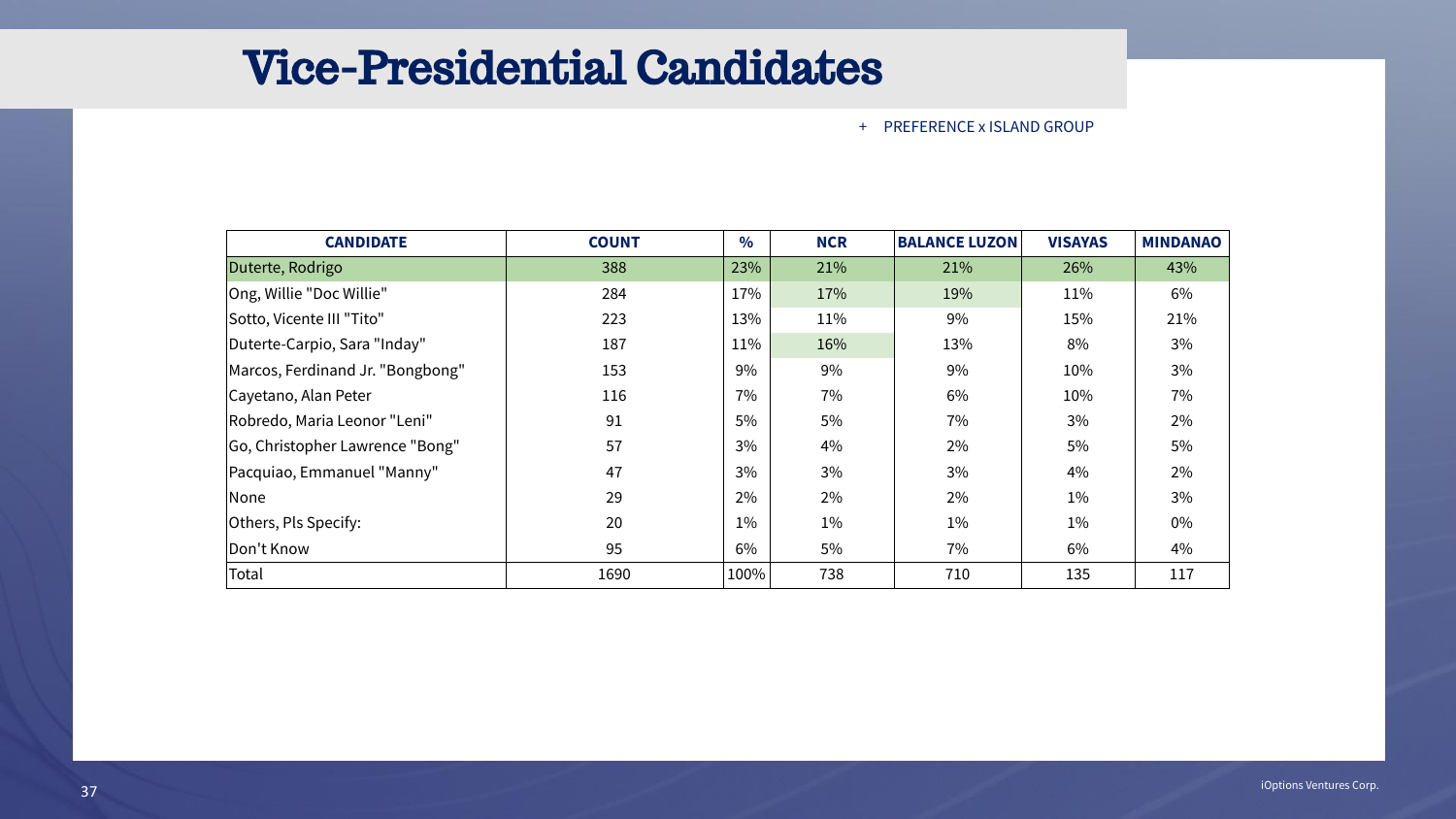### + PREFERENCE x ISLAND GROUP

| <b>CANDIDATE</b>                 | <b>COUNT</b> | $\frac{0}{0}$ | <b>NCR</b> | <b>BALANCE LUZON</b> | <b>VISAYAS</b> | <b>MINDANAO</b> |
|----------------------------------|--------------|---------------|------------|----------------------|----------------|-----------------|
| Duterte, Rodrigo                 | 388          | 23%           | 21%        | 21%                  | 26%            | 43%             |
| Ong, Willie "Doc Willie"         | 284          | 17%           | 17%        | 19%                  | 11%            | $6\%$           |
| Sotto, Vicente III "Tito"        | 223          | 13%           | 11%        | 9%                   | 15%            | 21%             |
| Duterte-Carpio, Sara "Inday"     | 187          | 11%           | 16%        | 13%                  | 8%             | $3\%$           |
| Marcos, Ferdinand Jr. "Bongbong" | 153          | 9%            | 9%         | 9%                   | 10%            | 3%              |
| Cayetano, Alan Peter             | 116          | 7%            | $7\%$      | 6%                   | 10%            | $7\%$           |
| Robredo, Maria Leonor "Leni"     | 91           | $5\%$         | $5\%$      | 7%                   | 3%             | $2\%$           |
| Go, Christopher Lawrence "Bong"  | 57           | 3%            | 4%         | $2\%$                | 5%             | $5\%$           |
| Pacquiao, Emmanuel "Manny"       | 47           | 3%            | 3%         | 3%                   | 4%             | $2\%$           |
| None                             | 29           | $2\%$         | $2\%$      | $2\%$                | $1\%$          | 3%              |
| Others, Pls Specify:             | 20           | $1\%$         | $1\%$      | $1\%$                | $1\%$          | $0\%$           |
| Don't Know                       | 95           | $6\%$         | 5%         | 7%                   | 6%             | 4%              |
| Total                            | 1690         | 100%          | 738        | 710                  | 135            | 117             |

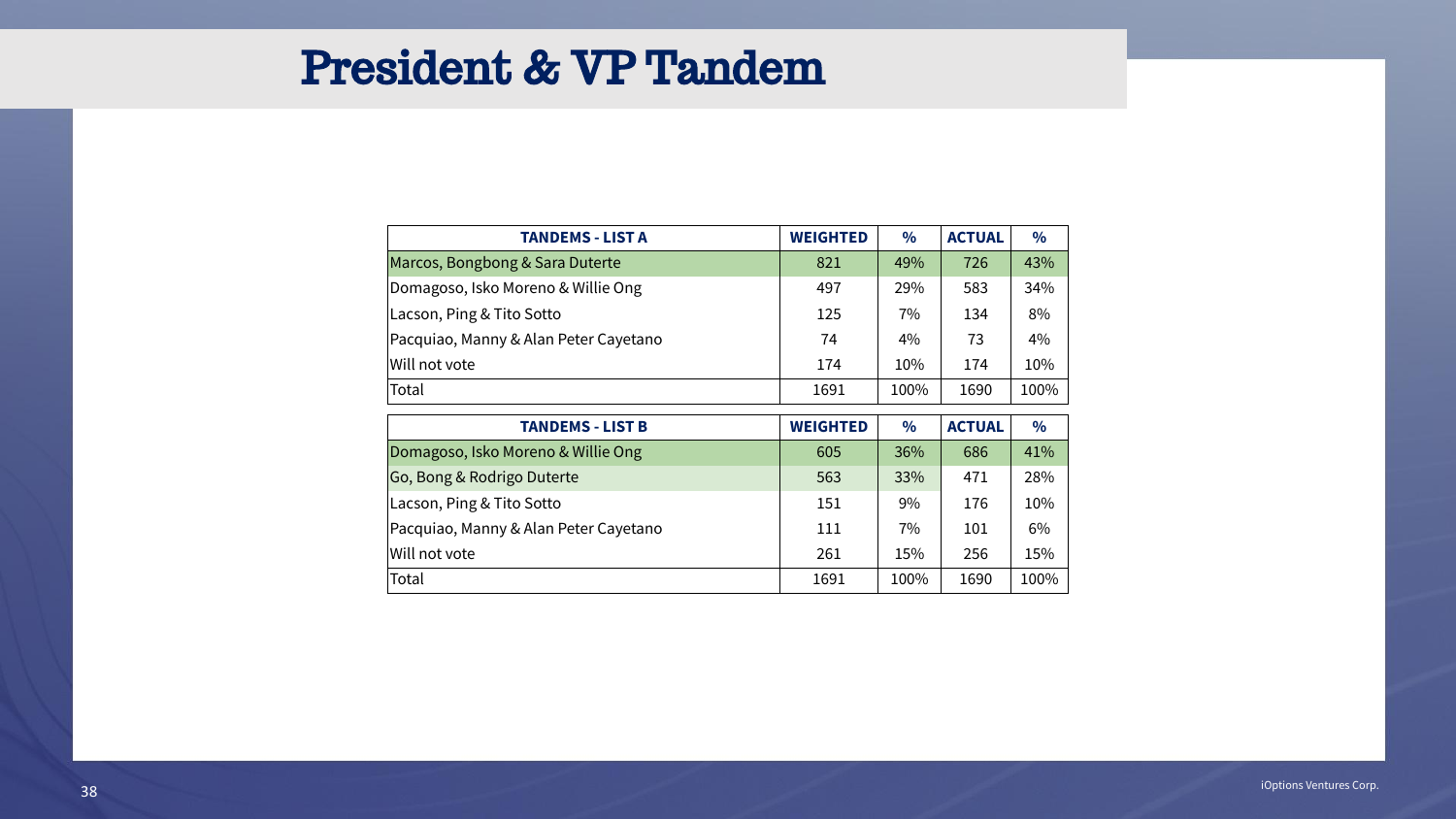### President & VP Tandem

| <b>TANDEMS - LIST A</b>               | <b>WEIGHTED</b> | $\frac{0}{0}$ | <b>ACTUAL</b> | $\frac{6}{6}$ |
|---------------------------------------|-----------------|---------------|---------------|---------------|
| Marcos, Bongbong & Sara Duterte       | 821             | 49%           | 726           | 43%           |
| Domagoso, Isko Moreno & Willie Ong    | 497             | 29%           | 583           | 34%           |
| Lacson, Ping & Tito Sotto             | 125             | $7\%$         | 134           | 8%            |
| Pacquiao, Manny & Alan Peter Cayetano | 74              | $4\%$         | 73            | 4%            |
| Will not vote                         | 174             | 10%           | 174           | 10%           |
| Total                                 | 1691            | 100%          | 1690          | 100%          |
|                                       |                 |               |               |               |
| <b>TANDEMS - LIST B</b>               | <b>WEIGHTED</b> | $\frac{0}{0}$ | <b>ACTUAL</b> | $\frac{1}{2}$ |
| Domagoso, Isko Moreno & Willie Ong    | 605             | 36%           | 686           | 41%           |
| Go, Bong & Rodrigo Duterte            | 563             | 33%           | 471           | 28%           |
| Lacson, Ping & Tito Sotto             | 151             | 9%            | 176           | 10%           |
| Pacquiao, Manny & Alan Peter Cayetano | 111             | $7\%$         | 101           | $6\%$         |
| Will not vote                         | 261             | 15%           | 256           | 15%           |

| <b>TANDEMS - LIST B</b>               | <b>WEIG</b>              |
|---------------------------------------|--------------------------|
| Domagoso, Isko Moreno & Willie Ong    | 60                       |
| Go, Bong & Rodrigo Duterte            | 5 <sub>6</sub>           |
| Lacson, Ping & Tito Sotto             | 1!                       |
| Pacquiao, Manny & Alan Peter Cayetano | $1^{\circ}$              |
| Will not vote                         | $\overline{\mathcal{U}}$ |
| Total                                 | 16                       |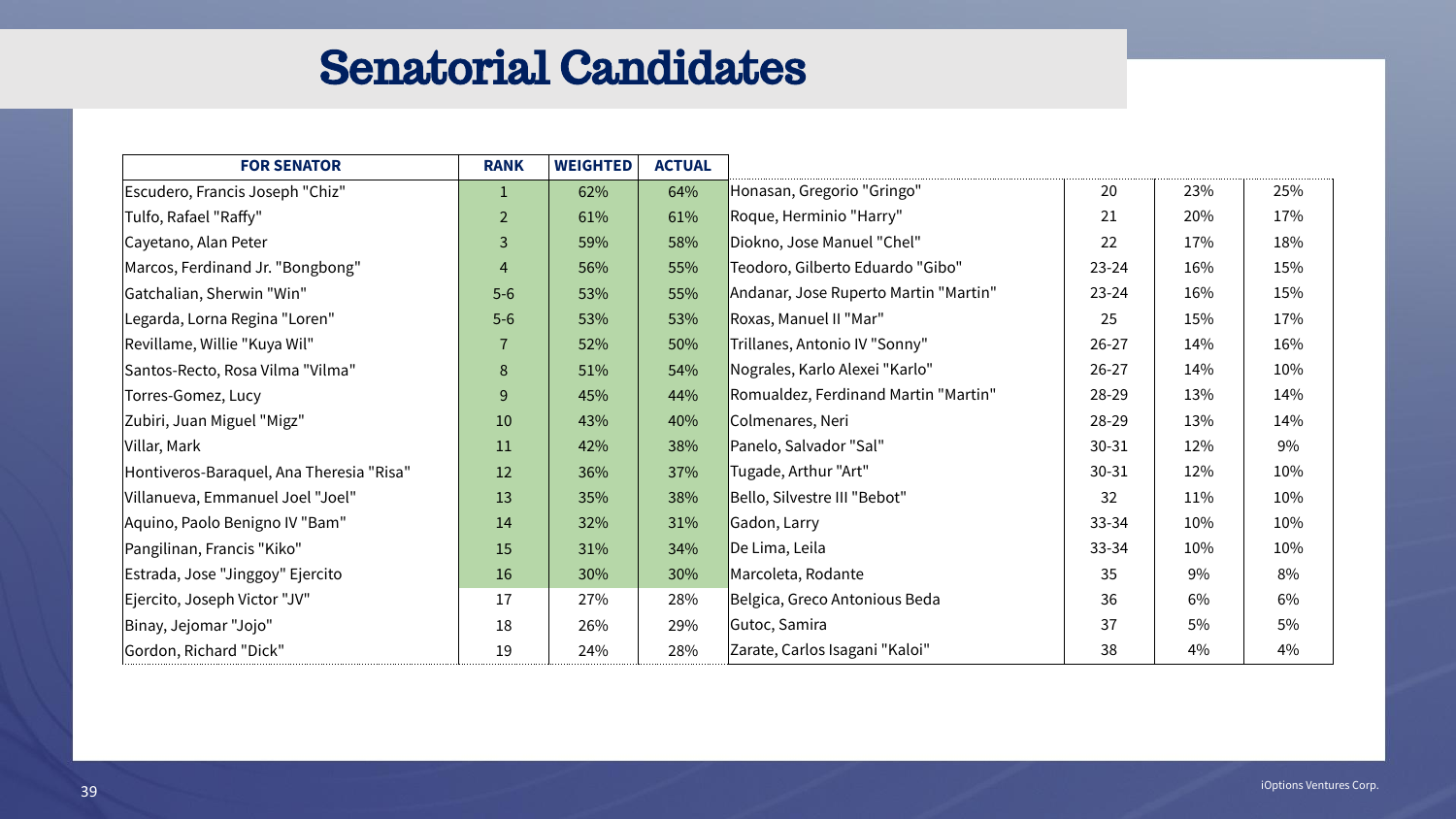### Senatorial Candidates

| <b>FOR SENATOR</b>                       | <b>RANK</b>    | <b>WEIGHTED</b> | <b>ACTUAL</b> |                                       |           |       |       |
|------------------------------------------|----------------|-----------------|---------------|---------------------------------------|-----------|-------|-------|
| Escudero, Francis Joseph "Chiz"          |                | 62%             | 64%           | Honasan, Gregorio "Gringo"            | 20        | 23%   | 25%   |
| Tulfo, Rafael "Raffy"                    | $\overline{2}$ | 61%             | 61%           | Roque, Herminio "Harry"               | 21        | 20%   | 17%   |
| Cayetano, Alan Peter                     | $\overline{3}$ | 59%             | 58%           | Diokno, Jose Manuel "Chel"            | 22        | 17%   | 18%   |
| Marcos, Ferdinand Jr. "Bongbong"         | $\overline{4}$ | 56%             | 55%           | Teodoro, Gilberto Eduardo "Gibo"      | $23 - 24$ | 16%   | 15%   |
| Gatchalian, Sherwin "Win"                | $5-6$          | 53%             | 55%           | Andanar, Jose Ruperto Martin "Martin" | $23 - 24$ | 16%   | 15%   |
| Legarda, Lorna Regina "Loren"            | $5-6$          | 53%             | 53%           | Roxas, Manuel II "Mar"                | 25        | 15%   | 17%   |
| Revillame, Willie "Kuya Wil"             | $\overline{7}$ | 52%             | 50%           | Trillanes, Antonio IV "Sonny"         | $26 - 27$ | 14%   | 16%   |
| Santos-Recto, Rosa Vilma "Vilma"         | 8              | 51%             | 54%           | Nograles, Karlo Alexei "Karlo"        | $26 - 27$ | 14%   | 10%   |
| Torres-Gomez, Lucy                       | 9              | 45%             | 44%           | Romualdez, Ferdinand Martin "Martin"  | 28-29     | 13%   | 14%   |
| Zubiri, Juan Miguel "Migz"               | 10             | 43%             | 40%           | Colmenares, Neri                      | 28-29     | 13%   | 14%   |
| Villar, Mark                             | 11             | 42%             | 38%           | Panelo, Salvador "Sal"                | $30 - 31$ | 12%   | $9\%$ |
| Hontiveros-Baraquel, Ana Theresia "Risa" | 12             | 36%             | 37%           | Tugade, Arthur "Art"                  | $30 - 31$ | 12%   | 10%   |
| Villanueva, Emmanuel Joel "Joel"         | 13             | 35%             | 38%           | Bello, Silvestre III "Bebot"          | 32        | 11%   | 10%   |
| Aquino, Paolo Benigno IV "Bam"           | 14             | 32%             | 31%           | Gadon, Larry                          | $33 - 34$ | 10%   | 10%   |
| Pangilinan, Francis "Kiko"               | 15             | 31%             | 34%           | De Lima, Leila                        | $33 - 34$ | 10%   | 10%   |
| Estrada, Jose "Jinggoy" Ejercito         | <b>16</b>      | 30%             | 30%           | Marcoleta, Rodante                    | 35        | 9%    | 8%    |
| Ejercito, Joseph Victor "JV"             | 17             | 27%             | 28%           | Belgica, Greco Antonious Beda         | 36        | $6\%$ | $6\%$ |
| Binay, Jejomar "Jojo"                    | 18             | 26%             | 29%           | Gutoc, Samira                         | 37        | $5\%$ | $5\%$ |
| Gordon, Richard "Dick"                   | 19             | 24%             | 28%           | Zarate, Carlos Isagani "Kaloi"        | 38        | $4\%$ | 4%    |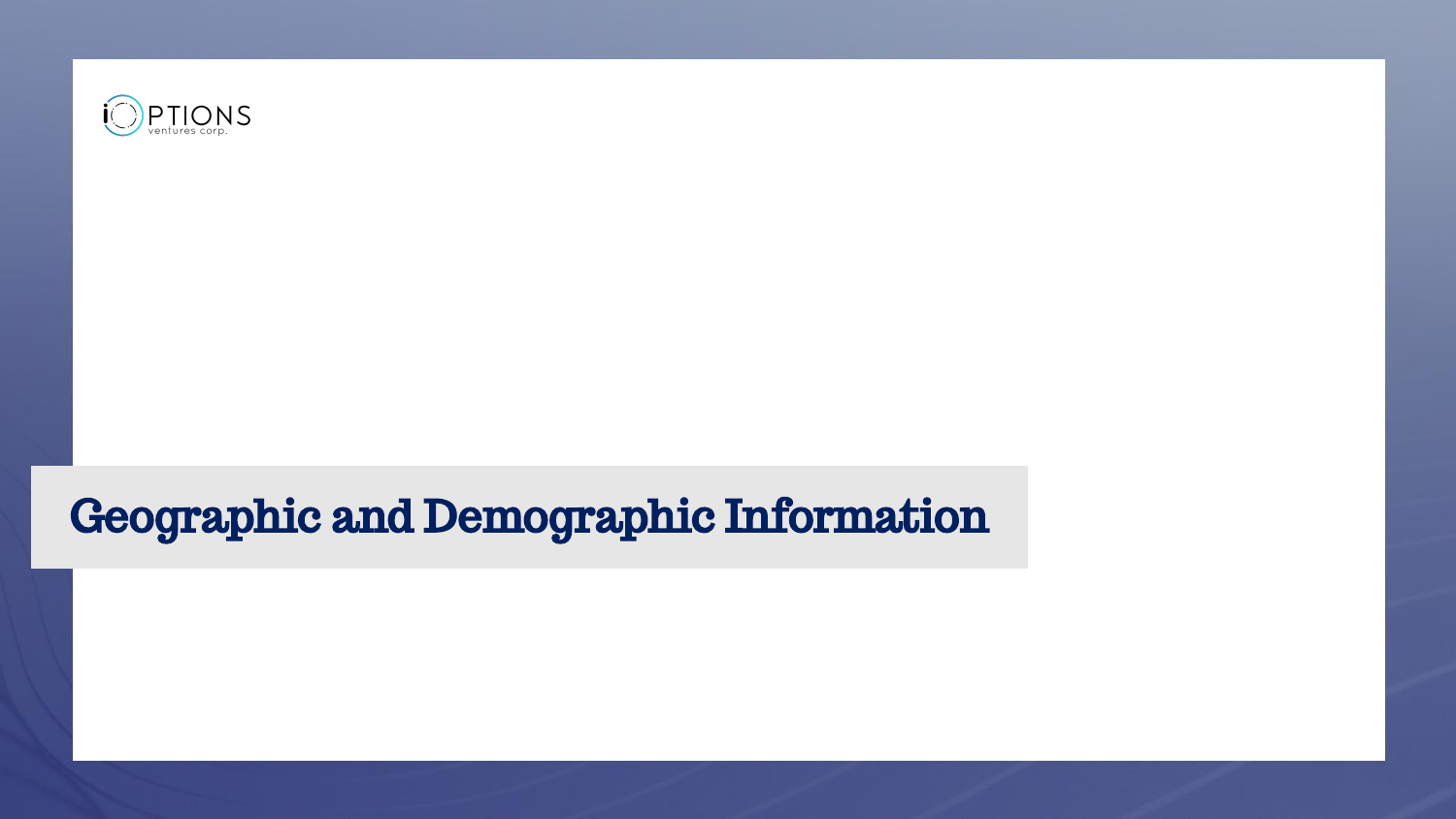

## Geographic and Demographic Information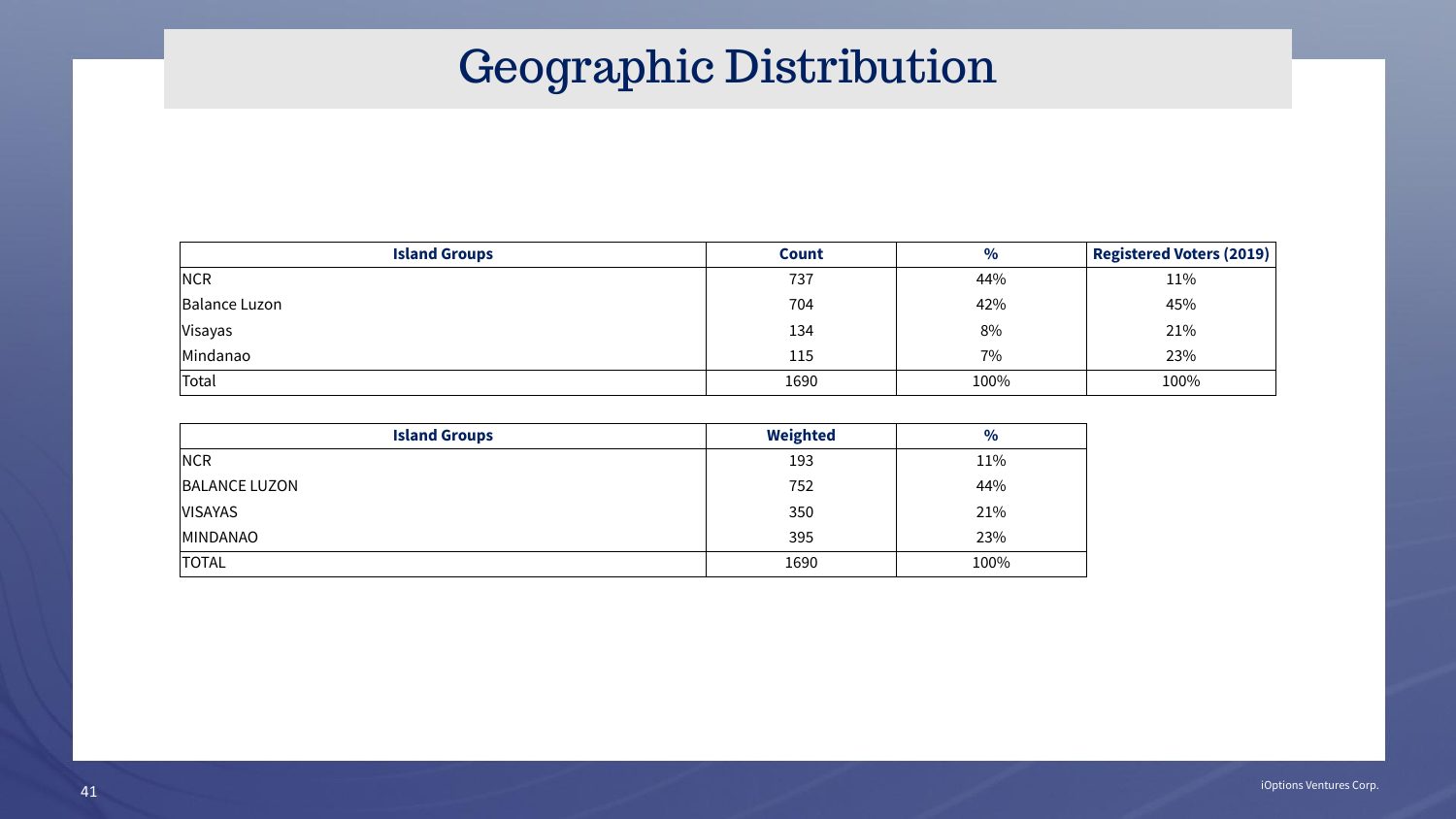## Geographic Distribution

| <b>Island Groups</b> | Count | $\frac{1}{2}$ | <b>Registered Voters (2019)</b> |
|----------------------|-------|---------------|---------------------------------|
| <b>NCR</b>           | 737   | 44%           | 11%                             |
| Balance Luzon        | 704   | 42%           | 45%                             |
| <b>Visayas</b>       | 134   | 8%            | 21%                             |
| Mindanao             | 115   | 7%            | 23%                             |
| 'Total               | 1690  | 100%          | 100%                            |

| <b>Island Groups</b> | <b>Weighted</b> | $\frac{0}{0}$ |
|----------------------|-----------------|---------------|
| NCR                  | 193             | 11%           |
| <b>BALANCE LUZON</b> | 752             | 44%           |
| <b>VISAYAS</b>       | 350             | 21%           |
| <b>MINDANAO</b>      | 395             | 23%           |
| <b>TOTAL</b>         | 1690            | 100%          |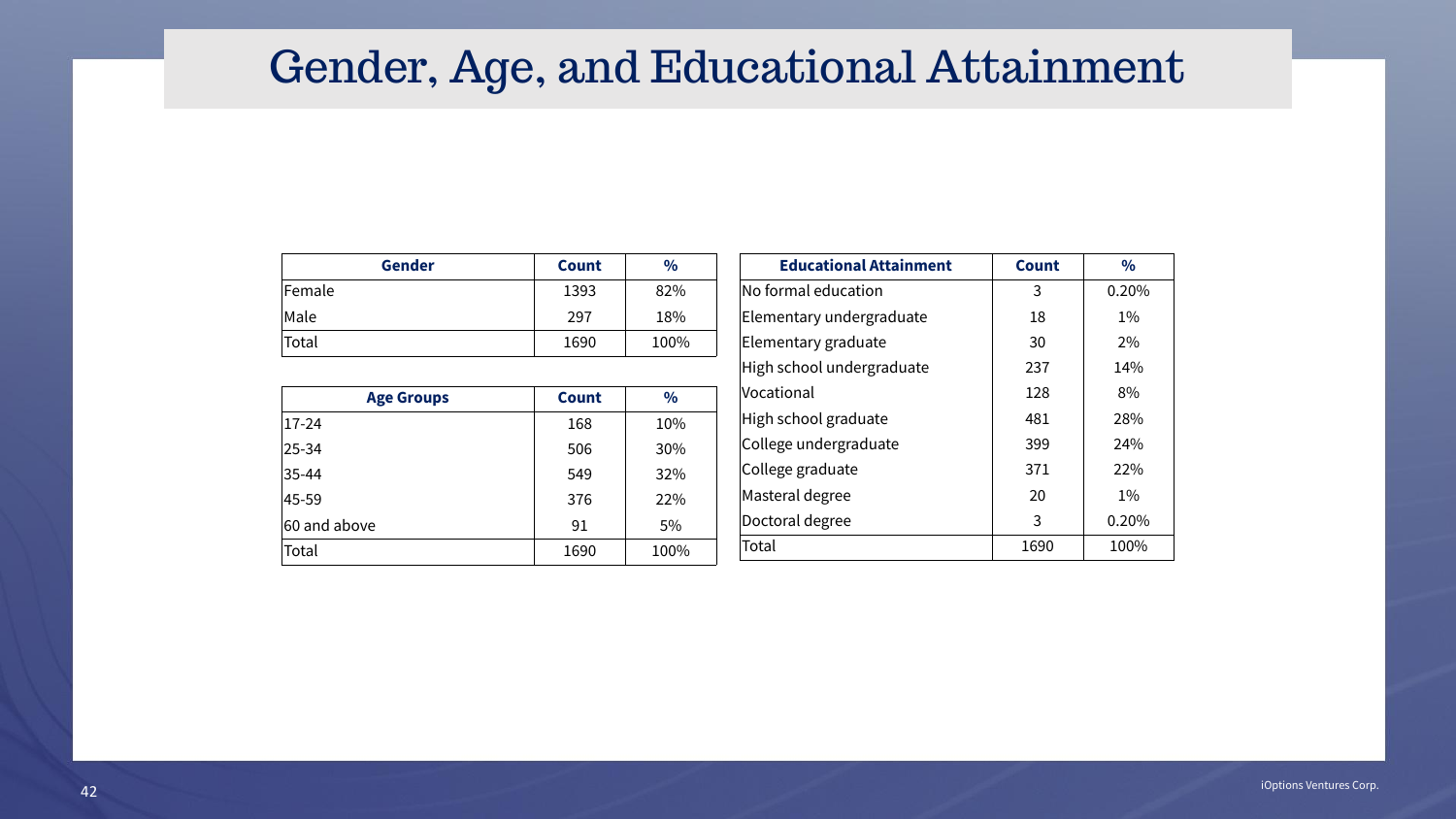## Gender, Age, and Educational Attainment

| <b>Gender</b> | <b>Count</b> | $\frac{0}{0}$ |
|---------------|--------------|---------------|
| Female        | 1393         | 82%           |
| Male          | 297          | 18%           |
| Total         | 1690         | 100%          |

| <b>Age Groups</b> | <b>Count</b> | $\frac{0}{0}$ |
|-------------------|--------------|---------------|
| $17 - 24$         | 168          | 10%           |
| $25 - 34$         | 506          | 30%           |
| $ 35 - 44 $       | 549          | 32%           |
| 45-59             | 376          | 22%           |
| 60 and above      | 91           | 5%            |
| Total             | 1690         | 100%          |

### $E$ **ducations**

 $\sqrt{\sqrt{2}}$  No formal ed  $\epsilon$ Elementary u  $\vert$ Elementary g  $H$ igh school  $|V$ ocational  $H$ igh school  $\vert$ College unde  $\vert$ College gradu  $\vert$ Masteral degr  $\vert$ Doctoral degr

| <b>Educational Attainment</b> | <b>Count</b> | $\frac{0}{0}$ |
|-------------------------------|--------------|---------------|
| No formal education           | 3            | 0.20%         |
| Elementary undergraduate      | 18           | $1\%$         |
| Elementary graduate           | 30           | $2\%$         |
| High school undergraduate     | 237          | 14%           |
| Vocational                    | 128          | 8%            |
| High school graduate          | 481          | 28%           |
| College undergraduate         | 399          | 24%           |
| College graduate              | 371          | 22%           |
| Masteral degree               | 20           | $1\%$         |
| Doctoral degree               | 3            | 0.20%         |
| Total                         | 1690         | 100%          |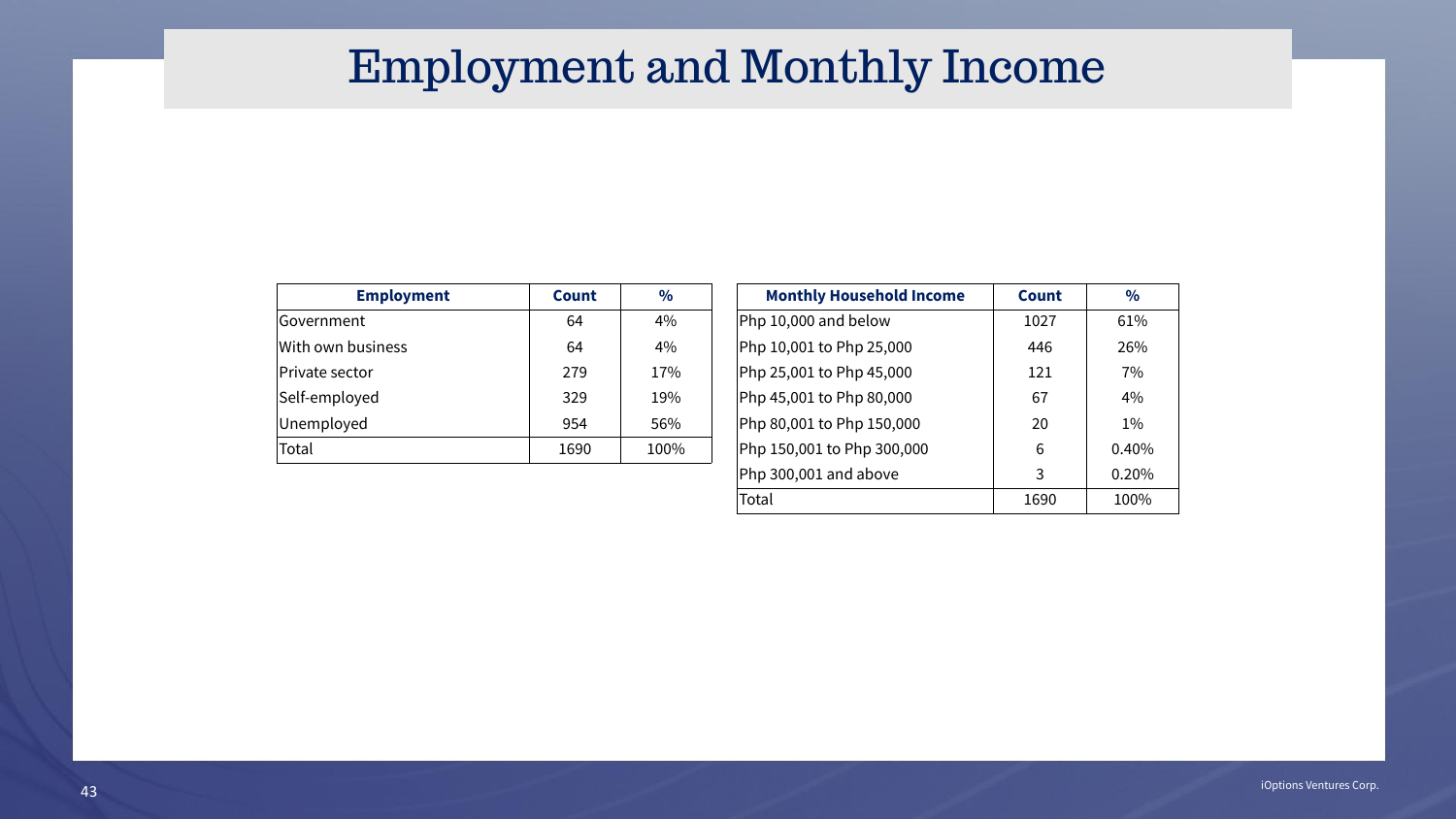## Employment and Monthly Income

| <b>Employment</b>     | <b>Count</b> | $\frac{0}{0}$ |
|-----------------------|--------------|---------------|
| Government            | 64           | 4%            |
| With own business     | 64           | 4%            |
| <b>Private sector</b> | 279          | 17%           |
| Self-employed         | 329          | 19%           |
| Unemployed            | 954          | 56%           |
| Total                 | 1690         | 100%          |

### **Monthly**

 $Php 10,000$  ar Php  $10,001$  to Php 25,001 to Php 45,001 to  $P$ hp 80,001 to  $|$ Php 150,001 t  $Php 300,001$ 

| <b>Monthly Household Income</b> | <b>Count</b> | $\frac{0}{0}$ |
|---------------------------------|--------------|---------------|
|                                 |              |               |
| Php 10,000 and below            | 1027         | 61%           |
| Php 10,001 to Php 25,000        | 446          | 26%           |
| Php 25,001 to Php 45,000        | 121          | 7%            |
| Php 45,001 to Php 80,000        | 67           | 4%            |
| Php 80,001 to Php 150,000       | 20           | $1\%$         |
| Php 150,001 to Php 300,000      | 6            | 0.40%         |
| Php 300,001 and above           | 3            | 0.20%         |
| Total                           | 1690         | 100%          |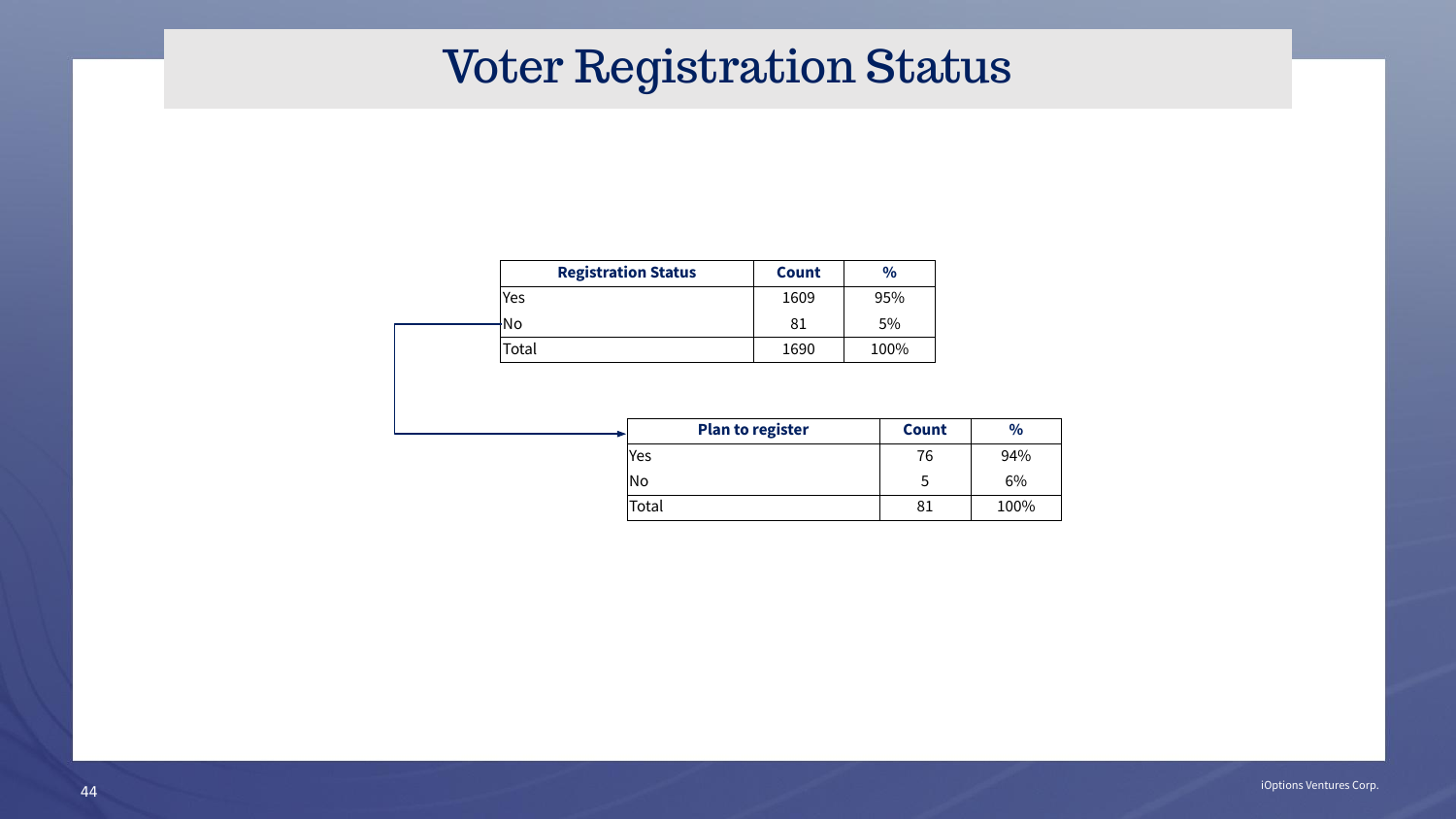## Voter Registration Status



| <b>Plan to register</b> | <b>Count</b> | $\frac{0}{0}$ |
|-------------------------|--------------|---------------|
| Yes                     | 76           | 94%           |
| No                      | Ⴢ            | $6\%$         |
| Total                   | 81           | 100%          |

| $\frac{0}{0}$ |
|---------------|
| 95%           |
| $5\%$         |
| 100%          |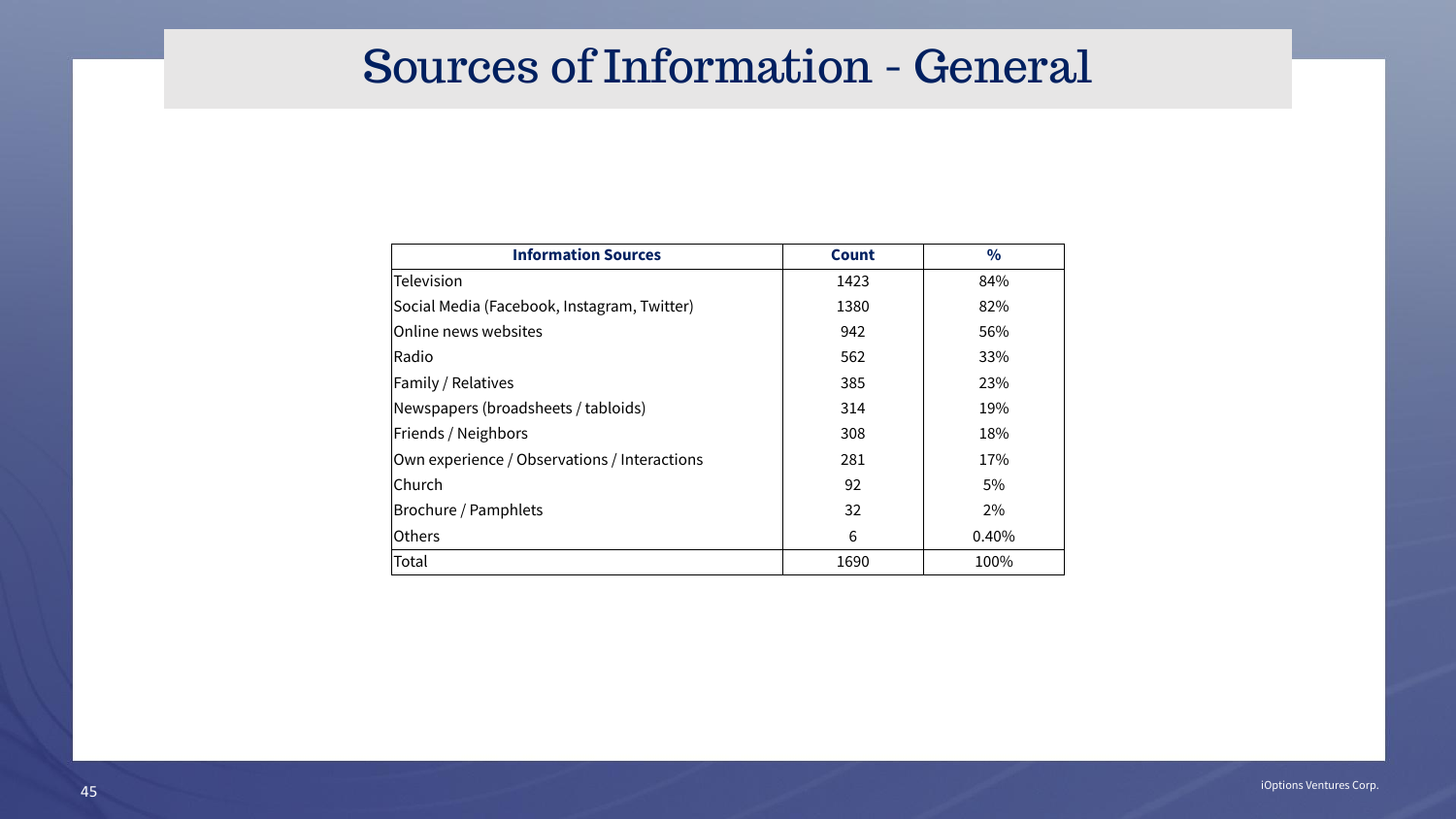## Sources of Information - General

| <b>Information Sources</b>                   | <b>Count</b> | $\frac{0}{0}$ |
|----------------------------------------------|--------------|---------------|
| <b>Television</b>                            | 1423         | 84%           |
| Social Media (Facebook, Instagram, Twitter)  | 1380         | 82%           |
| Online news websites                         | 942          | 56%           |
| Radio                                        | 562          | 33%           |
| <b>Family / Relatives</b>                    | 385          | 23%           |
| Newspapers (broadsheets / tabloids)          | 314          | 19%           |
| <b>Friends / Neighbors</b>                   | 308          | 18%           |
| Own experience / Observations / Interactions | 281          | 17%           |
| <b>Church</b>                                | 92           | $5\%$         |
| <b>Brochure / Pamphlets</b>                  | 32           | 2%            |
| <b>Others</b>                                | 6            | 0.40%         |
| Total                                        | 1690         | 100%          |

| Count | $\frac{0}{0}$ |
|-------|---------------|
| 1423  | 84%           |
| 1380  | 82%           |
| 942   | 56%           |
| 562   | 33%           |
| 385   | 23%           |
| 314   | 19%           |
| 308   | 18%           |
| 281   | 17%           |
| 92    | 5%            |
| 32    | 2%            |
| 6     | 0.40%         |
| 1690  | 100%          |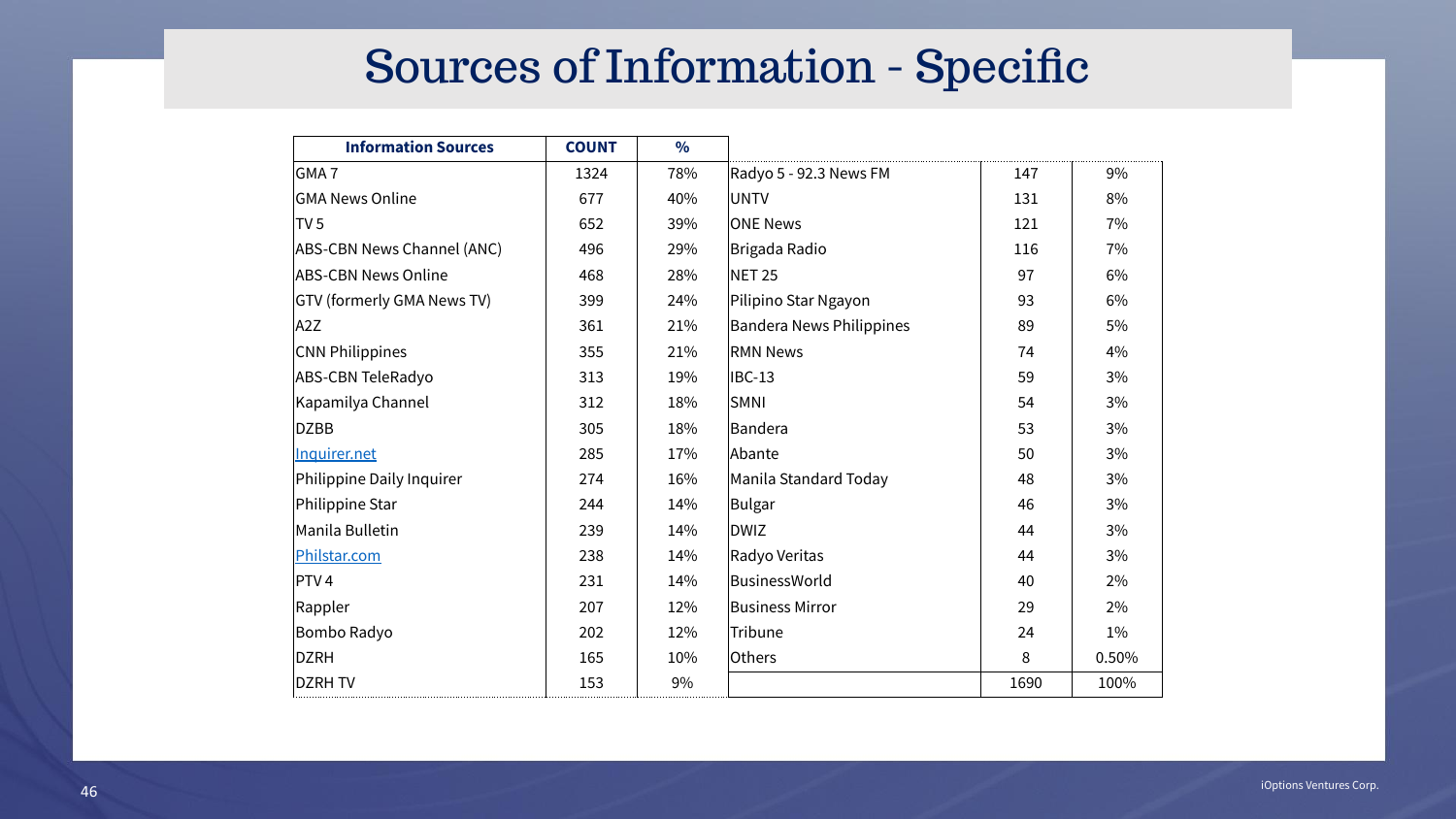## Sources of Information - Specific

| <b>Information Sources</b>       | <b>COUNT</b> | $\frac{0}{0}$ |                                 |      |       |
|----------------------------------|--------------|---------------|---------------------------------|------|-------|
| <b>GMA7</b>                      | 1324         | 78%           | Radyo 5 - 92.3 News FM          | 147  | $9\%$ |
| <b>GMA News Online</b>           | 677          | 40%           | <b>UNTV</b>                     | 131  | 8%    |
| TV <sub>5</sub>                  | 652          | 39%           | <b>ONE News</b>                 | 121  | $7\%$ |
| ABS-CBN News Channel (ANC)       | 496          | 29%           | Brigada Radio                   | 116  | 7%    |
| ABS-CBN News Online              | 468          | 28%           | <b>NET 25</b>                   | 97   | $6\%$ |
| GTV (formerly GMA News TV)       | 399          | 24%           | Pilipino Star Ngayon            | 93   | $6\%$ |
| A2Z                              | 361          | 21%           | <b>Bandera News Philippines</b> | 89   | $5\%$ |
| <b>CNN Philippines</b>           | 355          | 21%           | <b>RMN News</b>                 | 74   | 4%    |
| ABS-CBN TeleRadyo                | 313          | 19%           | <b>IBC-13</b>                   | 59   | 3%    |
| Kapamilya Channel                | 312          | 18%           | <b>SMNI</b>                     | 54   | 3%    |
| <b>DZBB</b>                      | 305          | 18%           | <b>Bandera</b>                  | 53   | 3%    |
| Inquirer.net                     | 285          | 17%           | Abante                          | 50   | 3%    |
| <b>Philippine Daily Inquirer</b> | 274          | 16%           | Manila Standard Today           | 48   | 3%    |
| Philippine Star                  | 244          | 14%           | <b>Bulgar</b>                   | 46   | 3%    |
| Manila Bulletin                  | 239          | 14%           | <b>DWIZ</b>                     | 44   | $3\%$ |
| Philstar.com                     | 238          | 14%           | Radyo Veritas                   | 44   | 3%    |
| PTV4                             | 231          | 14%           | <b>BusinessWorld</b>            | 40   | 2%    |
| Rappler                          | 207          | 12%           | <b>Business Mirror</b>          | 29   | $2\%$ |
| <b>Bombo Radyo</b>               | 202          | 12%           | <b>Tribune</b>                  | 24   | $1\%$ |
| <b>DZRH</b>                      | 165          | 10%           | <b>Others</b>                   | 8    | 0.50% |
| <b>DZRH TV</b>                   | 153          | 9%            |                                 | 1690 | 100%  |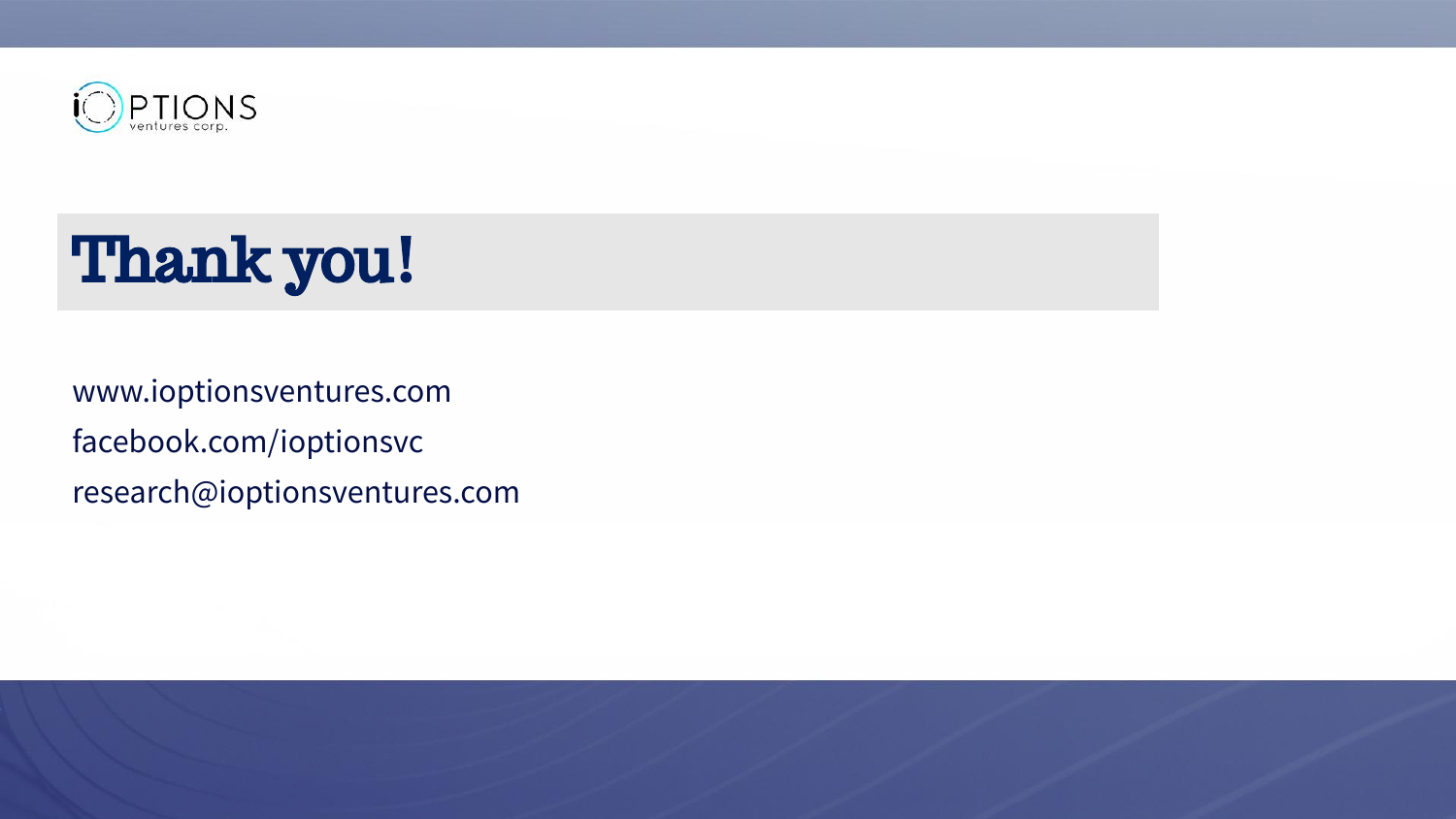

# Thank you!

[www.ioptionsventures.com](http://www.ioptionsventures.com) facebook.com/ioptionsvc research@ioptionsventures.com